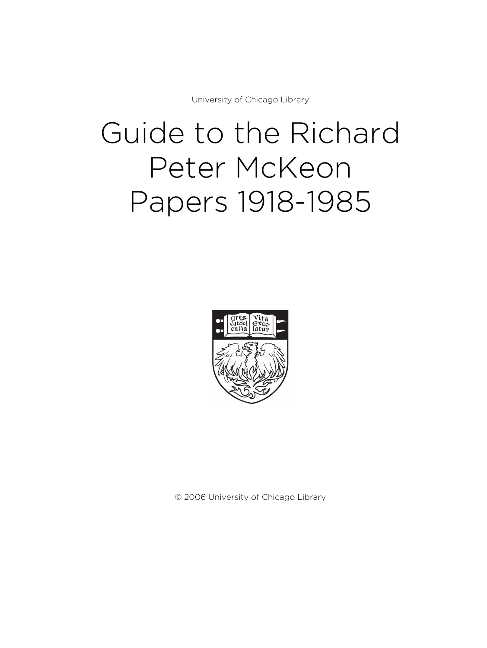University of Chicago Library

# Guide to the Richard Peter McKeon Papers 1918-1985



© 2006 University of Chicago Library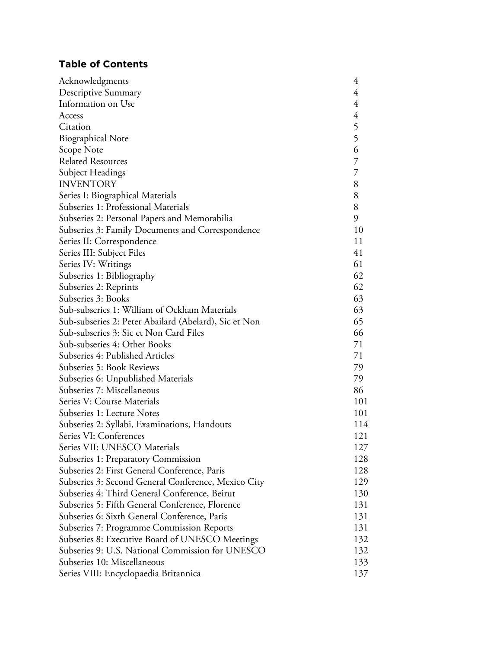# **Table of Contents**

| 4<br>Descriptive Summary<br>4<br>$\frac{4}{5}$ 5 6<br><b>Biographical Note</b><br>Scope Note<br>$\overline{7}$<br>$\overline{7}$<br>Subject Headings<br>8<br>8<br>Series I: Biographical Materials<br>8<br>9<br>Subseries 2: Personal Papers and Memorabilia<br>10<br>Subseries 3: Family Documents and Correspondence<br>11<br>Series II: Correspondence<br>41<br>Series III: Subject Files<br>61<br>Series IV: Writings<br>62<br>Subseries 1: Bibliography<br>62<br>Subseries 2: Reprints<br>63<br>63<br>65<br>Sub-subseries 2: Peter Abailard (Abelard), Sic et Non<br>66<br>71<br>71<br>79<br>Subseries 6: Unpublished Materials<br>79<br>86<br>101<br>Subseries 1: Lecture Notes<br>101<br>Subseries 2: Syllabi, Examinations, Handouts<br>114<br>121<br>Series VII: UNESCO Materials<br>127<br>Subseries 1: Preparatory Commission<br>128<br>Subseries 2: First General Conference, Paris<br>128<br>Subseries 3: Second General Conference, Mexico City<br>129<br>Subseries 4: Third General Conference, Beirut<br>130<br>Subseries 5: Fifth General Conference, Florence<br>131<br>Subseries 6: Sixth General Conference, Paris<br>131<br>Subseries 7: Programme Commission Reports<br>131 | Acknowledgments                                  | 4 |
|---------------------------------------------------------------------------------------------------------------------------------------------------------------------------------------------------------------------------------------------------------------------------------------------------------------------------------------------------------------------------------------------------------------------------------------------------------------------------------------------------------------------------------------------------------------------------------------------------------------------------------------------------------------------------------------------------------------------------------------------------------------------------------------------------------------------------------------------------------------------------------------------------------------------------------------------------------------------------------------------------------------------------------------------------------------------------------------------------------------------------------------------------------------------------------------------------|--------------------------------------------------|---|
|                                                                                                                                                                                                                                                                                                                                                                                                                                                                                                                                                                                                                                                                                                                                                                                                                                                                                                                                                                                                                                                                                                                                                                                                   |                                                  |   |
|                                                                                                                                                                                                                                                                                                                                                                                                                                                                                                                                                                                                                                                                                                                                                                                                                                                                                                                                                                                                                                                                                                                                                                                                   | Information on Use                               |   |
|                                                                                                                                                                                                                                                                                                                                                                                                                                                                                                                                                                                                                                                                                                                                                                                                                                                                                                                                                                                                                                                                                                                                                                                                   | Access                                           |   |
|                                                                                                                                                                                                                                                                                                                                                                                                                                                                                                                                                                                                                                                                                                                                                                                                                                                                                                                                                                                                                                                                                                                                                                                                   | Citation                                         |   |
|                                                                                                                                                                                                                                                                                                                                                                                                                                                                                                                                                                                                                                                                                                                                                                                                                                                                                                                                                                                                                                                                                                                                                                                                   |                                                  |   |
|                                                                                                                                                                                                                                                                                                                                                                                                                                                                                                                                                                                                                                                                                                                                                                                                                                                                                                                                                                                                                                                                                                                                                                                                   |                                                  |   |
|                                                                                                                                                                                                                                                                                                                                                                                                                                                                                                                                                                                                                                                                                                                                                                                                                                                                                                                                                                                                                                                                                                                                                                                                   | <b>Related Resources</b>                         |   |
|                                                                                                                                                                                                                                                                                                                                                                                                                                                                                                                                                                                                                                                                                                                                                                                                                                                                                                                                                                                                                                                                                                                                                                                                   |                                                  |   |
|                                                                                                                                                                                                                                                                                                                                                                                                                                                                                                                                                                                                                                                                                                                                                                                                                                                                                                                                                                                                                                                                                                                                                                                                   | <b>INVENTORY</b>                                 |   |
|                                                                                                                                                                                                                                                                                                                                                                                                                                                                                                                                                                                                                                                                                                                                                                                                                                                                                                                                                                                                                                                                                                                                                                                                   |                                                  |   |
|                                                                                                                                                                                                                                                                                                                                                                                                                                                                                                                                                                                                                                                                                                                                                                                                                                                                                                                                                                                                                                                                                                                                                                                                   | Subseries 1: Professional Materials              |   |
|                                                                                                                                                                                                                                                                                                                                                                                                                                                                                                                                                                                                                                                                                                                                                                                                                                                                                                                                                                                                                                                                                                                                                                                                   |                                                  |   |
|                                                                                                                                                                                                                                                                                                                                                                                                                                                                                                                                                                                                                                                                                                                                                                                                                                                                                                                                                                                                                                                                                                                                                                                                   |                                                  |   |
|                                                                                                                                                                                                                                                                                                                                                                                                                                                                                                                                                                                                                                                                                                                                                                                                                                                                                                                                                                                                                                                                                                                                                                                                   |                                                  |   |
|                                                                                                                                                                                                                                                                                                                                                                                                                                                                                                                                                                                                                                                                                                                                                                                                                                                                                                                                                                                                                                                                                                                                                                                                   |                                                  |   |
|                                                                                                                                                                                                                                                                                                                                                                                                                                                                                                                                                                                                                                                                                                                                                                                                                                                                                                                                                                                                                                                                                                                                                                                                   |                                                  |   |
|                                                                                                                                                                                                                                                                                                                                                                                                                                                                                                                                                                                                                                                                                                                                                                                                                                                                                                                                                                                                                                                                                                                                                                                                   |                                                  |   |
|                                                                                                                                                                                                                                                                                                                                                                                                                                                                                                                                                                                                                                                                                                                                                                                                                                                                                                                                                                                                                                                                                                                                                                                                   |                                                  |   |
|                                                                                                                                                                                                                                                                                                                                                                                                                                                                                                                                                                                                                                                                                                                                                                                                                                                                                                                                                                                                                                                                                                                                                                                                   | Subseries 3: Books                               |   |
|                                                                                                                                                                                                                                                                                                                                                                                                                                                                                                                                                                                                                                                                                                                                                                                                                                                                                                                                                                                                                                                                                                                                                                                                   | Sub-subseries 1: William of Ockham Materials     |   |
|                                                                                                                                                                                                                                                                                                                                                                                                                                                                                                                                                                                                                                                                                                                                                                                                                                                                                                                                                                                                                                                                                                                                                                                                   |                                                  |   |
|                                                                                                                                                                                                                                                                                                                                                                                                                                                                                                                                                                                                                                                                                                                                                                                                                                                                                                                                                                                                                                                                                                                                                                                                   | Sub-subseries 3: Sic et Non Card Files           |   |
|                                                                                                                                                                                                                                                                                                                                                                                                                                                                                                                                                                                                                                                                                                                                                                                                                                                                                                                                                                                                                                                                                                                                                                                                   | Sub-subseries 4: Other Books                     |   |
|                                                                                                                                                                                                                                                                                                                                                                                                                                                                                                                                                                                                                                                                                                                                                                                                                                                                                                                                                                                                                                                                                                                                                                                                   | Subseries 4: Published Articles                  |   |
|                                                                                                                                                                                                                                                                                                                                                                                                                                                                                                                                                                                                                                                                                                                                                                                                                                                                                                                                                                                                                                                                                                                                                                                                   | Subseries 5: Book Reviews                        |   |
|                                                                                                                                                                                                                                                                                                                                                                                                                                                                                                                                                                                                                                                                                                                                                                                                                                                                                                                                                                                                                                                                                                                                                                                                   |                                                  |   |
|                                                                                                                                                                                                                                                                                                                                                                                                                                                                                                                                                                                                                                                                                                                                                                                                                                                                                                                                                                                                                                                                                                                                                                                                   | Subseries 7: Miscellaneous                       |   |
|                                                                                                                                                                                                                                                                                                                                                                                                                                                                                                                                                                                                                                                                                                                                                                                                                                                                                                                                                                                                                                                                                                                                                                                                   | Series V: Course Materials                       |   |
|                                                                                                                                                                                                                                                                                                                                                                                                                                                                                                                                                                                                                                                                                                                                                                                                                                                                                                                                                                                                                                                                                                                                                                                                   |                                                  |   |
|                                                                                                                                                                                                                                                                                                                                                                                                                                                                                                                                                                                                                                                                                                                                                                                                                                                                                                                                                                                                                                                                                                                                                                                                   |                                                  |   |
|                                                                                                                                                                                                                                                                                                                                                                                                                                                                                                                                                                                                                                                                                                                                                                                                                                                                                                                                                                                                                                                                                                                                                                                                   | Series VI: Conferences                           |   |
|                                                                                                                                                                                                                                                                                                                                                                                                                                                                                                                                                                                                                                                                                                                                                                                                                                                                                                                                                                                                                                                                                                                                                                                                   |                                                  |   |
|                                                                                                                                                                                                                                                                                                                                                                                                                                                                                                                                                                                                                                                                                                                                                                                                                                                                                                                                                                                                                                                                                                                                                                                                   |                                                  |   |
|                                                                                                                                                                                                                                                                                                                                                                                                                                                                                                                                                                                                                                                                                                                                                                                                                                                                                                                                                                                                                                                                                                                                                                                                   |                                                  |   |
|                                                                                                                                                                                                                                                                                                                                                                                                                                                                                                                                                                                                                                                                                                                                                                                                                                                                                                                                                                                                                                                                                                                                                                                                   |                                                  |   |
|                                                                                                                                                                                                                                                                                                                                                                                                                                                                                                                                                                                                                                                                                                                                                                                                                                                                                                                                                                                                                                                                                                                                                                                                   |                                                  |   |
|                                                                                                                                                                                                                                                                                                                                                                                                                                                                                                                                                                                                                                                                                                                                                                                                                                                                                                                                                                                                                                                                                                                                                                                                   |                                                  |   |
|                                                                                                                                                                                                                                                                                                                                                                                                                                                                                                                                                                                                                                                                                                                                                                                                                                                                                                                                                                                                                                                                                                                                                                                                   |                                                  |   |
|                                                                                                                                                                                                                                                                                                                                                                                                                                                                                                                                                                                                                                                                                                                                                                                                                                                                                                                                                                                                                                                                                                                                                                                                   |                                                  |   |
| 132                                                                                                                                                                                                                                                                                                                                                                                                                                                                                                                                                                                                                                                                                                                                                                                                                                                                                                                                                                                                                                                                                                                                                                                               | Subseries 8: Executive Board of UNESCO Meetings  |   |
| 132                                                                                                                                                                                                                                                                                                                                                                                                                                                                                                                                                                                                                                                                                                                                                                                                                                                                                                                                                                                                                                                                                                                                                                                               | Subseries 9: U.S. National Commission for UNESCO |   |
| 133                                                                                                                                                                                                                                                                                                                                                                                                                                                                                                                                                                                                                                                                                                                                                                                                                                                                                                                                                                                                                                                                                                                                                                                               | Subseries 10: Miscellaneous                      |   |
| 137                                                                                                                                                                                                                                                                                                                                                                                                                                                                                                                                                                                                                                                                                                                                                                                                                                                                                                                                                                                                                                                                                                                                                                                               | Series VIII: Encyclopaedia Britannica            |   |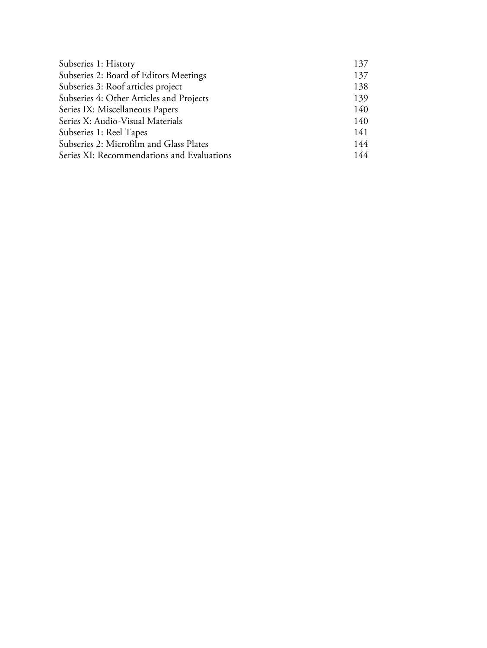| Subseries 1: History                       | 137 |
|--------------------------------------------|-----|
| Subseries 2: Board of Editors Meetings     | 137 |
| Subseries 3: Roof articles project         | 138 |
| Subseries 4: Other Articles and Projects   | 139 |
| Series IX: Miscellaneous Papers            | 140 |
| Series X: Audio-Visual Materials           | 140 |
| Subseries 1: Reel Tapes                    | 141 |
| Subseries 2: Microfilm and Glass Plates    | 144 |
| Series XI: Recommendations and Evaluations | 144 |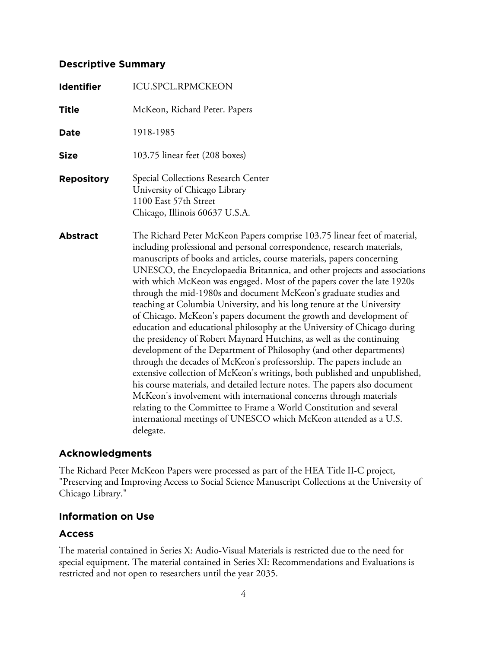# **Descriptive Summary**

| <b>Identifier</b> | <b>ICU.SPCL.RPMCKEON</b>                                                                                                                                                                                                                                                                                                                                                                                                                                                                                                                                                                                                                                                                                                                                                                                                                                                                                                                                                                                                                                                                                                                                                                                                                                                                              |
|-------------------|-------------------------------------------------------------------------------------------------------------------------------------------------------------------------------------------------------------------------------------------------------------------------------------------------------------------------------------------------------------------------------------------------------------------------------------------------------------------------------------------------------------------------------------------------------------------------------------------------------------------------------------------------------------------------------------------------------------------------------------------------------------------------------------------------------------------------------------------------------------------------------------------------------------------------------------------------------------------------------------------------------------------------------------------------------------------------------------------------------------------------------------------------------------------------------------------------------------------------------------------------------------------------------------------------------|
| Title             | McKeon, Richard Peter. Papers                                                                                                                                                                                                                                                                                                                                                                                                                                                                                                                                                                                                                                                                                                                                                                                                                                                                                                                                                                                                                                                                                                                                                                                                                                                                         |
| <b>Date</b>       | 1918-1985                                                                                                                                                                                                                                                                                                                                                                                                                                                                                                                                                                                                                                                                                                                                                                                                                                                                                                                                                                                                                                                                                                                                                                                                                                                                                             |
| Size              | 103.75 linear feet (208 boxes)                                                                                                                                                                                                                                                                                                                                                                                                                                                                                                                                                                                                                                                                                                                                                                                                                                                                                                                                                                                                                                                                                                                                                                                                                                                                        |
| <b>Repository</b> | Special Collections Research Center<br>University of Chicago Library<br>1100 East 57th Street<br>Chicago, Illinois 60637 U.S.A.                                                                                                                                                                                                                                                                                                                                                                                                                                                                                                                                                                                                                                                                                                                                                                                                                                                                                                                                                                                                                                                                                                                                                                       |
| <b>Abstract</b>   | The Richard Peter McKeon Papers comprise 103.75 linear feet of material,<br>including professional and personal correspondence, research materials,<br>manuscripts of books and articles, course materials, papers concerning<br>UNESCO, the Encyclopaedia Britannica, and other projects and associations<br>with which McKeon was engaged. Most of the papers cover the late 1920s<br>through the mid-1980s and document McKeon's graduate studies and<br>teaching at Columbia University, and his long tenure at the University<br>of Chicago. McKeon's papers document the growth and development of<br>education and educational philosophy at the University of Chicago during<br>the presidency of Robert Maynard Hutchins, as well as the continuing<br>development of the Department of Philosophy (and other departments)<br>through the decades of McKeon's professorship. The papers include an<br>extensive collection of McKeon's writings, both published and unpublished,<br>his course materials, and detailed lecture notes. The papers also document<br>McKeon's involvement with international concerns through materials<br>relating to the Committee to Frame a World Constitution and several<br>international meetings of UNESCO which McKeon attended as a U.S.<br>delegate. |

# **Acknowledgments**

The Richard Peter McKeon Papers were processed as part of the HEA Title II-C project, "Preserving and Improving Access to Social Science Manuscript Collections at the University of Chicago Library."

# **Information on Use**

# **Access**

The material contained in Series X: Audio-Visual Materials is restricted due to the need for special equipment. The material contained in Series XI: Recommendations and Evaluations is restricted and not open to researchers until the year 2035.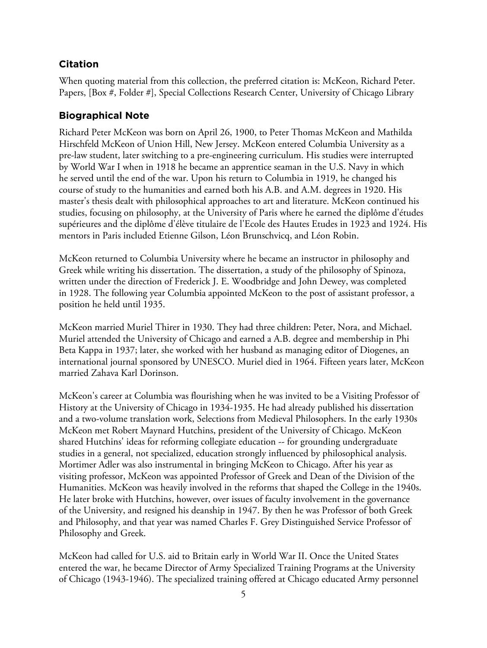# **Citation**

When quoting material from this collection, the preferred citation is: McKeon, Richard Peter. Papers, [Box #, Folder #], Special Collections Research Center, University of Chicago Library

# **Biographical Note**

Richard Peter McKeon was born on April 26, 1900, to Peter Thomas McKeon and Mathilda Hirschfeld McKeon of Union Hill, New Jersey. McKeon entered Columbia University as a pre-law student, later switching to a pre-engineering curriculum. His studies were interrupted by World War I when in 1918 he became an apprentice seaman in the U.S. Navy in which he served until the end of the war. Upon his return to Columbia in 1919, he changed his course of study to the humanities and earned both his A.B. and A.M. degrees in 1920. His master's thesis dealt with philosophical approaches to art and literature. McKeon continued his studies, focusing on philosophy, at the University of Paris where he earned the diplôme d'études supérieures and the diplôme d'élève titulaire de l'Ecole des Hautes Etudes in 1923 and 1924. His mentors in Paris included Etienne Gilson, Léon Brunschvicq, and Léon Robin.

McKeon returned to Columbia University where he became an instructor in philosophy and Greek while writing his dissertation. The dissertation, a study of the philosophy of Spinoza, written under the direction of Frederick J. E. Woodbridge and John Dewey, was completed in 1928. The following year Columbia appointed McKeon to the post of assistant professor, a position he held until 1935.

McKeon married Muriel Thirer in 1930. They had three children: Peter, Nora, and Michael. Muriel attended the University of Chicago and earned a A.B. degree and membership in Phi Beta Kappa in 1937; later, she worked with her husband as managing editor of Diogenes, an international journal sponsored by UNESCO. Muriel died in 1964. Fifteen years later, McKeon married Zahava Karl Dorinson.

McKeon's career at Columbia was flourishing when he was invited to be a Visiting Professor of History at the University of Chicago in 1934-1935. He had already published his dissertation and a two-volume translation work, Selections from Medieval Philosophers. In the early 1930s McKeon met Robert Maynard Hutchins, president of the University of Chicago. McKeon shared Hutchins' ideas for reforming collegiate education -- for grounding undergraduate studies in a general, not specialized, education strongly influenced by philosophical analysis. Mortimer Adler was also instrumental in bringing McKeon to Chicago. After his year as visiting professor, McKeon was appointed Professor of Greek and Dean of the Division of the Humanities. McKeon was heavily involved in the reforms that shaped the College in the 1940s. He later broke with Hutchins, however, over issues of faculty involvement in the governance of the University, and resigned his deanship in 1947. By then he was Professor of both Greek and Philosophy, and that year was named Charles F. Grey Distinguished Service Professor of Philosophy and Greek.

McKeon had called for U.S. aid to Britain early in World War II. Once the United States entered the war, he became Director of Army Specialized Training Programs at the University of Chicago (1943-1946). The specialized training offered at Chicago educated Army personnel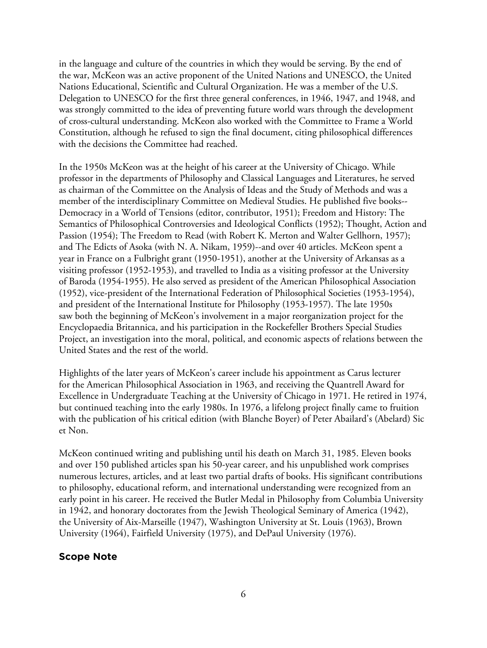in the language and culture of the countries in which they would be serving. By the end of the war, McKeon was an active proponent of the United Nations and UNESCO, the United Nations Educational, Scientific and Cultural Organization. He was a member of the U.S. Delegation to UNESCO for the first three general conferences, in 1946, 1947, and 1948, and was strongly committed to the idea of preventing future world wars through the development of cross-cultural understanding. McKeon also worked with the Committee to Frame a World Constitution, although he refused to sign the final document, citing philosophical differences with the decisions the Committee had reached.

In the 1950s McKeon was at the height of his career at the University of Chicago. While professor in the departments of Philosophy and Classical Languages and Literatures, he served as chairman of the Committee on the Analysis of Ideas and the Study of Methods and was a member of the interdisciplinary Committee on Medieval Studies. He published five books-- Democracy in a World of Tensions (editor, contributor, 1951); Freedom and History: The Semantics of Philosophical Controversies and Ideological Conflicts (1952); Thought, Action and Passion (1954); The Freedom to Read (with Robert K. Merton and Walter Gellhorn, 1957); and The Edicts of Asoka (with N. A. Nikam, 1959)--and over 40 articles. McKeon spent a year in France on a Fulbright grant (1950-1951), another at the University of Arkansas as a visiting professor (1952-1953), and travelled to India as a visiting professor at the University of Baroda (1954-1955). He also served as president of the American Philosophical Association (1952), vice-president of the International Federation of Philosophical Societies (1953-1954), and president of the International Institute for Philosophy (1953-1957). The late 1950s saw both the beginning of McKeon's involvement in a major reorganization project for the Encyclopaedia Britannica, and his participation in the Rockefeller Brothers Special Studies Project, an investigation into the moral, political, and economic aspects of relations between the United States and the rest of the world.

Highlights of the later years of McKeon's career include his appointment as Carus lecturer for the American Philosophical Association in 1963, and receiving the Quantrell Award for Excellence in Undergraduate Teaching at the University of Chicago in 1971. He retired in 1974, but continued teaching into the early 1980s. In 1976, a lifelong project finally came to fruition with the publication of his critical edition (with Blanche Boyer) of Peter Abailard's (Abelard) Sic et Non.

McKeon continued writing and publishing until his death on March 31, 1985. Eleven books and over 150 published articles span his 50-year career, and his unpublished work comprises numerous lectures, articles, and at least two partial drafts of books. His significant contributions to philosophy, educational reform, and international understanding were recognized from an early point in his career. He received the Butler Medal in Philosophy from Columbia University in 1942, and honorary doctorates from the Jewish Theological Seminary of America (1942), the University of Aix-Marseille (1947), Washington University at St. Louis (1963), Brown University (1964), Fairfield University (1975), and DePaul University (1976).

## **Scope Note**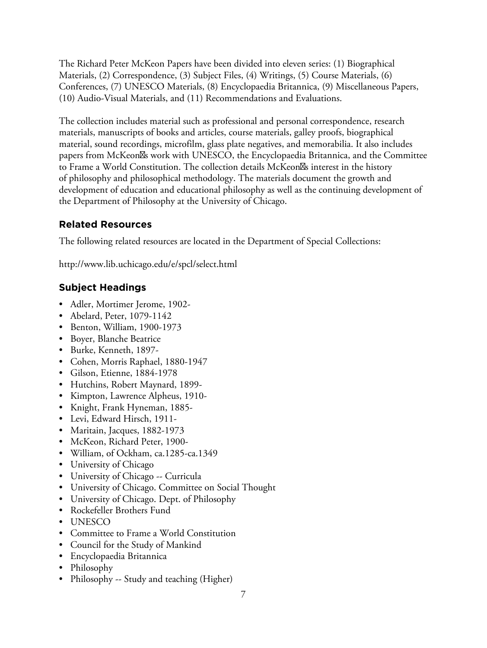The Richard Peter McKeon Papers have been divided into eleven series: (1) Biographical Materials, (2) Correspondence, (3) Subject Files, (4) Writings, (5) Course Materials, (6) Conferences, (7) UNESCO Materials, (8) Encyclopaedia Britannica, (9) Miscellaneous Papers, (10) Audio-Visual Materials, and (11) Recommendations and Evaluations.

The collection includes material such as professional and personal correspondence, research materials, manuscripts of books and articles, course materials, galley proofs, biographical material, sound recordings, microfilm, glass plate negatives, and memorabilia. It also includes papers from McKeon<sup>os</sup> work with UNESCO, the Encyclopaedia Britannica, and the Committee to Frame a World Constitution. The collection details McKeon<sup>ol</sup>s interest in the history of philosophy and philosophical methodology. The materials document the growth and development of education and educational philosophy as well as the continuing development of the Department of Philosophy at the University of Chicago.

# **Related Resources**

The following related resources are located in the Department of Special Collections:

http://www.lib.uchicago.edu/e/spcl/select.html

# **Subject Headings**

- Adler, Mortimer Jerome, 1902-
- Abelard, Peter, 1079-1142
- Benton, William, 1900-1973
- Boyer, Blanche Beatrice
- Burke, Kenneth, 1897-
- Cohen, Morris Raphael, 1880-1947
- Gilson, Etienne, 1884-1978
- Hutchins, Robert Maynard, 1899-
- Kimpton, Lawrence Alpheus, 1910-
- Knight, Frank Hyneman, 1885-
- Levi, Edward Hirsch, 1911-
- Maritain, Jacques, 1882-1973
- McKeon, Richard Peter, 1900-
- William, of Ockham, ca.1285-ca.1349
- University of Chicago
- University of Chicago -- Curricula
- University of Chicago. Committee on Social Thought
- University of Chicago. Dept. of Philosophy
- Rockefeller Brothers Fund
- UNESCO
- Committee to Frame a World Constitution
- Council for the Study of Mankind
- Encyclopaedia Britannica
- Philosophy
- Philosophy -- Study and teaching (Higher)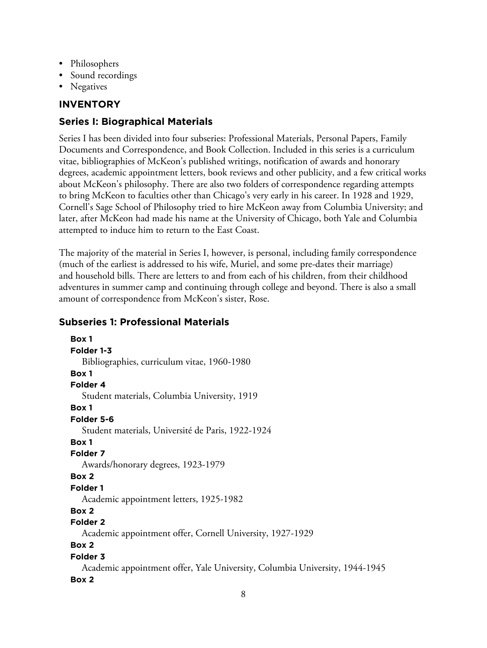- Philosophers
- Sound recordings
- Negatives

# **INVENTORY**

# **Series I: Biographical Materials**

Series I has been divided into four subseries: Professional Materials, Personal Papers, Family Documents and Correspondence, and Book Collection. Included in this series is a curriculum vitae, bibliographies of McKeon's published writings, notification of awards and honorary degrees, academic appointment letters, book reviews and other publicity, and a few critical works about McKeon's philosophy. There are also two folders of correspondence regarding attempts to bring McKeon to faculties other than Chicago's very early in his career. In 1928 and 1929, Cornell's Sage School of Philosophy tried to hire McKeon away from Columbia University; and later, after McKeon had made his name at the University of Chicago, both Yale and Columbia attempted to induce him to return to the East Coast.

The majority of the material in Series I, however, is personal, including family correspondence (much of the earliest is addressed to his wife, Muriel, and some pre-dates their marriage) and household bills. There are letters to and from each of his children, from their childhood adventures in summer camp and continuing through college and beyond. There is also a small amount of correspondence from McKeon's sister, Rose.

# **Subseries 1: Professional Materials**

```
Box 1
Folder 1-3
  Bibliographies, curriculum vitae, 1960-1980
Box 1
Folder 4
  Student materials, Columbia University, 1919
Box 1
Folder 5-6
  Student materials, Université de Paris, 1922-1924
Box 1
Folder 7
  Awards/honorary degrees, 1923-1979
Box 2
Folder 1
  Academic appointment letters, 1925-1982
Box 2
Folder 2
  Academic appointment offer, Cornell University, 1927-1929
Box 2
Folder 3
  Academic appointment offer, Yale University, Columbia University, 1944-1945
Box 2
```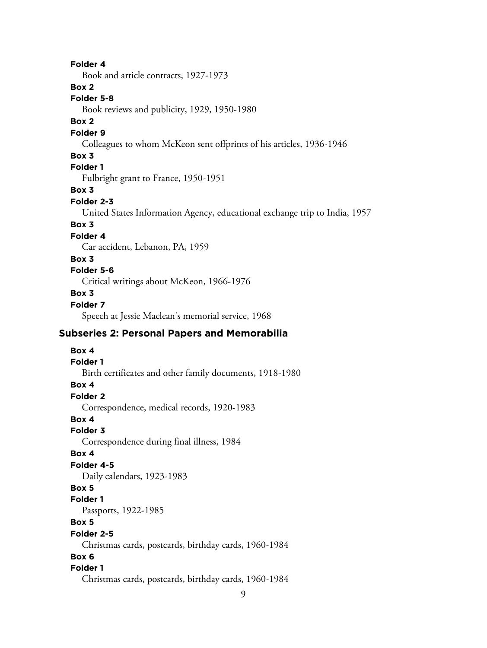## **Folder 4**

Book and article contracts, 1927-1973

## **Box 2**

#### **Folder 5-8**

Book reviews and publicity, 1929, 1950-1980

## **Box 2**

## **Folder 9**

Colleagues to whom McKeon sent offprints of his articles, 1936-1946

#### **Box 3**

## **Folder 1**

Fulbright grant to France, 1950-1951

#### **Box 3**

#### **Folder 2-3**

United States Information Agency, educational exchange trip to India, 1957

# **Box 3**

## **Folder 4**

Car accident, Lebanon, PA, 1959

#### **Box 3**

## **Folder 5-6**

Critical writings about McKeon, 1966-1976

#### **Box 3**

## **Folder 7**

Speech at Jessie Maclean's memorial service, 1968

# **Subseries 2: Personal Papers and Memorabilia**

# **Box 4 Folder 1** Birth certificates and other family documents, 1918-1980 **Box 4 Folder 2** Correspondence, medical records, 1920-1983 **Box 4 Folder 3** Correspondence during final illness, 1984 **Box 4 Folder 4-5** Daily calendars, 1923-1983 **Box 5 Folder 1** Passports, 1922-1985 **Box 5 Folder 2-5** Christmas cards, postcards, birthday cards, 1960-1984 **Box 6 Folder 1**

Christmas cards, postcards, birthday cards, 1960-1984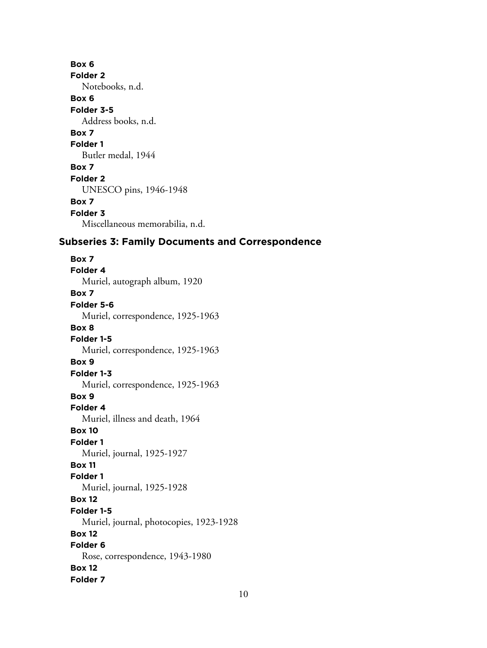**Box 6 Folder 2** Notebooks, n.d. **Box 6 Folder 3-5** Address books, n.d. **Box 7 Folder 1** Butler medal, 1944 **Box 7 Folder 2** UNESCO pins, 1946-1948 **Box 7 Folder 3** Miscellaneous memorabilia, n.d.

# **Subseries 3: Family Documents and Correspondence**

**Box 7 Folder 4** Muriel, autograph album, 1920 **Box 7 Folder 5-6** Muriel, correspondence, 1925-1963 **Box 8 Folder 1-5** Muriel, correspondence, 1925-1963 **Box 9 Folder 1-3** Muriel, correspondence, 1925-1963 **Box 9 Folder 4** Muriel, illness and death, 1964 **Box 10 Folder 1** Muriel, journal, 1925-1927 **Box 11 Folder 1** Muriel, journal, 1925-1928 **Box 12 Folder 1-5** Muriel, journal, photocopies, 1923-1928 **Box 12 Folder 6** Rose, correspondence, 1943-1980 **Box 12 Folder 7**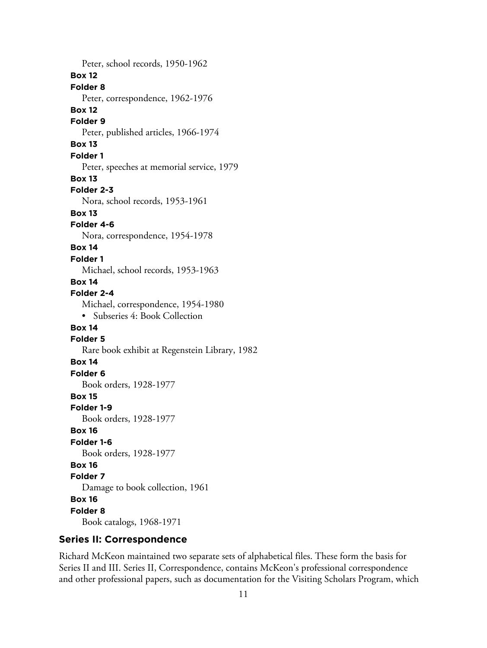Peter, school records, 1950-1962 **Box 12 Folder 8** Peter, correspondence, 1962-1976 **Box 12 Folder 9** Peter, published articles, 1966-1974 **Box 13 Folder 1** Peter, speeches at memorial service, 1979 **Box 13 Folder 2-3** Nora, school records, 1953-1961 **Box 13 Folder 4-6** Nora, correspondence, 1954-1978 **Box 14 Folder 1** Michael, school records, 1953-1963 **Box 14 Folder 2-4** Michael, correspondence, 1954-1980 • Subseries 4: Book Collection **Box 14 Folder 5** Rare book exhibit at Regenstein Library, 1982 **Box 14 Folder 6** Book orders, 1928-1977 **Box 15 Folder 1-9** Book orders, 1928-1977 **Box 16 Folder 1-6** Book orders, 1928-1977 **Box 16 Folder 7** Damage to book collection, 1961 **Box 16 Folder 8** Book catalogs, 1968-1971

# **Series II: Correspondence**

Richard McKeon maintained two separate sets of alphabetical files. These form the basis for Series II and III. Series II, Correspondence, contains McKeon's professional correspondence and other professional papers, such as documentation for the Visiting Scholars Program, which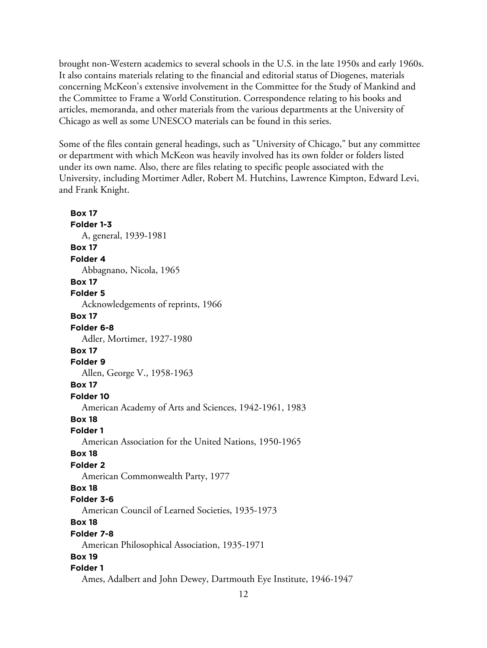brought non-Western academics to several schools in the U.S. in the late 1950s and early 1960s. It also contains materials relating to the financial and editorial status of Diogenes, materials concerning McKeon's extensive involvement in the Committee for the Study of Mankind and the Committee to Frame a World Constitution. Correspondence relating to his books and articles, memoranda, and other materials from the various departments at the University of Chicago as well as some UNESCO materials can be found in this series.

Some of the files contain general headings, such as "University of Chicago," but any committee or department with which McKeon was heavily involved has its own folder or folders listed under its own name. Also, there are files relating to specific people associated with the University, including Mortimer Adler, Robert M. Hutchins, Lawrence Kimpton, Edward Levi, and Frank Knight.

**Box 17 Folder 1-3** A, general, 1939-1981 **Box 17 Folder 4** Abbagnano, Nicola, 1965 **Box 17 Folder 5** Acknowledgements of reprints, 1966 **Box 17 Folder 6-8** Adler, Mortimer, 1927-1980 **Box 17 Folder 9** Allen, George V., 1958-1963 **Box 17 Folder 10** American Academy of Arts and Sciences, 1942-1961, 1983 **Box 18 Folder 1** American Association for the United Nations, 1950-1965 **Box 18 Folder 2** American Commonwealth Party, 1977 **Box 18 Folder 3-6** American Council of Learned Societies, 1935-1973 **Box 18 Folder 7-8** American Philosophical Association, 1935-1971 **Box 19 Folder 1** Ames, Adalbert and John Dewey, Dartmouth Eye Institute, 1946-1947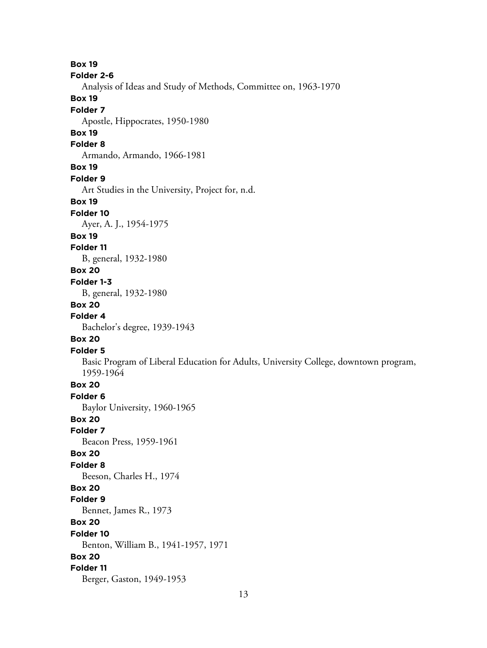**Box 19 Folder 2-6** Analysis of Ideas and Study of Methods, Committee on, 1963-1970 **Box 19 Folder 7** Apostle, Hippocrates, 1950-1980 **Box 19 Folder 8** Armando, Armando, 1966-1981 **Box 19 Folder 9** Art Studies in the University, Project for, n.d. **Box 19 Folder 10** Ayer, A. J., 1954-1975 **Box 19 Folder 11** B, general, 1932-1980 **Box 20 Folder 1-3** B, general, 1932-1980 **Box 20 Folder 4** Bachelor's degree, 1939-1943 **Box 20 Folder 5** Basic Program of Liberal Education for Adults, University College, downtown program, 1959-1964 **Box 20 Folder 6** Baylor University, 1960-1965 **Box 20 Folder 7** Beacon Press, 1959-1961 **Box 20 Folder 8** Beeson, Charles H., 1974 **Box 20 Folder 9** Bennet, James R., 1973 **Box 20 Folder 10** Benton, William B., 1941-1957, 1971 **Box 20 Folder 11** Berger, Gaston, 1949-1953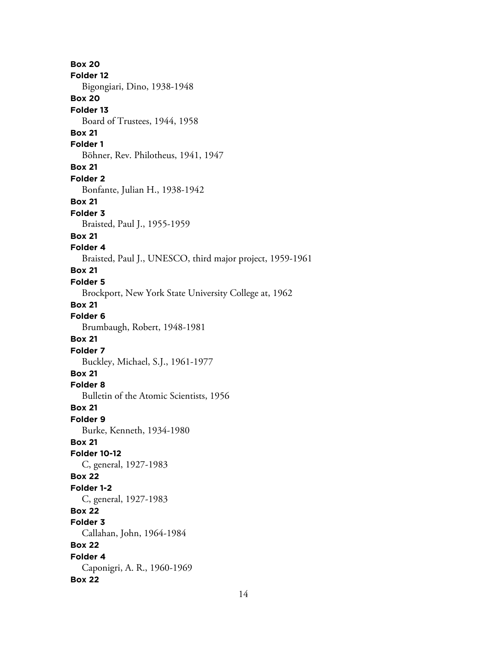**Box 20 Folder 12** Bigongiari, Dino, 1938-1948 **Box 20 Folder 13** Board of Trustees, 1944, 1958 **Box 21 Folder 1** Böhner, Rev. Philotheus, 1941, 1947 **Box 21 Folder 2** Bonfante, Julian H., 1938-1942 **Box 21 Folder 3** Braisted, Paul J., 1955-1959 **Box 21 Folder 4** Braisted, Paul J., UNESCO, third major project, 1959-1961 **Box 21 Folder 5** Brockport, New York State University College at, 1962 **Box 21 Folder 6** Brumbaugh, Robert, 1948-1981 **Box 21 Folder 7** Buckley, Michael, S.J., 1961-1977 **Box 21 Folder 8** Bulletin of the Atomic Scientists, 1956 **Box 21 Folder 9** Burke, Kenneth, 1934-1980 **Box 21 Folder 10-12** C, general, 1927-1983 **Box 22 Folder 1-2** C, general, 1927-1983 **Box 22 Folder 3** Callahan, John, 1964-1984 **Box 22 Folder 4** Caponigri, A. R., 1960-1969 **Box 22**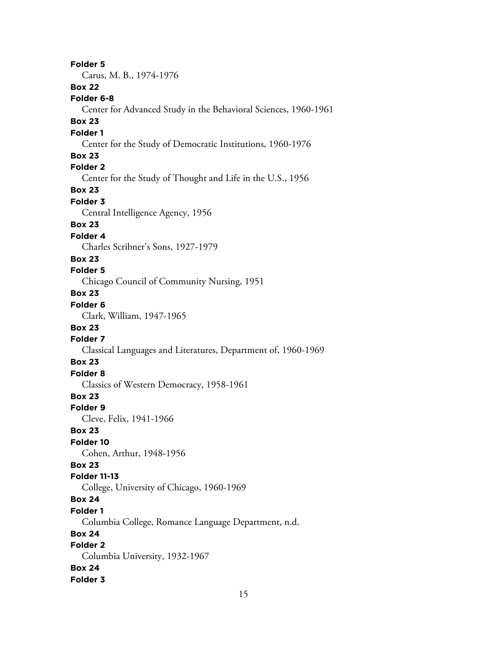**Folder 5** Carus, M. B., 1974-1976 **Box 22 Folder 6-8** Center for Advanced Study in the Behavioral Sciences, 1960-1961 **Box 23 Folder 1** Center for the Study of Democratic Institutions, 1960-1976 **Box 23 Folder 2** Center for the Study of Thought and Life in the U.S., 1956 **Box 23 Folder 3** Central Intelligence Agency, 1956 **Box 23 Folder 4** Charles Scribner's Sons, 1927-1979 **Box 23 Folder 5** Chicago Council of Community Nursing, 1951 **Box 23 Folder 6** Clark, William, 1947-1965 **Box 23 Folder 7** Classical Languages and Literatures, Department of, 1960-1969 **Box 23 Folder 8** Classics of Western Democracy, 1958-1961 **Box 23 Folder 9** Cleve, Felix, 1941-1966 **Box 23 Folder 10** Cohen, Arthur, 1948-1956 **Box 23 Folder 11-13** College, University of Chicago, 1960-1969 **Box 24 Folder 1** Columbia College, Romance Language Department, n.d. **Box 24 Folder 2** Columbia University, 1932-1967 **Box 24 Folder 3**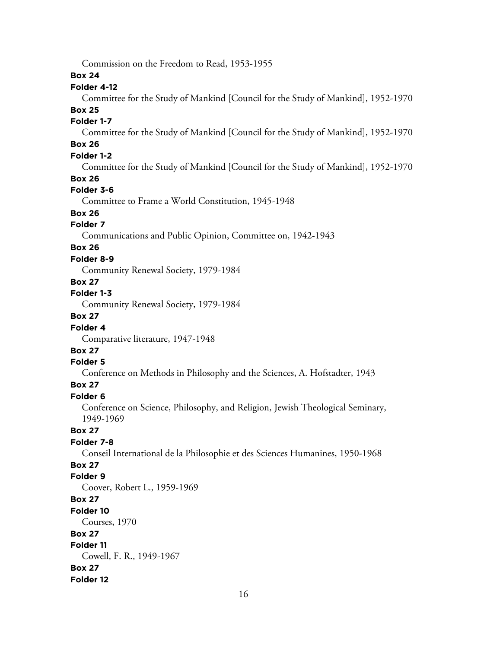Commission on the Freedom to Read, 1953-1955

## **Box 24**

## **Folder 4-12**

Committee for the Study of Mankind [Council for the Study of Mankind], 1952-1970 **Box 25**

# **Folder 1-7**

Committee for the Study of Mankind [Council for the Study of Mankind], 1952-1970

# **Box 26**

## **Folder 1-2**

Committee for the Study of Mankind [Council for the Study of Mankind], 1952-1970

## **Box 26**

## **Folder 3-6**

Committee to Frame a World Constitution, 1945-1948

# **Box 26**

## **Folder 7**

Communications and Public Opinion, Committee on, 1942-1943

## **Box 26**

## **Folder 8-9**

Community Renewal Society, 1979-1984

## **Box 27**

## **Folder 1-3**

Community Renewal Society, 1979-1984

# **Box 27**

## **Folder 4**

Comparative literature, 1947-1948

# **Box 27**

#### **Folder 5**

Conference on Methods in Philosophy and the Sciences, A. Hofstadter, 1943

# **Box 27**

#### **Folder 6**

Conference on Science, Philosophy, and Religion, Jewish Theological Seminary, 1949-1969

## **Box 27**

## **Folder 7-8**

Conseil International de la Philosophie et des Sciences Humanines, 1950-1968

# **Box 27**

## **Folder 9**

Coover, Robert L., 1959-1969 **Box 27**

# **Folder 10**

Courses, 1970

## **Box 27**

#### **Folder 11**

Cowell, F. R., 1949-1967 **Box 27**

# **Folder 12**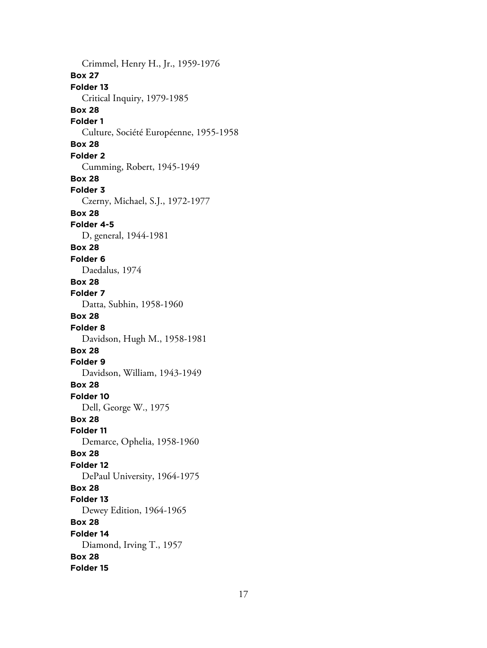Crimmel, Henry H., Jr., 1959-1976 **Box 27 Folder 13** Critical Inquiry, 1979-1985 **Box 28 Folder 1** Culture, Société Européenne, 1955-1958 **Box 28 Folder 2** Cumming, Robert, 1945-1949 **Box 28 Folder 3** Czerny, Michael, S.J., 1972-1977 **Box 28 Folder 4-5** D, general, 1944-1981 **Box 28 Folder 6** Daedalus, 1974 **Box 28 Folder 7** Datta, Subhin, 1958-1960 **Box 28 Folder 8** Davidson, Hugh M., 1958-1981 **Box 28 Folder 9** Davidson, William, 1943-1949 **Box 28 Folder 10** Dell, George W., 1975 **Box 28 Folder 11** Demarce, Ophelia, 1958-1960 **Box 28 Folder 12** DePaul University, 1964-1975 **Box 28 Folder 13** Dewey Edition, 1964-1965 **Box 28 Folder 14** Diamond, Irving T., 1957 **Box 28 Folder 15**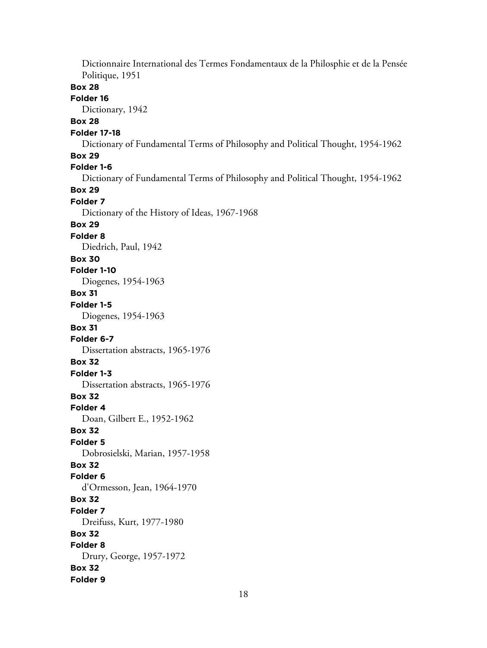Dictionnaire International des Termes Fondamentaux de la Philosphie et de la Pensée Politique, 1951 **Box 28 Folder 16** Dictionary, 1942 **Box 28 Folder 17-18** Dictionary of Fundamental Terms of Philosophy and Political Thought, 1954-1962 **Box 29 Folder 1-6** Dictionary of Fundamental Terms of Philosophy and Political Thought, 1954-1962 **Box 29 Folder 7** Dictionary of the History of Ideas, 1967-1968 **Box 29 Folder 8** Diedrich, Paul, 1942 **Box 30 Folder 1-10** Diogenes, 1954-1963 **Box 31 Folder 1-5** Diogenes, 1954-1963 **Box 31 Folder 6-7** Dissertation abstracts, 1965-1976 **Box 32 Folder 1-3** Dissertation abstracts, 1965-1976 **Box 32 Folder 4** Doan, Gilbert E., 1952-1962 **Box 32 Folder 5** Dobrosielski, Marian, 1957-1958 **Box 32 Folder 6** d'Ormesson, Jean, 1964-1970 **Box 32 Folder 7** Dreifuss, Kurt, 1977-1980 **Box 32 Folder 8** Drury, George, 1957-1972 **Box 32 Folder 9**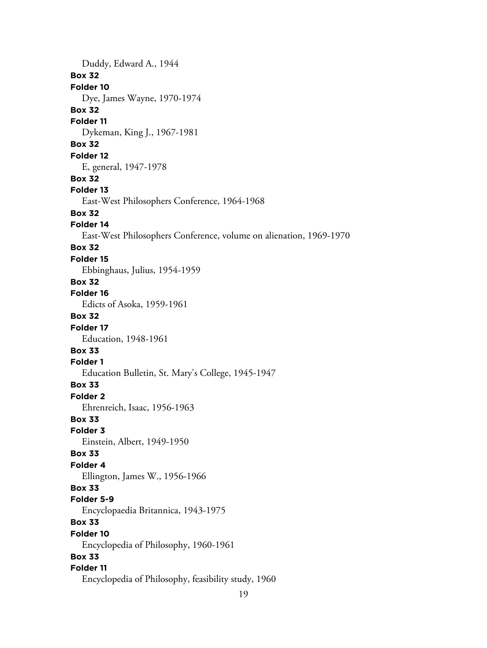Duddy, Edward A., 1944 **Box 32 Folder 10** Dye, James Wayne, 1970-1974 **Box 32 Folder 11** Dykeman, King J., 1967-1981 **Box 32 Folder 12** E, general, 1947-1978 **Box 32 Folder 13** East-West Philosophers Conference, 1964-1968 **Box 32 Folder 14** East-West Philosophers Conference, volume on alienation, 1969-1970 **Box 32 Folder 15** Ebbinghaus, Julius, 1954-1959 **Box 32 Folder 16** Edicts of Asoka, 1959-1961 **Box 32 Folder 17** Education, 1948-1961 **Box 33 Folder 1** Education Bulletin, St. Mary's College, 1945-1947 **Box 33 Folder 2** Ehrenreich, Isaac, 1956-1963 **Box 33 Folder 3** Einstein, Albert, 1949-1950 **Box 33 Folder 4** Ellington, James W., 1956-1966 **Box 33 Folder 5-9** Encyclopaedia Britannica, 1943-1975 **Box 33 Folder 10** Encyclopedia of Philosophy, 1960-1961 **Box 33 Folder 11** Encyclopedia of Philosophy, feasibility study, 1960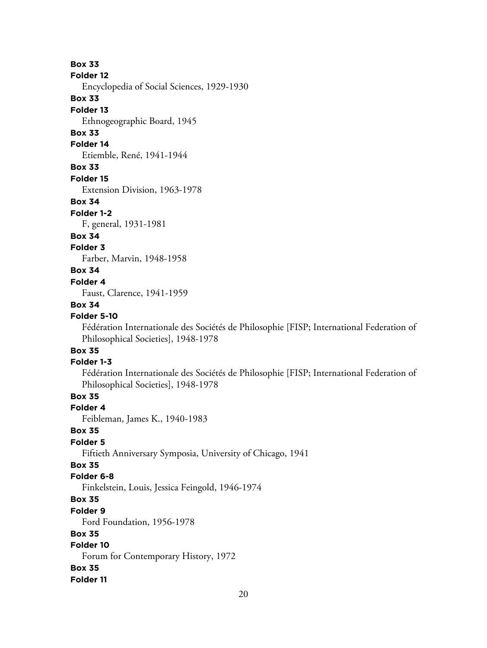## **Box 33**

#### **Folder 12**

Encyclopedia of Social Sciences, 1929-1930

## **Box 33**

#### **Folder 13**

Ethnogeographic Board, 1945

# **Box 33**

## **Folder 14**

Etiemble, René, 1941-1944

## **Box 33**

**Folder 15**

Extension Division, 1963-1978

#### **Box 34**

#### **Folder 1-2**

F, general, 1931-1981

## **Box 34**

**Folder 3** Farber, Marvin, 1948-1958

# **Box 34**

# **Folder 4**

Faust, Clarence, 1941-1959

## **Box 34**

## **Folder 5-10**

Fédération Internationale des Sociétés de Philosophie [FISP; International Federation of Philosophical Societies], 1948-1978

# **Box 35**

## **Folder 1-3**

Fédération Internationale des Sociétés de Philosophie [FISP; International Federation of Philosophical Societies], 1948-1978

# **Box 35**

## **Folder 4**

Feibleman, James K., 1940-1983

#### **Box 35**

## **Folder 5**

Fiftieth Anniversary Symposia, University of Chicago, 1941

## **Box 35**

## **Folder 6-8**

Finkelstein, Louis, Jessica Feingold, 1946-1974

## **Box 35**

#### **Folder 9**

Ford Foundation, 1956-1978

#### **Box 35**

## **Folder 10**

Forum for Contemporary History, 1972

#### **Box 35**

#### **Folder 11**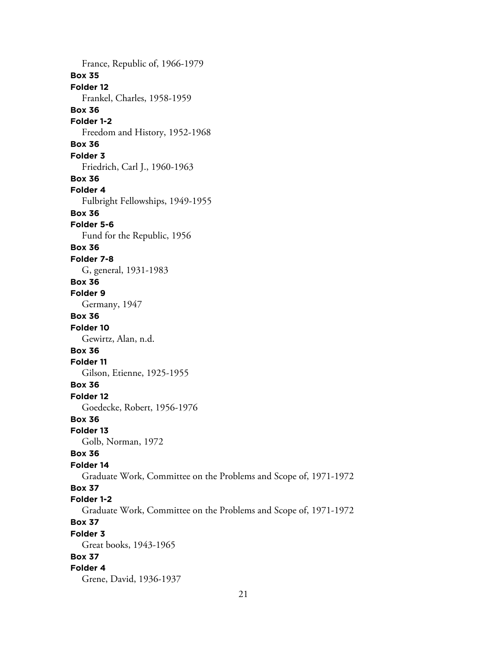France, Republic of, 1966-1979 **Box 35 Folder 12** Frankel, Charles, 1958-1959 **Box 36 Folder 1-2** Freedom and History, 1952-1968 **Box 36 Folder 3** Friedrich, Carl J., 1960-1963 **Box 36 Folder 4** Fulbright Fellowships, 1949-1955 **Box 36 Folder 5-6** Fund for the Republic, 1956 **Box 36 Folder 7-8** G, general, 1931-1983 **Box 36 Folder 9** Germany, 1947 **Box 36 Folder 10** Gewirtz, Alan, n.d. **Box 36 Folder 11** Gilson, Etienne, 1925-1955 **Box 36 Folder 12** Goedecke, Robert, 1956-1976 **Box 36 Folder 13** Golb, Norman, 1972 **Box 36 Folder 14** Graduate Work, Committee on the Problems and Scope of, 1971-1972 **Box 37 Folder 1-2** Graduate Work, Committee on the Problems and Scope of, 1971-1972 **Box 37 Folder 3** Great books, 1943-1965 **Box 37 Folder 4** Grene, David, 1936-1937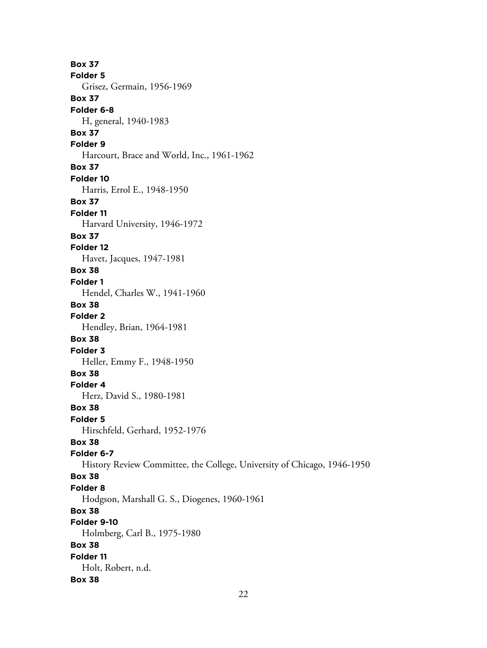**Box 37 Folder 5** Grisez, Germain, 1956-1969 **Box 37 Folder 6-8** H, general, 1940-1983 **Box 37 Folder 9** Harcourt, Brace and World, Inc., 1961-1962 **Box 37 Folder 10** Harris, Errol E., 1948-1950 **Box 37 Folder 11** Harvard University, 1946-1972 **Box 37 Folder 12** Havet, Jacques, 1947-1981 **Box 38 Folder 1** Hendel, Charles W., 1941-1960 **Box 38 Folder 2** Hendley, Brian, 1964-1981 **Box 38 Folder 3** Heller, Emmy F., 1948-1950 **Box 38 Folder 4** Herz, David S., 1980-1981 **Box 38 Folder 5** Hirschfeld, Gerhard, 1952-1976 **Box 38 Folder 6-7** History Review Committee, the College, University of Chicago, 1946-1950 **Box 38 Folder 8** Hodgson, Marshall G. S., Diogenes, 1960-1961 **Box 38 Folder 9-10** Holmberg, Carl B., 1975-1980 **Box 38 Folder 11** Holt, Robert, n.d. **Box 38**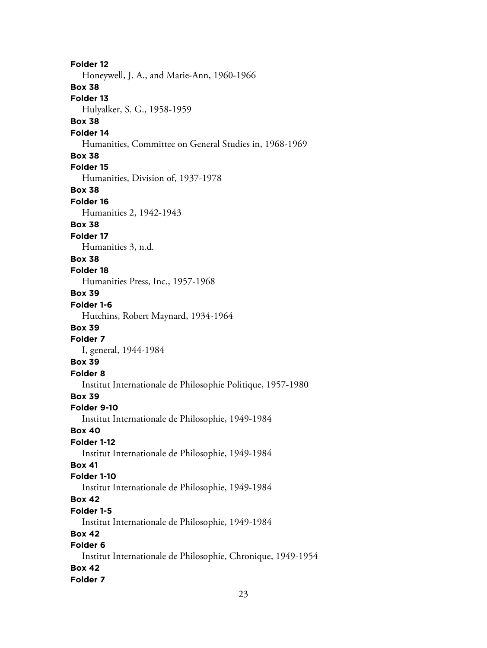**Folder 12** Honeywell, J. A., and Marie-Ann, 1960-1966 **Box 38 Folder 13** Hulyalker, S. G., 1958-1959 **Box 38 Folder 14** Humanities, Committee on General Studies in, 1968-1969 **Box 38 Folder 15** Humanities, Division of, 1937-1978 **Box 38 Folder 16** Humanities 2, 1942-1943 **Box 38 Folder 17** Humanities 3, n.d. **Box 38 Folder 18** Humanities Press, Inc., 1957-1968 **Box 39 Folder 1-6** Hutchins, Robert Maynard, 1934-1964 **Box 39 Folder 7** I, general, 1944-1984 **Box 39 Folder 8** Institut Internationale de Philosophie Politique, 1957-1980 **Box 39 Folder 9-10** Institut Internationale de Philosophie, 1949-1984 **Box 40 Folder 1-12** Institut Internationale de Philosophie, 1949-1984 **Box 41 Folder 1-10** Institut Internationale de Philosophie, 1949-1984 **Box 42 Folder 1-5** Institut Internationale de Philosophie, 1949-1984 **Box 42 Folder 6** Institut Internationale de Philosophie, Chronique, 1949-1954 **Box 42 Folder 7**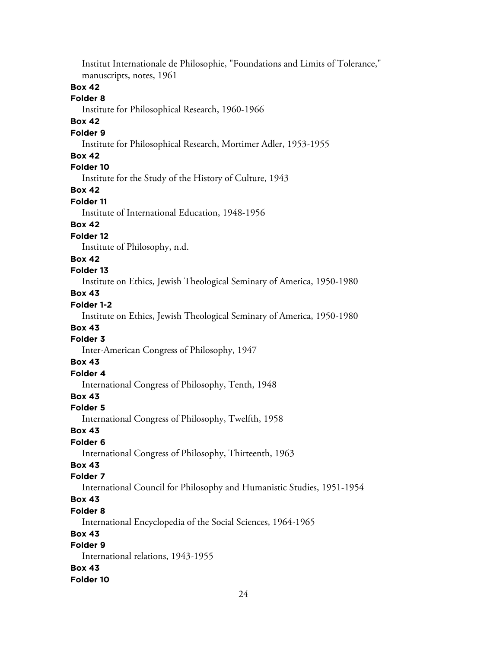Institut Internationale de Philosophie, "Foundations and Limits of Tolerance," manuscripts, notes, 1961 **Box 42 Folder 8** Institute for Philosophical Research, 1960-1966 **Box 42 Folder 9** Institute for Philosophical Research, Mortimer Adler, 1953-1955 **Box 42 Folder 10** Institute for the Study of the History of Culture, 1943 **Box 42 Folder 11** Institute of International Education, 1948-1956 **Box 42 Folder 12** Institute of Philosophy, n.d. **Box 42 Folder 13** Institute on Ethics, Jewish Theological Seminary of America, 1950-1980 **Box 43 Folder 1-2** Institute on Ethics, Jewish Theological Seminary of America, 1950-1980 **Box 43 Folder 3** Inter-American Congress of Philosophy, 1947 **Box 43 Folder 4** International Congress of Philosophy, Tenth, 1948 **Box 43 Folder 5** International Congress of Philosophy, Twelfth, 1958 **Box 43 Folder 6** International Congress of Philosophy, Thirteenth, 1963 **Box 43 Folder 7** International Council for Philosophy and Humanistic Studies, 1951-1954 **Box 43 Folder 8** International Encyclopedia of the Social Sciences, 1964-1965 **Box 43 Folder 9** International relations, 1943-1955 **Box 43 Folder 10**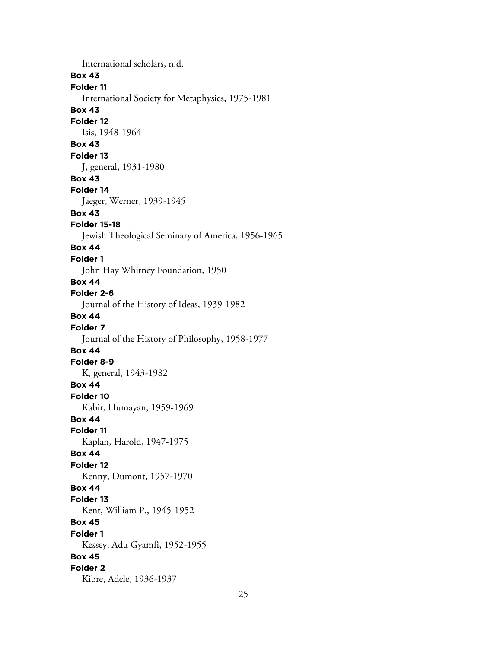International scholars, n.d. **Box 43 Folder 11** International Society for Metaphysics, 1975-1981 **Box 43 Folder 12** Isis, 1948-1964 **Box 43 Folder 13** J, general, 1931-1980 **Box 43 Folder 14** Jaeger, Werner, 1939-1945 **Box 43 Folder 15-18** Jewish Theological Seminary of America, 1956-1965 **Box 44 Folder 1** John Hay Whitney Foundation, 1950 **Box 44 Folder 2-6** Journal of the History of Ideas, 1939-1982 **Box 44 Folder 7** Journal of the History of Philosophy, 1958-1977 **Box 44 Folder 8-9** K, general, 1943-1982 **Box 44 Folder 10** Kabir, Humayan, 1959-1969 **Box 44 Folder 11** Kaplan, Harold, 1947-1975 **Box 44 Folder 12** Kenny, Dumont, 1957-1970 **Box 44 Folder 13** Kent, William P., 1945-1952 **Box 45 Folder 1** Kessey, Adu Gyamfi, 1952-1955 **Box 45 Folder 2** Kibre, Adele, 1936-1937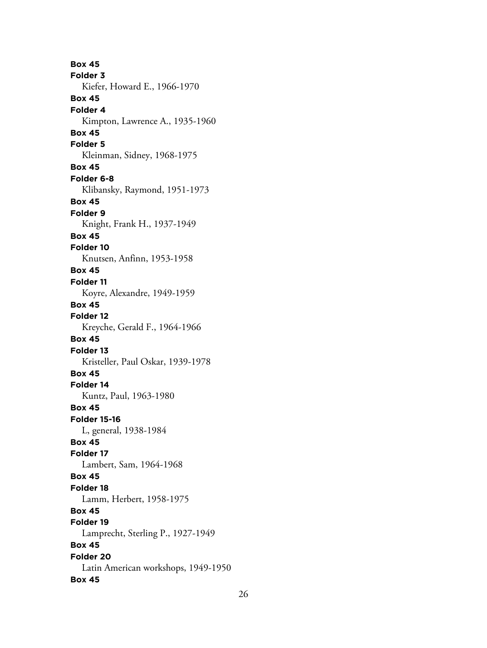**Box 45 Folder 3** Kiefer, Howard E., 1966-1970 **Box 45 Folder 4** Kimpton, Lawrence A., 1935-1960 **Box 45 Folder 5** Kleinman, Sidney, 1968-1975 **Box 45 Folder 6-8** Klibansky, Raymond, 1951-1973 **Box 45 Folder 9** Knight, Frank H., 1937-1949 **Box 45 Folder 10** Knutsen, Anfinn, 1953-1958 **Box 45 Folder 11** Koyre, Alexandre, 1949-1959 **Box 45 Folder 12** Kreyche, Gerald F., 1964-1966 **Box 45 Folder 13** Kristeller, Paul Oskar, 1939-1978 **Box 45 Folder 14** Kuntz, Paul, 1963-1980 **Box 45 Folder 15-16** L, general, 1938-1984 **Box 45 Folder 17** Lambert, Sam, 1964-1968 **Box 45 Folder 18** Lamm, Herbert, 1958-1975 **Box 45 Folder 19** Lamprecht, Sterling P., 1927-1949 **Box 45 Folder 20** Latin American workshops, 1949-1950 **Box 45**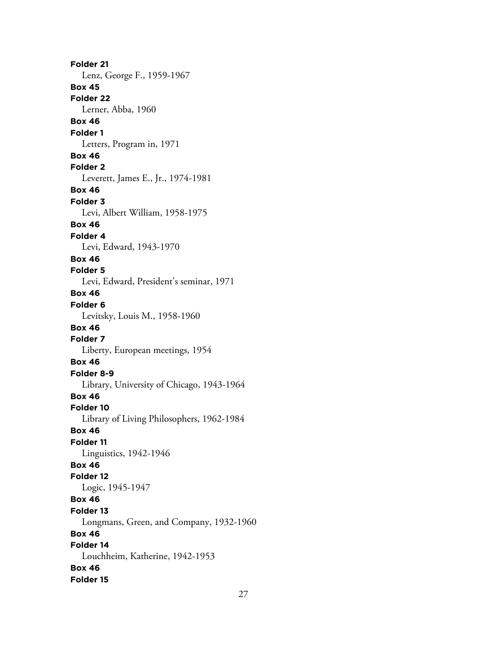**Folder 21** Lenz, George F., 1959-1967 **Box 45 Folder 22** Lerner, Abba, 1960 **Box 46 Folder 1** Letters, Program in, 1971 **Box 46 Folder 2** Leverett, James E., Jr., 1974-1981 **Box 46 Folder 3** Levi, Albert William, 1958-1975 **Box 46 Folder 4** Levi, Edward, 1943-1970 **Box 46 Folder 5** Levi, Edward, President's seminar, 1971 **Box 46 Folder 6** Levitsky, Louis M., 1958-1960 **Box 46 Folder 7** Liberty, European meetings, 1954 **Box 46 Folder 8-9** Library, University of Chicago, 1943-1964 **Box 46 Folder 10** Library of Living Philosophers, 1962-1984 **Box 46 Folder 11** Linguistics, 1942-1946 **Box 46 Folder 12** Logic, 1945-1947 **Box 46 Folder 13** Longmans, Green, and Company, 1932-1960 **Box 46 Folder 14** Louchheim, Katherine, 1942-1953 **Box 46 Folder 15**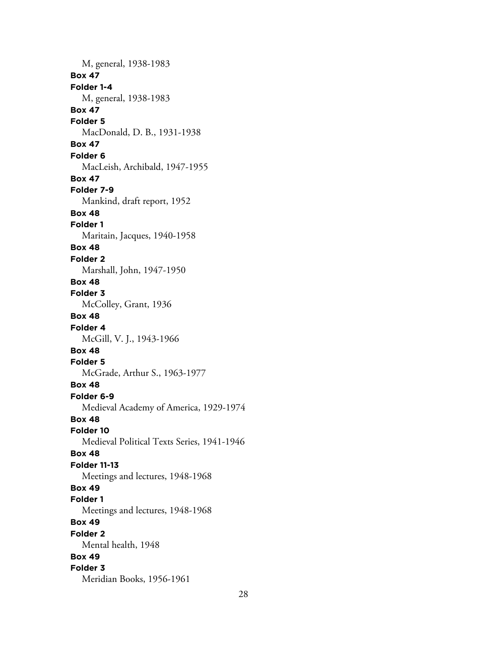M, general, 1938-1983 **Box 47 Folder 1-4** M, general, 1938-1983 **Box 47 Folder 5** MacDonald, D. B., 1931-1938 **Box 47 Folder 6** MacLeish, Archibald, 1947-1955 **Box 47 Folder 7-9** Mankind, draft report, 1952 **Box 48 Folder 1** Maritain, Jacques, 1940-1958 **Box 48 Folder 2** Marshall, John, 1947-1950 **Box 48 Folder 3** McColley, Grant, 1936 **Box 48 Folder 4** McGill, V. J., 1943-1966 **Box 48 Folder 5** McGrade, Arthur S., 1963-1977 **Box 48 Folder 6-9** Medieval Academy of America, 1929-1974 **Box 48 Folder 10** Medieval Political Texts Series, 1941-1946 **Box 48 Folder 11-13** Meetings and lectures, 1948-1968 **Box 49 Folder 1** Meetings and lectures, 1948-1968 **Box 49 Folder 2** Mental health, 1948 **Box 49 Folder 3** Meridian Books, 1956-1961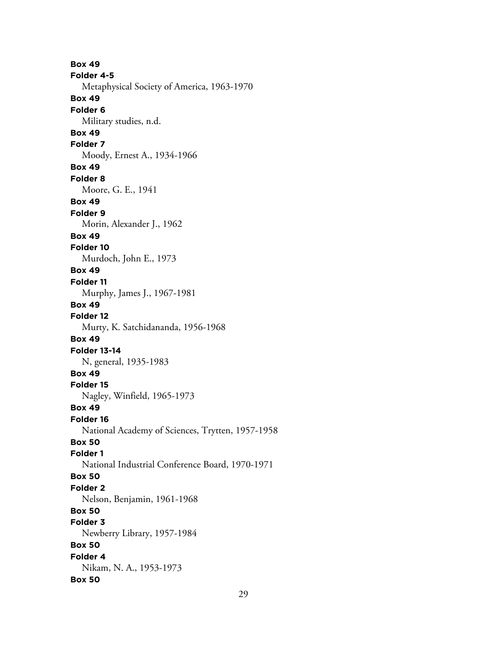**Box 49 Folder 4-5** Metaphysical Society of America, 1963-1970 **Box 49 Folder 6** Military studies, n.d. **Box 49 Folder 7** Moody, Ernest A., 1934-1966 **Box 49 Folder 8** Moore, G. E., 1941 **Box 49 Folder 9** Morin, Alexander J., 1962 **Box 49 Folder 10** Murdoch, John E., 1973 **Box 49 Folder 11** Murphy, James J., 1967-1981 **Box 49 Folder 12** Murty, K. Satchidananda, 1956-1968 **Box 49 Folder 13-14** N, general, 1935-1983 **Box 49 Folder 15** Nagley, Winfield, 1965-1973 **Box 49 Folder 16** National Academy of Sciences, Trytten, 1957-1958 **Box 50 Folder 1** National Industrial Conference Board, 1970-1971 **Box 50 Folder 2** Nelson, Benjamin, 1961-1968 **Box 50 Folder 3** Newberry Library, 1957-1984 **Box 50 Folder 4** Nikam, N. A., 1953-1973 **Box 50**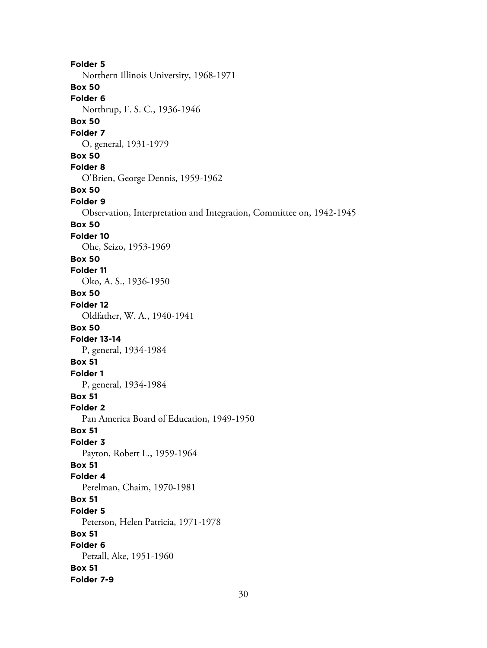**Folder 5** Northern Illinois University, 1968-1971 **Box 50 Folder 6** Northrup, F. S. C., 1936-1946 **Box 50 Folder 7** O, general, 1931-1979 **Box 50 Folder 8** O'Brien, George Dennis, 1959-1962 **Box 50 Folder 9** Observation, Interpretation and Integration, Committee on, 1942-1945 **Box 50 Folder 10** Ohe, Seizo, 1953-1969 **Box 50 Folder 11** Oko, A. S., 1936-1950 **Box 50 Folder 12** Oldfather, W. A., 1940-1941 **Box 50 Folder 13-14** P, general, 1934-1984 **Box 51 Folder 1** P, general, 1934-1984 **Box 51 Folder 2** Pan America Board of Education, 1949-1950 **Box 51 Folder 3** Payton, Robert L., 1959-1964 **Box 51 Folder 4** Perelman, Chaim, 1970-1981 **Box 51 Folder 5** Peterson, Helen Patricia, 1971-1978 **Box 51 Folder 6** Petzall, Ake, 1951-1960 **Box 51 Folder 7-9**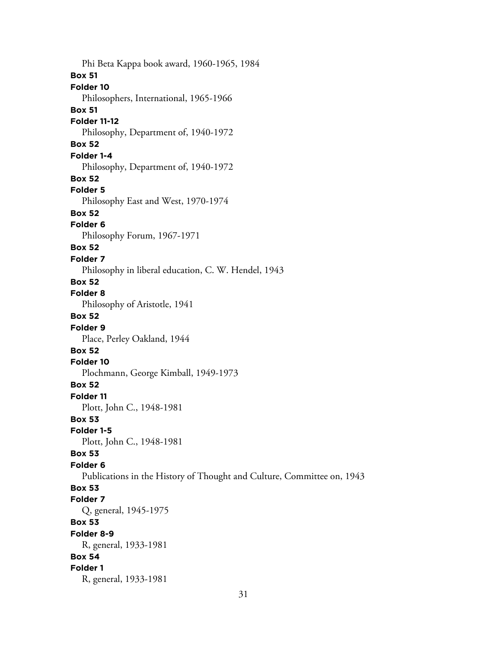Phi Beta Kappa book award, 1960-1965, 1984 **Box 51 Folder 10** Philosophers, International, 1965-1966 **Box 51 Folder 11-12** Philosophy, Department of, 1940-1972 **Box 52 Folder 1-4** Philosophy, Department of, 1940-1972 **Box 52 Folder 5** Philosophy East and West, 1970-1974 **Box 52 Folder 6** Philosophy Forum, 1967-1971 **Box 52 Folder 7** Philosophy in liberal education, C. W. Hendel, 1943 **Box 52 Folder 8** Philosophy of Aristotle, 1941 **Box 52 Folder 9** Place, Perley Oakland, 1944 **Box 52 Folder 10** Plochmann, George Kimball, 1949-1973 **Box 52 Folder 11** Plott, John C., 1948-1981 **Box 53 Folder 1-5** Plott, John C., 1948-1981 **Box 53 Folder 6** Publications in the History of Thought and Culture, Committee on, 1943 **Box 53 Folder 7** Q, general, 1945-1975 **Box 53 Folder 8-9** R, general, 1933-1981 **Box 54 Folder 1** R, general, 1933-1981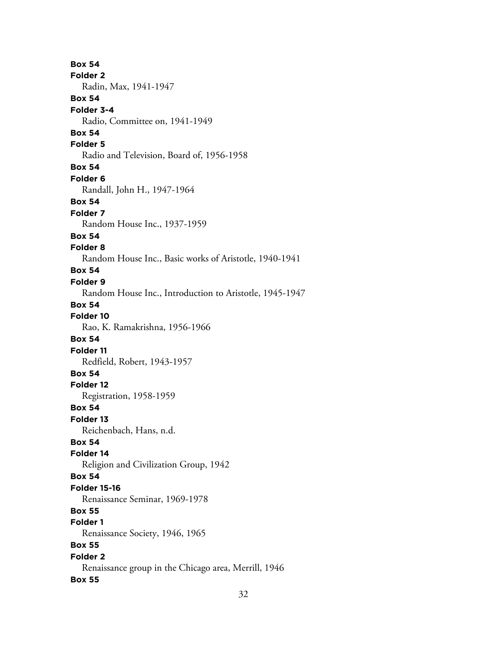**Box 54 Folder 2** Radin, Max, 1941-1947 **Box 54 Folder 3-4** Radio, Committee on, 1941-1949 **Box 54 Folder 5** Radio and Television, Board of, 1956-1958 **Box 54 Folder 6** Randall, John H., 1947-1964 **Box 54 Folder 7** Random House Inc., 1937-1959 **Box 54 Folder 8** Random House Inc., Basic works of Aristotle, 1940-1941 **Box 54 Folder 9** Random House Inc., Introduction to Aristotle, 1945-1947 **Box 54 Folder 10** Rao, K. Ramakrishna, 1956-1966 **Box 54 Folder 11** Redfield, Robert, 1943-1957 **Box 54 Folder 12** Registration, 1958-1959 **Box 54 Folder 13** Reichenbach, Hans, n.d. **Box 54 Folder 14** Religion and Civilization Group, 1942 **Box 54 Folder 15-16** Renaissance Seminar, 1969-1978 **Box 55 Folder 1** Renaissance Society, 1946, 1965 **Box 55 Folder 2** Renaissance group in the Chicago area, Merrill, 1946 **Box 55**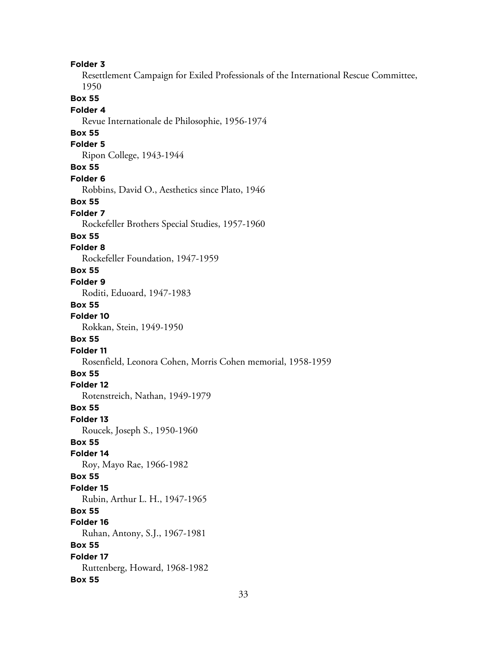**Folder 3** Resettlement Campaign for Exiled Professionals of the International Rescue Committee, 1950 **Box 55 Folder 4** Revue Internationale de Philosophie, 1956-1974 **Box 55 Folder 5** Ripon College, 1943-1944 **Box 55 Folder 6** Robbins, David O., Aesthetics since Plato, 1946 **Box 55 Folder 7** Rockefeller Brothers Special Studies, 1957-1960 **Box 55 Folder 8** Rockefeller Foundation, 1947-1959 **Box 55 Folder 9** Roditi, Eduoard, 1947-1983 **Box 55 Folder 10** Rokkan, Stein, 1949-1950 **Box 55 Folder 11** Rosenfield, Leonora Cohen, Morris Cohen memorial, 1958-1959 **Box 55 Folder 12** Rotenstreich, Nathan, 1949-1979 **Box 55 Folder 13** Roucek, Joseph S., 1950-1960 **Box 55 Folder 14** Roy, Mayo Rae, 1966-1982 **Box 55 Folder 15** Rubin, Arthur L. H., 1947-1965 **Box 55 Folder 16** Ruhan, Antony, S.J., 1967-1981 **Box 55 Folder 17** Ruttenberg, Howard, 1968-1982 **Box 55**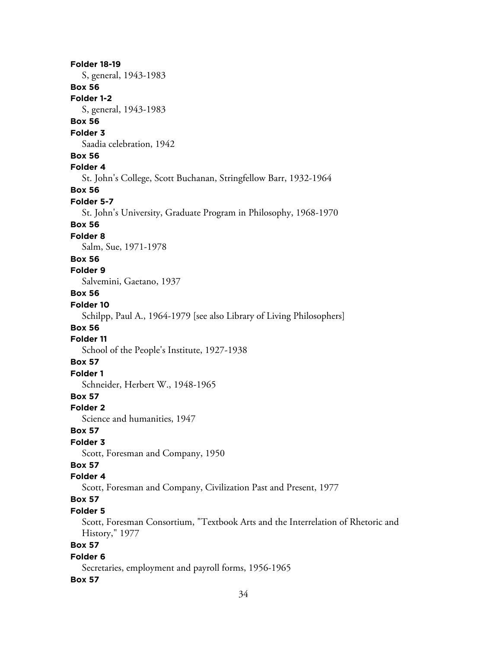**Folder 18-19** S, general, 1943-1983 **Box 56 Folder 1-2** S, general, 1943-1983 **Box 56 Folder 3** Saadia celebration, 1942 **Box 56 Folder 4** St. John's College, Scott Buchanan, Stringfellow Barr, 1932-1964 **Box 56 Folder 5-7** St. John's University, Graduate Program in Philosophy, 1968-1970 **Box 56 Folder 8** Salm, Sue, 1971-1978 **Box 56 Folder 9** Salvemini, Gaetano, 1937 **Box 56 Folder 10** Schilpp, Paul A., 1964-1979 [see also Library of Living Philosophers] **Box 56 Folder 11** School of the People's Institute, 1927-1938 **Box 57 Folder 1** Schneider, Herbert W., 1948-1965 **Box 57 Folder 2** Science and humanities, 1947 **Box 57 Folder 3** Scott, Foresman and Company, 1950 **Box 57 Folder 4** Scott, Foresman and Company, Civilization Past and Present, 1977 **Box 57 Folder 5** Scott, Foresman Consortium, "Textbook Arts and the Interrelation of Rhetoric and History," 1977 **Box 57 Folder 6** Secretaries, employment and payroll forms, 1956-1965

#### **Box 57**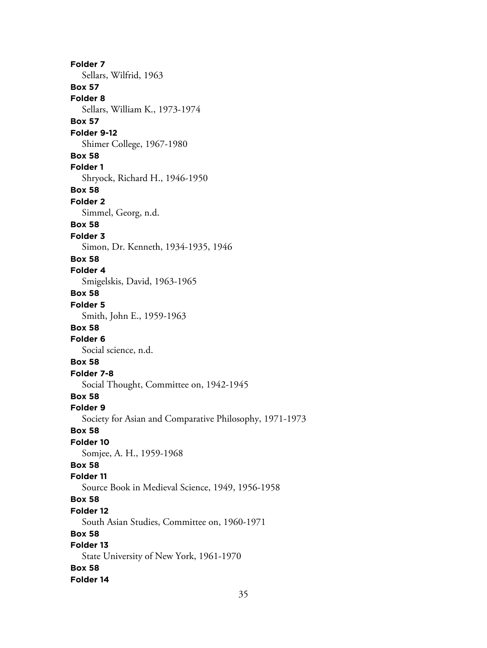**Folder 7** Sellars, Wilfrid, 1963 **Box 57 Folder 8** Sellars, William K., 1973-1974 **Box 57 Folder 9-12** Shimer College, 1967-1980 **Box 58 Folder 1** Shryock, Richard H., 1946-1950 **Box 58 Folder 2** Simmel, Georg, n.d. **Box 58 Folder 3** Simon, Dr. Kenneth, 1934-1935, 1946 **Box 58 Folder 4** Smigelskis, David, 1963-1965 **Box 58 Folder 5** Smith, John E., 1959-1963 **Box 58 Folder 6** Social science, n.d. **Box 58 Folder 7-8** Social Thought, Committee on, 1942-1945 **Box 58 Folder 9** Society for Asian and Comparative Philosophy, 1971-1973 **Box 58 Folder 10** Somjee, A. H., 1959-1968 **Box 58 Folder 11** Source Book in Medieval Science, 1949, 1956-1958 **Box 58 Folder 12** South Asian Studies, Committee on, 1960-1971 **Box 58 Folder 13** State University of New York, 1961-1970 **Box 58 Folder 14**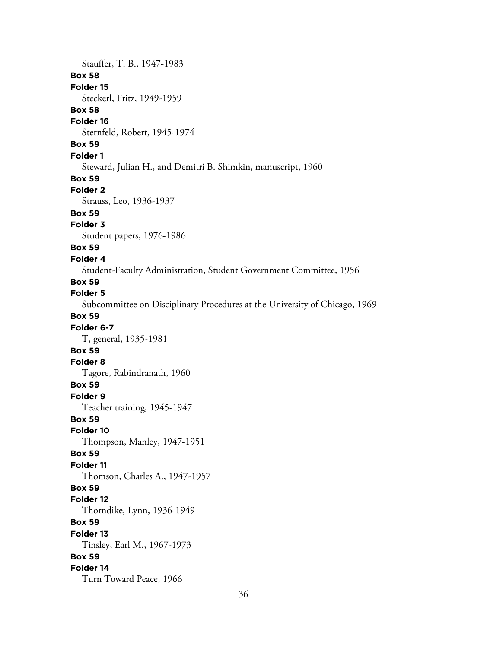Stauffer, T. B., 1947-1983 **Box 58 Folder 15** Steckerl, Fritz, 1949-1959 **Box 58 Folder 16** Sternfeld, Robert, 1945-1974 **Box 59 Folder 1** Steward, Julian H., and Demitri B. Shimkin, manuscript, 1960 **Box 59 Folder 2** Strauss, Leo, 1936-1937 **Box 59 Folder 3** Student papers, 1976-1986 **Box 59 Folder 4** Student-Faculty Administration, Student Government Committee, 1956 **Box 59 Folder 5** Subcommittee on Disciplinary Procedures at the University of Chicago, 1969 **Box 59 Folder 6-7** T, general, 1935-1981 **Box 59 Folder 8** Tagore, Rabindranath, 1960 **Box 59 Folder 9** Teacher training, 1945-1947 **Box 59 Folder 10** Thompson, Manley, 1947-1951 **Box 59 Folder 11** Thomson, Charles A., 1947-1957 **Box 59 Folder 12** Thorndike, Lynn, 1936-1949 **Box 59 Folder 13** Tinsley, Earl M., 1967-1973 **Box 59 Folder 14** Turn Toward Peace, 1966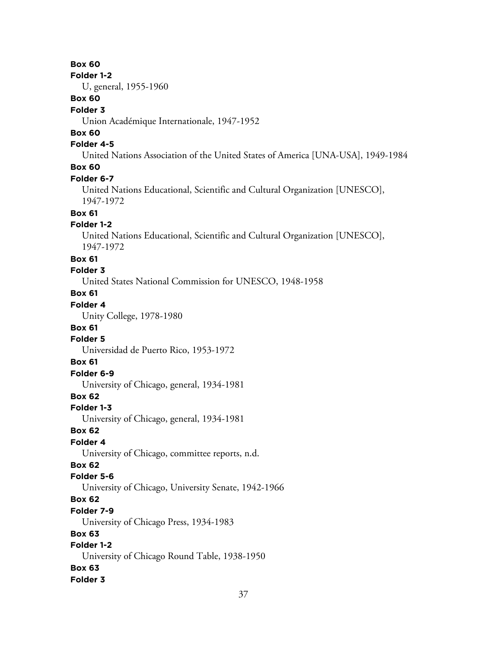### **Box 60**

#### **Folder 1-2**

U, general, 1955-1960

### **Box 60**

#### **Folder 3**

Union Académique Internationale, 1947-1952

## **Box 60**

### **Folder 4-5**

United Nations Association of the United States of America [UNA-USA], 1949-1984

## **Box 60**

#### **Folder 6-7**

United Nations Educational, Scientific and Cultural Organization [UNESCO], 1947-1972

# **Box 61**

### **Folder 1-2**

United Nations Educational, Scientific and Cultural Organization [UNESCO], 1947-1972

#### **Box 61**

# **Folder 3**

United States National Commission for UNESCO, 1948-1958

# **Box 61**

# **Folder 4**

Unity College, 1978-1980

### **Box 61**

### **Folder 5**

Universidad de Puerto Rico, 1953-1972

### **Box 61**

### **Folder 6-9**

University of Chicago, general, 1934-1981

### **Box 62**

#### **Folder 1-3**

University of Chicago, general, 1934-1981

### **Box 62**

### **Folder 4**

University of Chicago, committee reports, n.d.

# **Box 62**

### **Folder 5-6**

University of Chicago, University Senate, 1942-1966

# **Box 62**

### **Folder 7-9**

University of Chicago Press, 1934-1983

### **Box 63**

# **Folder 1-2**

University of Chicago Round Table, 1938-1950

# **Box 63**

### **Folder 3**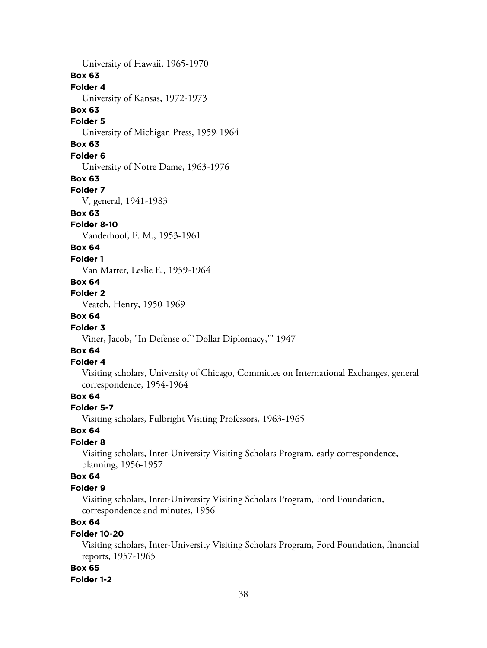University of Hawaii, 1965-1970 **Box 63 Folder 4** University of Kansas, 1972-1973 **Box 63 Folder 5** University of Michigan Press, 1959-1964 **Box 63 Folder 6** University of Notre Dame, 1963-1976 **Box 63 Folder 7** V, general, 1941-1983 **Box 63 Folder 8-10** Vanderhoof, F. M., 1953-1961 **Box 64 Folder 1** Van Marter, Leslie E., 1959-1964 **Box 64 Folder 2** Veatch, Henry, 1950-1969 **Box 64 Folder 3** Viner, Jacob, "In Defense of `Dollar Diplomacy,'" 1947 **Box 64**

#### **Folder 4**

Visiting scholars, University of Chicago, Committee on International Exchanges, general correspondence, 1954-1964

## **Box 64**

#### **Folder 5-7**

Visiting scholars, Fulbright Visiting Professors, 1963-1965

## **Box 64**

### **Folder 8**

Visiting scholars, Inter-University Visiting Scholars Program, early correspondence, planning, 1956-1957

### **Box 64**

#### **Folder 9**

Visiting scholars, Inter-University Visiting Scholars Program, Ford Foundation, correspondence and minutes, 1956

# **Box 64**

#### **Folder 10-20**

Visiting scholars, Inter-University Visiting Scholars Program, Ford Foundation, financial reports, 1957-1965

#### **Box 65**

#### **Folder 1-2**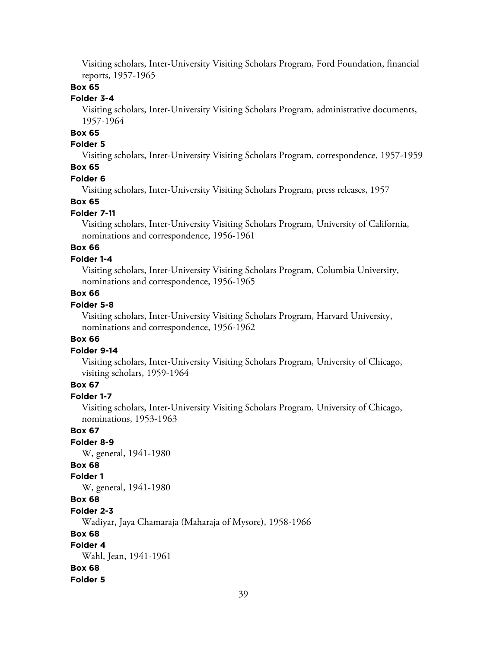Visiting scholars, Inter-University Visiting Scholars Program, Ford Foundation, financial reports, 1957-1965

#### **Box 65**

### **Folder 3-4**

Visiting scholars, Inter-University Visiting Scholars Program, administrative documents, 1957-1964

# **Box 65**

### **Folder 5**

Visiting scholars, Inter-University Visiting Scholars Program, correspondence, 1957-1959

# **Box 65**

#### **Folder 6**

Visiting scholars, Inter-University Visiting Scholars Program, press releases, 1957

#### **Box 65**

#### **Folder 7-11**

Visiting scholars, Inter-University Visiting Scholars Program, University of California, nominations and correspondence, 1956-1961

## **Box 66**

#### **Folder 1-4**

Visiting scholars, Inter-University Visiting Scholars Program, Columbia University, nominations and correspondence, 1956-1965

### **Box 66**

### **Folder 5-8**

Visiting scholars, Inter-University Visiting Scholars Program, Harvard University, nominations and correspondence, 1956-1962

#### **Box 66**

#### **Folder 9-14**

Visiting scholars, Inter-University Visiting Scholars Program, University of Chicago, visiting scholars, 1959-1964

### **Box 67**

## **Folder 1-7**

Visiting scholars, Inter-University Visiting Scholars Program, University of Chicago, nominations, 1953-1963

#### **Box 67**

### **Folder 8-9**

W, general, 1941-1980

### **Box 68**

# **Folder 1**

W, general, 1941-1980

### **Box 68**

**Folder 2-3**

Wadiyar, Jaya Chamaraja (Maharaja of Mysore), 1958-1966

#### **Box 68**

## **Folder 4**

Wahl, Jean, 1941-1961

#### **Box 68**

#### **Folder 5**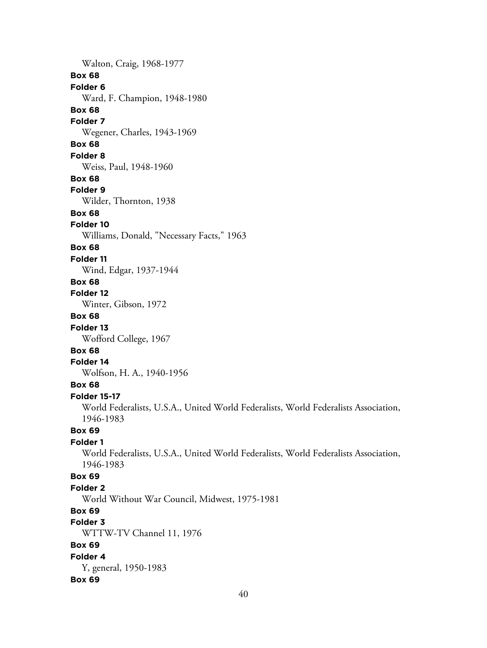Walton, Craig, 1968-1977 **Box 68 Folder 6** Ward, F. Champion, 1948-1980 **Box 68 Folder 7** Wegener, Charles, 1943-1969 **Box 68 Folder 8** Weiss, Paul, 1948-1960 **Box 68 Folder 9** Wilder, Thornton, 1938 **Box 68 Folder 10** Williams, Donald, "Necessary Facts," 1963 **Box 68 Folder 11** Wind, Edgar, 1937-1944 **Box 68 Folder 12** Winter, Gibson, 1972 **Box 68 Folder 13** Wofford College, 1967 **Box 68 Folder 14** Wolfson, H. A., 1940-1956 **Box 68 Folder 15-17** World Federalists, U.S.A., United World Federalists, World Federalists Association, 1946-1983 **Box 69 Folder 1** World Federalists, U.S.A., United World Federalists, World Federalists Association, 1946-1983 **Box 69 Folder 2** World Without War Council, Midwest, 1975-1981 **Box 69 Folder 3** WTTW-TV Channel 11, 1976 **Box 69 Folder 4** Y, general, 1950-1983 **Box 69**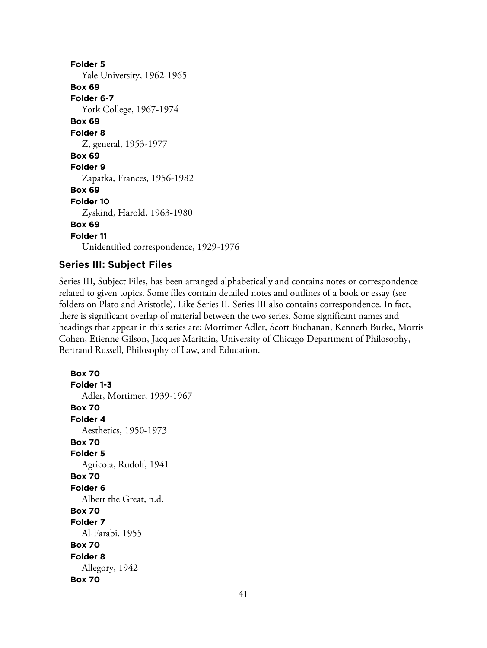**Folder 5** Yale University, 1962-1965 **Box 69 Folder 6-7** York College, 1967-1974 **Box 69 Folder 8** Z, general, 1953-1977 **Box 69 Folder 9** Zapatka, Frances, 1956-1982 **Box 69 Folder 10** Zyskind, Harold, 1963-1980 **Box 69 Folder 11** Unidentified correspondence, 1929-1976

# **Series III: Subject Files**

Series III, Subject Files, has been arranged alphabetically and contains notes or correspondence related to given topics. Some files contain detailed notes and outlines of a book or essay (see folders on Plato and Aristotle). Like Series II, Series III also contains correspondence. In fact, there is significant overlap of material between the two series. Some significant names and headings that appear in this series are: Mortimer Adler, Scott Buchanan, Kenneth Burke, Morris Cohen, Etienne Gilson, Jacques Maritain, University of Chicago Department of Philosophy, Bertrand Russell, Philosophy of Law, and Education.

**Box 70 Folder 1-3** Adler, Mortimer, 1939-1967 **Box 70 Folder 4** Aesthetics, 1950-1973 **Box 70 Folder 5** Agricola, Rudolf, 1941 **Box 70 Folder 6** Albert the Great, n.d. **Box 70 Folder 7** Al-Farabi, 1955 **Box 70 Folder 8** Allegory, 1942 **Box 70**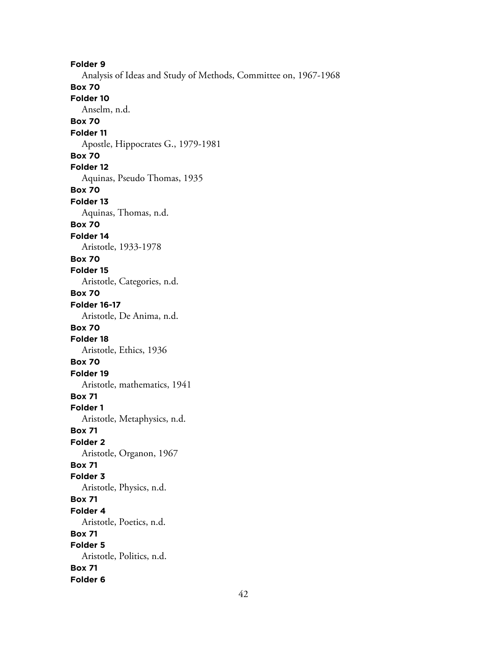**Folder 9** Analysis of Ideas and Study of Methods, Committee on, 1967-1968 **Box 70 Folder 10** Anselm, n.d. **Box 70 Folder 11** Apostle, Hippocrates G., 1979-1981 **Box 70 Folder 12** Aquinas, Pseudo Thomas, 1935 **Box 70 Folder 13** Aquinas, Thomas, n.d. **Box 70 Folder 14** Aristotle, 1933-1978 **Box 70 Folder 15** Aristotle, Categories, n.d. **Box 70 Folder 16-17** Aristotle, De Anima, n.d. **Box 70 Folder 18** Aristotle, Ethics, 1936 **Box 70 Folder 19** Aristotle, mathematics, 1941 **Box 71 Folder 1** Aristotle, Metaphysics, n.d. **Box 71 Folder 2** Aristotle, Organon, 1967 **Box 71 Folder 3** Aristotle, Physics, n.d. **Box 71 Folder 4** Aristotle, Poetics, n.d. **Box 71 Folder 5** Aristotle, Politics, n.d. **Box 71 Folder 6**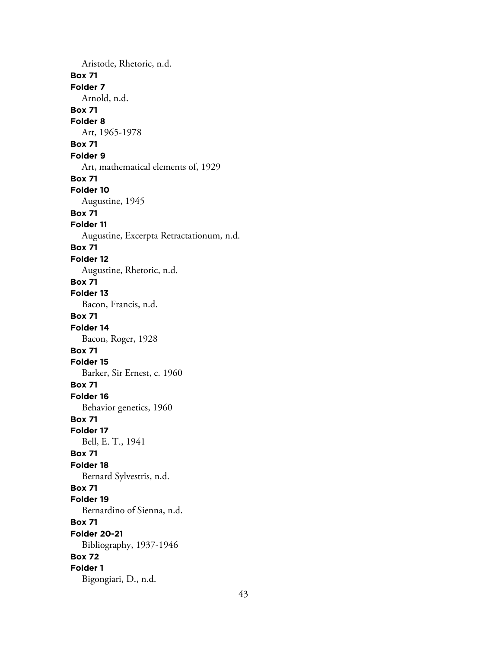Aristotle, Rhetoric, n.d. **Box 71 Folder 7** Arnold, n.d. **Box 71 Folder 8** Art, 1965-1978 **Box 71 Folder 9** Art, mathematical elements of, 1929 **Box 71 Folder 10** Augustine, 1945 **Box 71 Folder 11** Augustine, Excerpta Retractationum, n.d. **Box 71 Folder 12** Augustine, Rhetoric, n.d. **Box 71 Folder 13** Bacon, Francis, n.d. **Box 71 Folder 14** Bacon, Roger, 1928 **Box 71 Folder 15** Barker, Sir Ernest, c. 1960 **Box 71 Folder 16** Behavior genetics, 1960 **Box 71 Folder 17** Bell, E. T., 1941 **Box 71 Folder 18** Bernard Sylvestris, n.d. **Box 71 Folder 19** Bernardino of Sienna, n.d. **Box 71 Folder 20-21** Bibliography, 1937-1946 **Box 72 Folder 1** Bigongiari, D., n.d.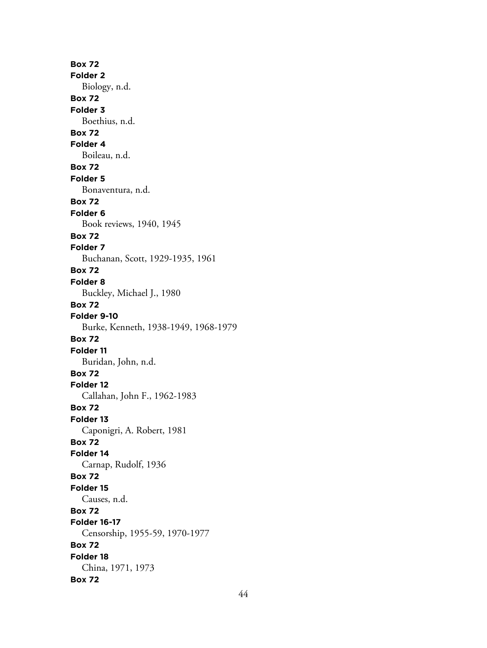**Box 72 Folder 2** Biology, n.d. **Box 72 Folder 3** Boethius, n.d. **Box 72 Folder 4** Boileau, n.d. **Box 72 Folder 5** Bonaventura, n.d. **Box 72 Folder 6** Book reviews, 1940, 1945 **Box 72 Folder 7** Buchanan, Scott, 1929-1935, 1961 **Box 72 Folder 8** Buckley, Michael J., 1980 **Box 72 Folder 9-10** Burke, Kenneth, 1938-1949, 1968-1979 **Box 72 Folder 11** Buridan, John, n.d. **Box 72 Folder 12** Callahan, John F., 1962-1983 **Box 72 Folder 13** Caponigri, A. Robert, 1981 **Box 72 Folder 14** Carnap, Rudolf, 1936 **Box 72 Folder 15** Causes, n.d. **Box 72 Folder 16-17** Censorship, 1955-59, 1970-1977 **Box 72 Folder 18** China, 1971, 1973 **Box 72**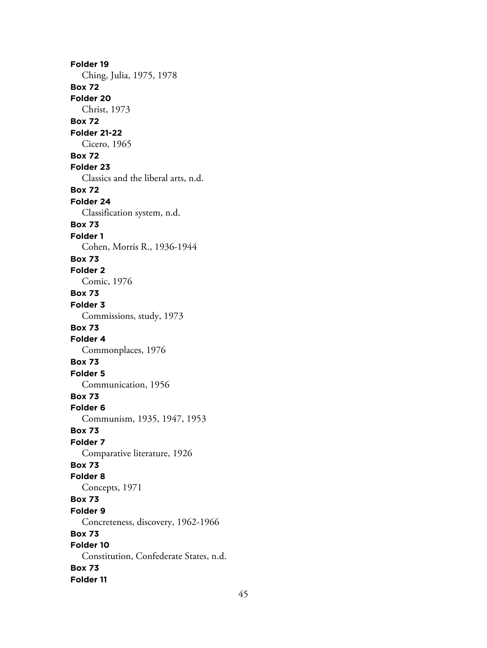**Folder 19** Ching, Julia, 1975, 1978 **Box 72 Folder 20** Christ, 1973 **Box 72 Folder 21-22** Cicero, 1965 **Box 72 Folder 23** Classics and the liberal arts, n.d. **Box 72 Folder 24** Classification system, n.d. **Box 73 Folder 1** Cohen, Morris R., 1936-1944 **Box 73 Folder 2** Comic, 1976 **Box 73 Folder 3** Commissions, study, 1973 **Box 73 Folder 4** Commonplaces, 1976 **Box 73 Folder 5** Communication, 1956 **Box 73 Folder 6** Communism, 1935, 1947, 1953 **Box 73 Folder 7** Comparative literature, 1926 **Box 73 Folder 8** Concepts, 1971 **Box 73 Folder 9** Concreteness, discovery, 1962-1966 **Box 73 Folder 10** Constitution, Confederate States, n.d. **Box 73 Folder 11**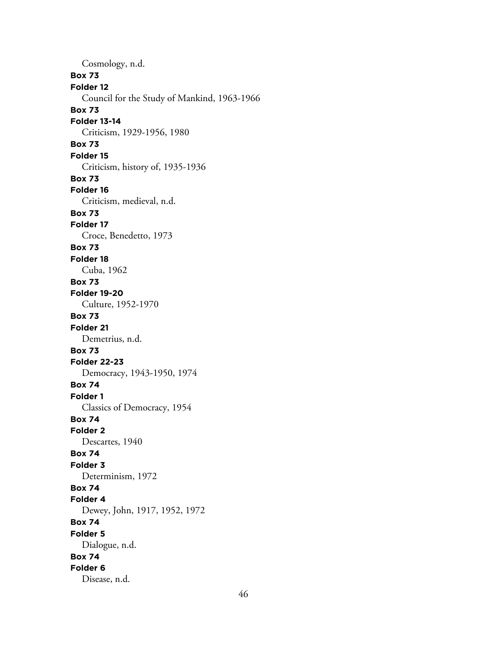Cosmology, n.d. **Box 73 Folder 12** Council for the Study of Mankind, 1963-1966 **Box 73 Folder 13-14** Criticism, 1929-1956, 1980 **Box 73 Folder 15** Criticism, history of, 1935-1936 **Box 73 Folder 16** Criticism, medieval, n.d. **Box 73 Folder 17** Croce, Benedetto, 1973 **Box 73 Folder 18** Cuba, 1962 **Box 73 Folder 19-20** Culture, 1952-1970 **Box 73 Folder 21** Demetrius, n.d. **Box 73 Folder 22-23** Democracy, 1943-1950, 1974 **Box 74 Folder 1** Classics of Democracy, 1954 **Box 74 Folder 2** Descartes, 1940 **Box 74 Folder 3** Determinism, 1972 **Box 74 Folder 4** Dewey, John, 1917, 1952, 1972 **Box 74 Folder 5** Dialogue, n.d. **Box 74 Folder 6** Disease, n.d.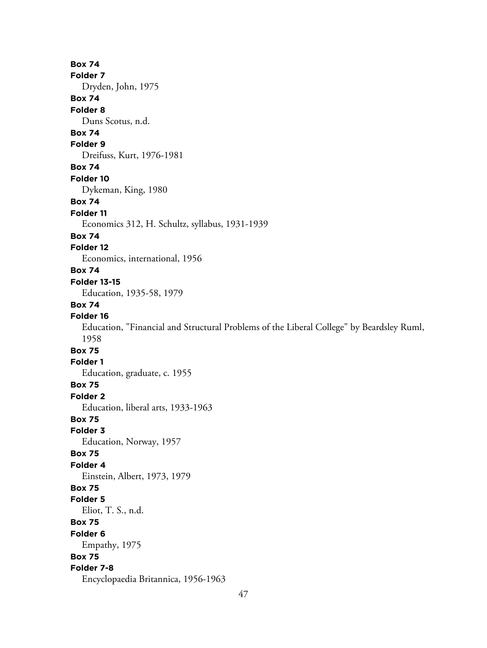**Box 74 Folder 7** Dryden, John, 1975 **Box 74 Folder 8** Duns Scotus, n.d. **Box 74 Folder 9** Dreifuss, Kurt, 1976-1981 **Box 74 Folder 10** Dykeman, King, 1980 **Box 74 Folder 11** Economics 312, H. Schultz, syllabus, 1931-1939 **Box 74 Folder 12** Economics, international, 1956 **Box 74 Folder 13-15** Education, 1935-58, 1979 **Box 74 Folder 16** Education, "Financial and Structural Problems of the Liberal College" by Beardsley Ruml, 1958 **Box 75 Folder 1** Education, graduate, c. 1955 **Box 75 Folder 2** Education, liberal arts, 1933-1963 **Box 75 Folder 3** Education, Norway, 1957 **Box 75 Folder 4** Einstein, Albert, 1973, 1979 **Box 75 Folder 5** Eliot, T. S., n.d. **Box 75 Folder 6** Empathy, 1975 **Box 75 Folder 7-8** Encyclopaedia Britannica, 1956-1963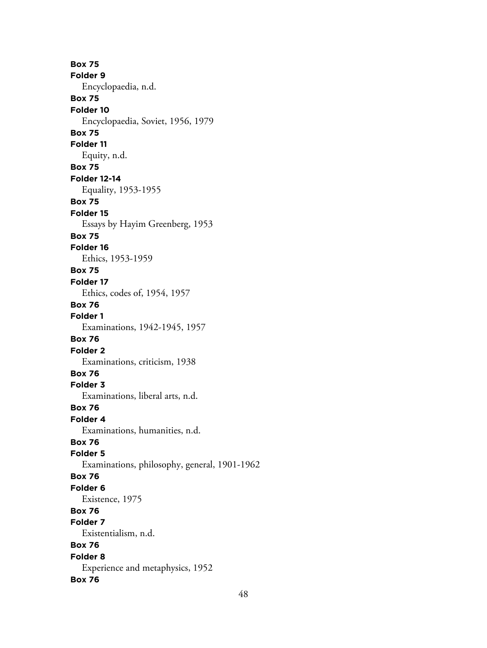**Box 75 Folder 9** Encyclopaedia, n.d. **Box 75 Folder 10** Encyclopaedia, Soviet, 1956, 1979 **Box 75 Folder 11** Equity, n.d. **Box 75 Folder 12-14** Equality, 1953-1955 **Box 75 Folder 15** Essays by Hayim Greenberg, 1953 **Box 75 Folder 16** Ethics, 1953-1959 **Box 75 Folder 17** Ethics, codes of, 1954, 1957 **Box 76 Folder 1** Examinations, 1942-1945, 1957 **Box 76 Folder 2** Examinations, criticism, 1938 **Box 76 Folder 3** Examinations, liberal arts, n.d. **Box 76 Folder 4** Examinations, humanities, n.d. **Box 76 Folder 5** Examinations, philosophy, general, 1901-1962 **Box 76 Folder 6** Existence, 1975 **Box 76 Folder 7** Existentialism, n.d. **Box 76 Folder 8** Experience and metaphysics, 1952 **Box 76**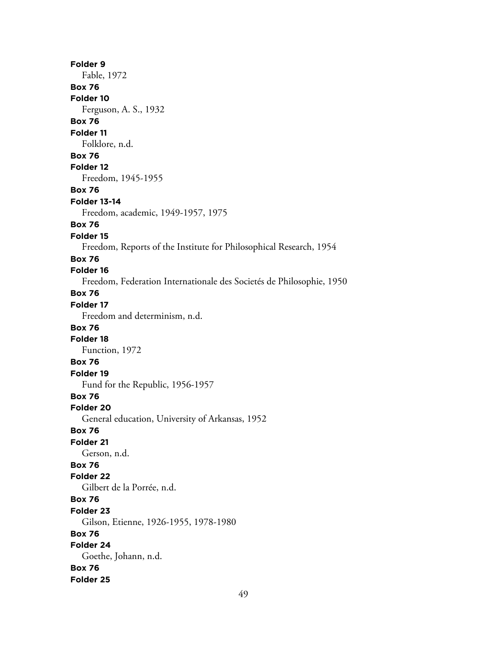**Folder 9** Fable, 1972 **Box 76 Folder 10** Ferguson, A. S., 1932 **Box 76 Folder 11** Folklore, n.d. **Box 76 Folder 12** Freedom, 1945-1955 **Box 76 Folder 13-14** Freedom, academic, 1949-1957, 1975 **Box 76 Folder 15** Freedom, Reports of the Institute for Philosophical Research, 1954 **Box 76 Folder 16** Freedom, Federation Internationale des Societés de Philosophie, 1950 **Box 76 Folder 17** Freedom and determinism, n.d. **Box 76 Folder 18** Function, 1972 **Box 76 Folder 19** Fund for the Republic, 1956-1957 **Box 76 Folder 20** General education, University of Arkansas, 1952 **Box 76 Folder 21** Gerson, n.d. **Box 76 Folder 22** Gilbert de la Porrée, n.d. **Box 76 Folder 23** Gilson, Etienne, 1926-1955, 1978-1980 **Box 76 Folder 24** Goethe, Johann, n.d. **Box 76 Folder 25**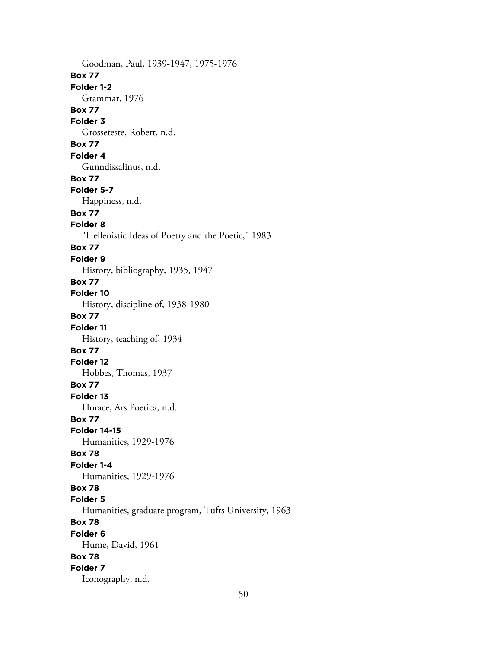Goodman, Paul, 1939-1947, 1975-1976 **Box 77 Folder 1-2** Grammar, 1976 **Box 77 Folder 3** Grosseteste, Robert, n.d. **Box 77 Folder 4** Gunndissalinus, n.d. **Box 77 Folder 5-7** Happiness, n.d. **Box 77 Folder 8** "Hellenistic Ideas of Poetry and the Poetic," 1983 **Box 77 Folder 9** History, bibliography, 1935, 1947 **Box 77 Folder 10** History, discipline of, 1938-1980 **Box 77 Folder 11** History, teaching of, 1934 **Box 77 Folder 12** Hobbes, Thomas, 1937 **Box 77 Folder 13** Horace, Ars Poetica, n.d. **Box 77 Folder 14-15** Humanities, 1929-1976 **Box 78 Folder 1-4** Humanities, 1929-1976 **Box 78 Folder 5** Humanities, graduate program, Tufts University, 1963 **Box 78 Folder 6** Hume, David, 1961 **Box 78 Folder 7** Iconography, n.d.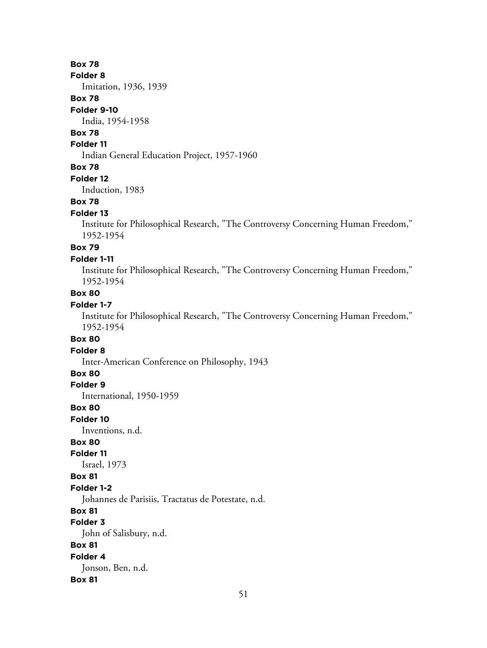### **Box 78**

**Folder 8**

Imitation, 1936, 1939

### **Box 78**

#### **Folder 9-10**

India, 1954-1958

# **Box 78**

### **Folder 11**

Indian General Education Project, 1957-1960

#### **Box 78**

**Folder 12**

Induction, 1983

#### **Box 78**

#### **Folder 13**

Institute for Philosophical Research, "The Controversy Concerning Human Freedom," 1952-1954

### **Box 79**

#### **Folder 1-11**

Institute for Philosophical Research, "The Controversy Concerning Human Freedom," 1952-1954

# **Box 80**

# **Folder 1-7**

Institute for Philosophical Research, "The Controversy Concerning Human Freedom," 1952-1954

#### **Box 80**

**Folder 8**

Inter-American Conference on Philosophy, 1943

# **Box 80**

**Folder 9**

International, 1950-1959

#### **Box 80**

**Folder 10**

Inventions, n.d.

## **Box 80**

**Folder 11**

Israel, 1973

### **Box 81**

#### **Folder 1-2**

Johannes de Parisiis, Tractatus de Potestate, n.d.

### **Box 81**

**Folder 3**

John of Salisbury, n.d.

# **Box 81**

**Folder 4**

Jonson, Ben, n.d.

#### **Box 81**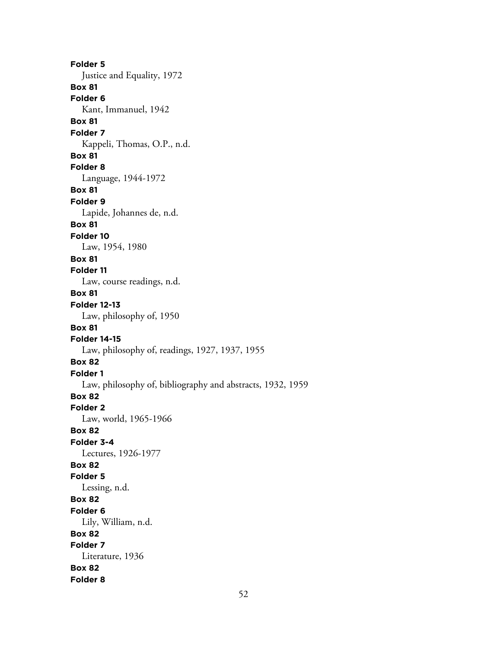**Folder 5** Justice and Equality, 1972 **Box 81 Folder 6** Kant, Immanuel, 1942 **Box 81 Folder 7** Kappeli, Thomas, O.P., n.d. **Box 81 Folder 8** Language, 1944-1972 **Box 81 Folder 9** Lapide, Johannes de, n.d. **Box 81 Folder 10** Law, 1954, 1980 **Box 81 Folder 11** Law, course readings, n.d. **Box 81 Folder 12-13** Law, philosophy of, 1950 **Box 81 Folder 14-15** Law, philosophy of, readings, 1927, 1937, 1955 **Box 82 Folder 1** Law, philosophy of, bibliography and abstracts, 1932, 1959 **Box 82 Folder 2** Law, world, 1965-1966 **Box 82 Folder 3-4** Lectures, 1926-1977 **Box 82 Folder 5** Lessing, n.d. **Box 82 Folder 6** Lily, William, n.d. **Box 82 Folder 7** Literature, 1936 **Box 82 Folder 8**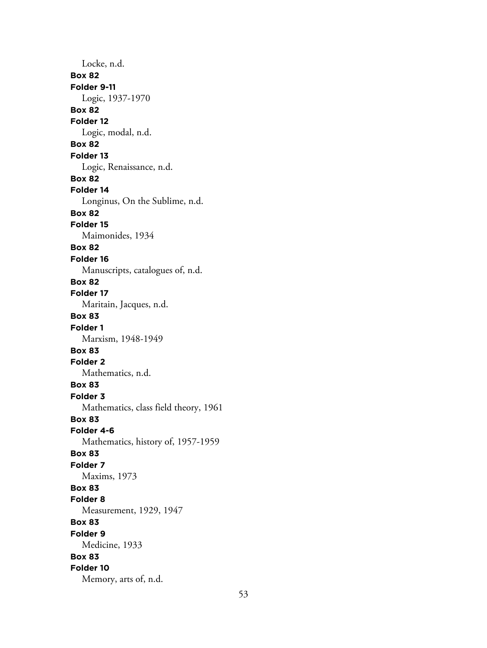Locke, n.d. **Box 82 Folder 9-11** Logic, 1937-1970 **Box 82 Folder 12** Logic, modal, n.d. **Box 82 Folder 13** Logic, Renaissance, n.d. **Box 82 Folder 14** Longinus, On the Sublime, n.d. **Box 82 Folder 15** Maimonides, 1934 **Box 82 Folder 16** Manuscripts, catalogues of, n.d. **Box 82 Folder 17** Maritain, Jacques, n.d. **Box 83 Folder 1** Marxism, 1948-1949 **Box 83 Folder 2** Mathematics, n.d. **Box 83 Folder 3** Mathematics, class field theory, 1961 **Box 83 Folder 4-6** Mathematics, history of, 1957-1959 **Box 83 Folder 7** Maxims, 1973 **Box 83 Folder 8** Measurement, 1929, 1947 **Box 83 Folder 9** Medicine, 1933 **Box 83 Folder 10** Memory, arts of, n.d.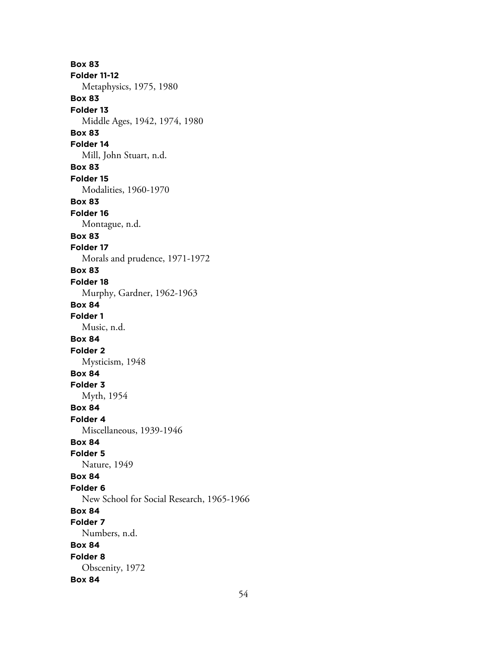**Box 83 Folder 11-12** Metaphysics, 1975, 1980 **Box 83 Folder 13** Middle Ages, 1942, 1974, 1980 **Box 83 Folder 14** Mill, John Stuart, n.d. **Box 83 Folder 15** Modalities, 1960-1970 **Box 83 Folder 16** Montague, n.d. **Box 83 Folder 17** Morals and prudence, 1971-1972 **Box 83 Folder 18** Murphy, Gardner, 1962-1963 **Box 84 Folder 1** Music, n.d. **Box 84 Folder 2** Mysticism, 1948 **Box 84 Folder 3** Myth, 1954 **Box 84 Folder 4** Miscellaneous, 1939-1946 **Box 84 Folder 5** Nature, 1949 **Box 84 Folder 6** New School for Social Research, 1965-1966 **Box 84 Folder 7** Numbers, n.d. **Box 84 Folder 8** Obscenity, 1972 **Box 84**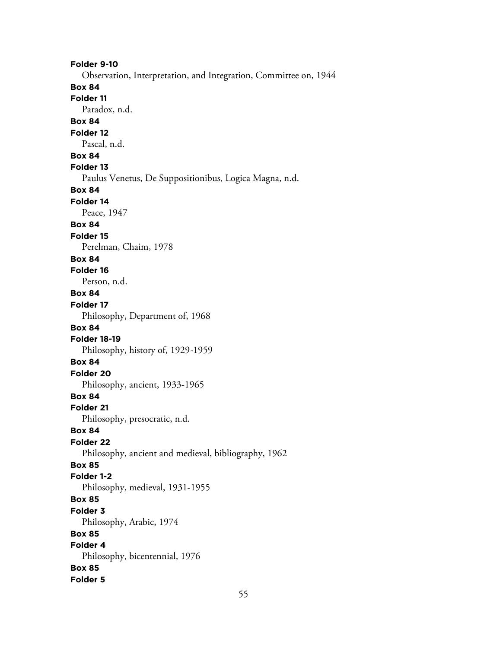**Folder 9-10** Observation, Interpretation, and Integration, Committee on, 1944 **Box 84 Folder 11** Paradox, n.d. **Box 84 Folder 12** Pascal, n.d. **Box 84 Folder 13** Paulus Venetus, De Suppositionibus, Logica Magna, n.d. **Box 84 Folder 14** Peace, 1947 **Box 84 Folder 15** Perelman, Chaim, 1978 **Box 84 Folder 16** Person, n.d. **Box 84 Folder 17** Philosophy, Department of, 1968 **Box 84 Folder 18-19** Philosophy, history of, 1929-1959 **Box 84 Folder 20** Philosophy, ancient, 1933-1965 **Box 84 Folder 21** Philosophy, presocratic, n.d. **Box 84 Folder 22** Philosophy, ancient and medieval, bibliography, 1962 **Box 85 Folder 1-2** Philosophy, medieval, 1931-1955 **Box 85 Folder 3** Philosophy, Arabic, 1974 **Box 85 Folder 4** Philosophy, bicentennial, 1976 **Box 85 Folder 5**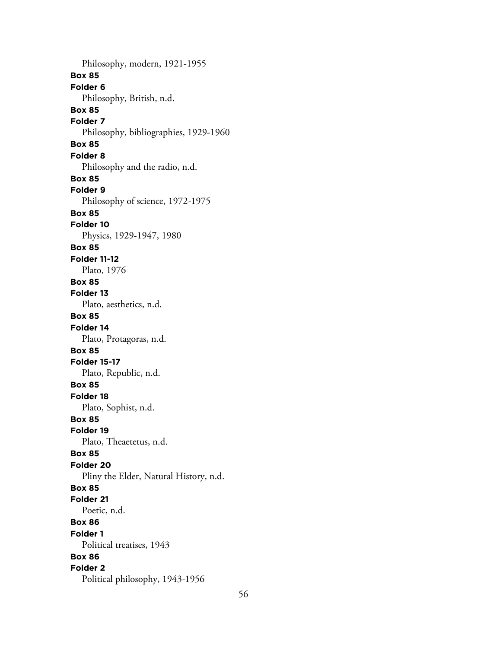Philosophy, modern, 1921-1955 **Box 85 Folder 6** Philosophy, British, n.d. **Box 85 Folder 7** Philosophy, bibliographies, 1929-1960 **Box 85 Folder 8** Philosophy and the radio, n.d. **Box 85 Folder 9** Philosophy of science, 1972-1975 **Box 85 Folder 10** Physics, 1929-1947, 1980 **Box 85 Folder 11-12** Plato, 1976 **Box 85 Folder 13** Plato, aesthetics, n.d. **Box 85 Folder 14** Plato, Protagoras, n.d. **Box 85 Folder 15-17** Plato, Republic, n.d. **Box 85 Folder 18** Plato, Sophist, n.d. **Box 85 Folder 19** Plato, Theaetetus, n.d. **Box 85 Folder 20** Pliny the Elder, Natural History, n.d. **Box 85 Folder 21** Poetic, n.d. **Box 86 Folder 1** Political treatises, 1943 **Box 86 Folder 2** Political philosophy, 1943-1956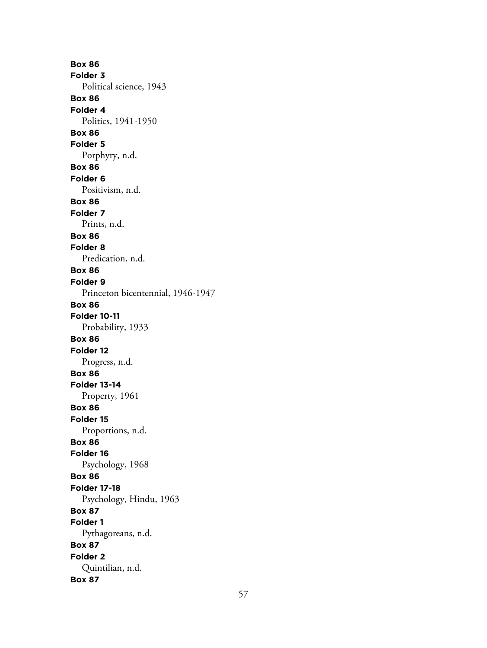**Box 86 Folder 3** Political science, 1943 **Box 86 Folder 4** Politics, 1941-1950 **Box 86 Folder 5** Porphyry, n.d. **Box 86 Folder 6** Positivism, n.d. **Box 86 Folder 7** Prints, n.d. **Box 86 Folder 8** Predication, n.d. **Box 86 Folder 9** Princeton bicentennial, 1946-1947 **Box 86 Folder 10-11** Probability, 1933 **Box 86 Folder 12** Progress, n.d. **Box 86 Folder 13-14** Property, 1961 **Box 86 Folder 15** Proportions, n.d. **Box 86 Folder 16** Psychology, 1968 **Box 86 Folder 17-18** Psychology, Hindu, 1963 **Box 87 Folder 1** Pythagoreans, n.d. **Box 87 Folder 2** Quintilian, n.d. **Box 87**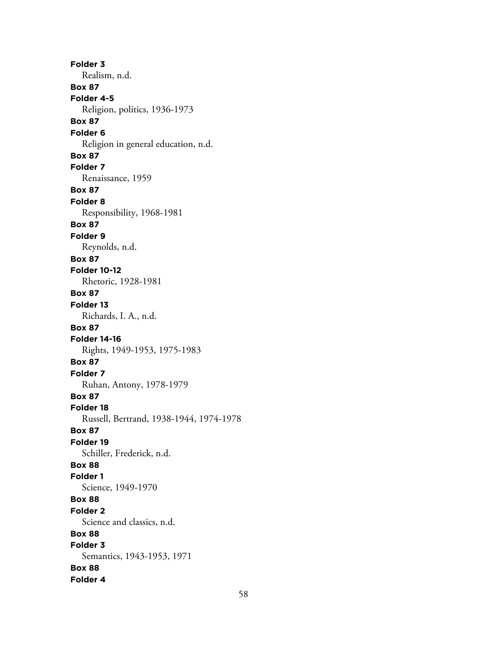**Folder 3** Realism, n.d. **Box 87 Folder 4-5** Religion, politics, 1936-1973 **Box 87 Folder 6** Religion in general education, n.d. **Box 87 Folder 7** Renaissance, 1959 **Box 87 Folder 8** Responsibility, 1968-1981 **Box 87 Folder 9** Reynolds, n.d. **Box 87 Folder 10-12** Rhetoric, 1928-1981 **Box 87 Folder 13** Richards, I. A., n.d. **Box 87 Folder 14-16** Rights, 1949-1953, 1975-1983 **Box 87 Folder 7** Ruhan, Antony, 1978-1979 **Box 87 Folder 18** Russell, Bertrand, 1938-1944, 1974-1978 **Box 87 Folder 19** Schiller, Frederick, n.d. **Box 88 Folder 1** Science, 1949-1970 **Box 88 Folder 2** Science and classics, n.d. **Box 88 Folder 3** Semantics, 1943-1953, 1971 **Box 88 Folder 4**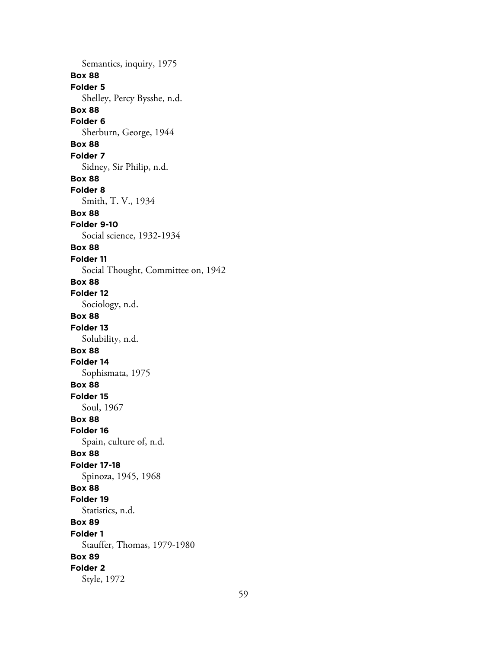Semantics, inquiry, 1975 **Box 88 Folder 5** Shelley, Percy Bysshe, n.d. **Box 88 Folder 6** Sherburn, George, 1944 **Box 88 Folder 7** Sidney, Sir Philip, n.d. **Box 88 Folder 8** Smith, T. V., 1934 **Box 88 Folder 9-10** Social science, 1932-1934 **Box 88 Folder 11** Social Thought, Committee on, 1942 **Box 88 Folder 12** Sociology, n.d. **Box 88 Folder 13** Solubility, n.d. **Box 88 Folder 14** Sophismata, 1975 **Box 88 Folder 15** Soul, 1967 **Box 88 Folder 16** Spain, culture of, n.d. **Box 88 Folder 17-18** Spinoza, 1945, 1968 **Box 88 Folder 19** Statistics, n.d. **Box 89 Folder 1** Stauffer, Thomas, 1979-1980 **Box 89 Folder 2** Style, 1972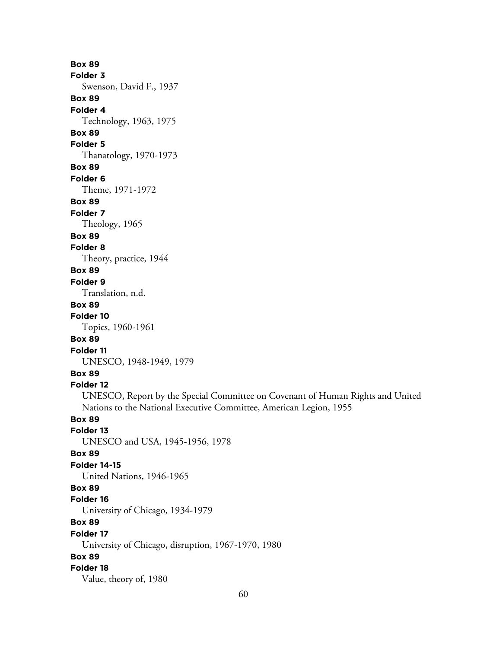**Box 89 Folder 3** Swenson, David F., 1937 **Box 89 Folder 4** Technology, 1963, 1975 **Box 89 Folder 5** Thanatology, 1970-1973 **Box 89 Folder 6** Theme, 1971-1972 **Box 89 Folder 7** Theology, 1965 **Box 89 Folder 8** Theory, practice, 1944 **Box 89 Folder 9** Translation, n.d. **Box 89 Folder 10** Topics, 1960-1961 **Box 89 Folder 11** UNESCO, 1948-1949, 1979 **Box 89 Folder 12** UNESCO, Report by the Special Committee on Covenant of Human Rights and United Nations to the National Executive Committee, American Legion, 1955 **Box 89 Folder 13** UNESCO and USA, 1945-1956, 1978 **Box 89 Folder 14-15** United Nations, 1946-1965 **Box 89 Folder 16** University of Chicago, 1934-1979 **Box 89 Folder 17** University of Chicago, disruption, 1967-1970, 1980 **Box 89 Folder 18** Value, theory of, 1980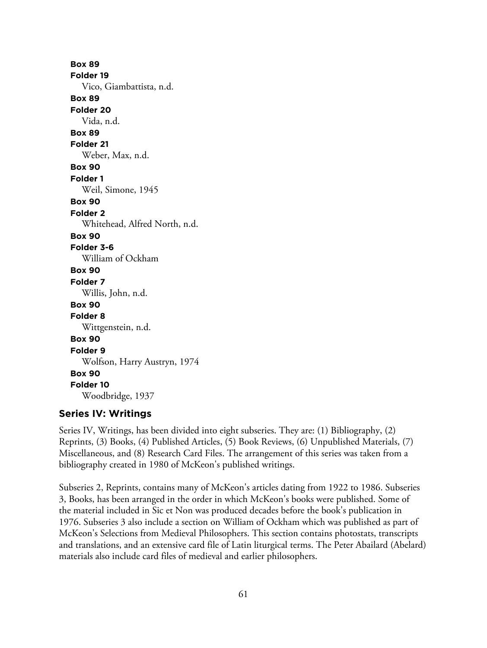**Box 89 Folder 19** Vico, Giambattista, n.d. **Box 89 Folder 20** Vida, n.d. **Box 89 Folder 21** Weber, Max, n.d. **Box 90 Folder 1** Weil, Simone, 1945 **Box 90 Folder 2** Whitehead, Alfred North, n.d. **Box 90 Folder 3-6** William of Ockham **Box 90 Folder 7** Willis, John, n.d. **Box 90 Folder 8** Wittgenstein, n.d. **Box 90 Folder 9** Wolfson, Harry Austryn, 1974 **Box 90 Folder 10** Woodbridge, 1937

### **Series IV: Writings**

Series IV, Writings, has been divided into eight subseries. They are: (1) Bibliography, (2) Reprints, (3) Books, (4) Published Articles, (5) Book Reviews, (6) Unpublished Materials, (7) Miscellaneous, and (8) Research Card Files. The arrangement of this series was taken from a bibliography created in 1980 of McKeon's published writings.

Subseries 2, Reprints, contains many of McKeon's articles dating from 1922 to 1986. Subseries 3, Books, has been arranged in the order in which McKeon's books were published. Some of the material included in Sic et Non was produced decades before the book's publication in 1976. Subseries 3 also include a section on William of Ockham which was published as part of McKeon's Selections from Medieval Philosophers. This section contains photostats, transcripts and translations, and an extensive card file of Latin liturgical terms. The Peter Abailard (Abelard) materials also include card files of medieval and earlier philosophers.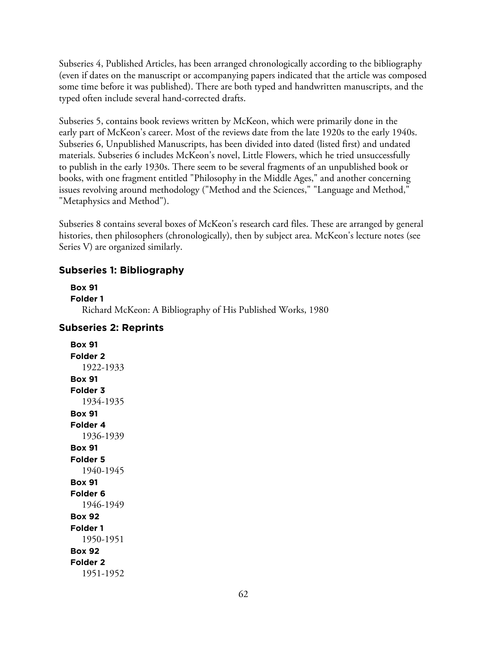Subseries 4, Published Articles, has been arranged chronologically according to the bibliography (even if dates on the manuscript or accompanying papers indicated that the article was composed some time before it was published). There are both typed and handwritten manuscripts, and the typed often include several hand-corrected drafts.

Subseries 5, contains book reviews written by McKeon, which were primarily done in the early part of McKeon's career. Most of the reviews date from the late 1920s to the early 1940s. Subseries 6, Unpublished Manuscripts, has been divided into dated (listed first) and undated materials. Subseries 6 includes McKeon's novel, Little Flowers, which he tried unsuccessfully to publish in the early 1930s. There seem to be several fragments of an unpublished book or books, with one fragment entitled "Philosophy in the Middle Ages," and another concerning issues revolving around methodology ("Method and the Sciences," "Language and Method," "Metaphysics and Method").

Subseries 8 contains several boxes of McKeon's research card files. These are arranged by general histories, then philosophers (chronologically), then by subject area. McKeon's lecture notes (see Series V) are organized similarly.

### **Subseries 1: Bibliography**

```
Box 91
Folder 1
  Richard McKeon: A Bibliography of His Published Works, 1980
```
### **Subseries 2: Reprints**

**Box 91 Folder 2** 1922-1933 **Box 91 Folder 3** 1934-1935 **Box 91 Folder 4** 1936-1939 **Box 91 Folder 5** 1940-1945 **Box 91 Folder 6** 1946-1949 **Box 92 Folder 1** 1950-1951 **Box 92 Folder 2** 1951-1952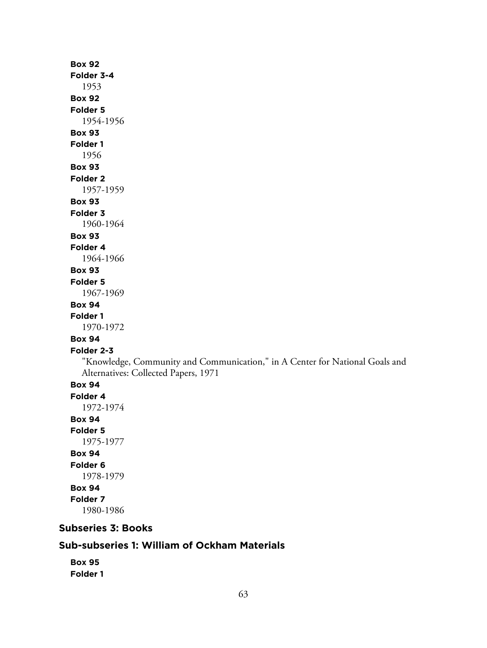# **Box 92 Folder 3-4** 1953 **Box 92 Folder 5** 1954-1956 **Box 93 Folder 1** 1956 **Box 93 Folder 2** 1957-1959 **Box 93 Folder 3** 1960-1964 **Box 93 Folder 4** 1964-1966 **Box 93 Folder 5** 1967-1969 **Box 94 Folder 1** 1970-1972 **Box 94 Folder 2-3** "Knowledge, Community and Communication," in A Center for National Goals and Alternatives: Collected Papers, 1971 **Box 94 Folder 4** 1972-1974 **Box 94 Folder 5** 1975-1977 **Box 94 Folder 6** 1978-1979 **Box 94 Folder 7** 1980-1986

# **Subseries 3: Books**

# **Sub-subseries 1: William of Ockham Materials**

```
Box 95
Folder 1
```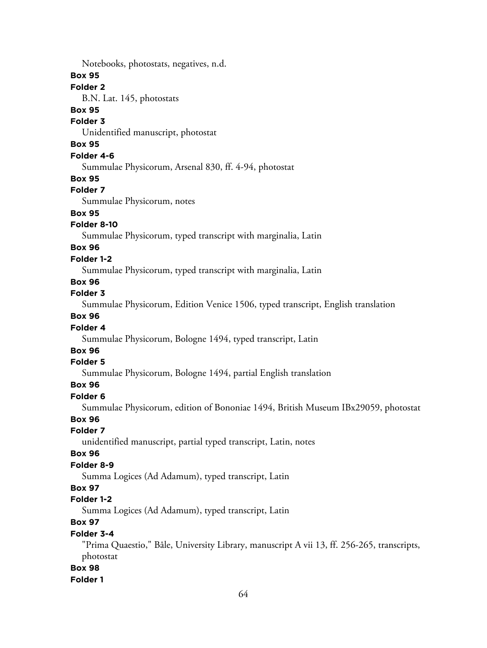Notebooks, photostats, negatives, n.d.

**Box 95**

# **Folder 2**

B.N. Lat. 145, photostats

## **Box 95**

## **Folder 3**

Unidentified manuscript, photostat

# **Box 95**

### **Folder 4-6**

Summulae Physicorum, Arsenal 830, ff. 4-94, photostat

#### **Box 95**

## **Folder 7**

Summulae Physicorum, notes

# **Box 95**

## **Folder 8-10**

Summulae Physicorum, typed transcript with marginalia, Latin

### **Box 96**

### **Folder 1-2**

Summulae Physicorum, typed transcript with marginalia, Latin

# **Box 96**

#### **Folder 3**

Summulae Physicorum, Edition Venice 1506, typed transcript, English translation

## **Box 96**

### **Folder 4**

Summulae Physicorum, Bologne 1494, typed transcript, Latin

# **Box 96**

### **Folder 5**

Summulae Physicorum, Bologne 1494, partial English translation

### **Box 96**

### **Folder 6**

Summulae Physicorum, edition of Bononiae 1494, British Museum IBx29059, photostat

#### **Box 96**

#### **Folder 7**

unidentified manuscript, partial typed transcript, Latin, notes

#### **Box 96**

### **Folder 8-9**

Summa Logices (Ad Adamum), typed transcript, Latin

# **Box 97**

## **Folder 1-2**

Summa Logices (Ad Adamum), typed transcript, Latin

# **Box 97**

### **Folder 3-4**

"Prima Quaestio," Bâle, University Library, manuscript A vii 13, ff. 256-265, transcripts, photostat

### **Box 98**

#### **Folder 1**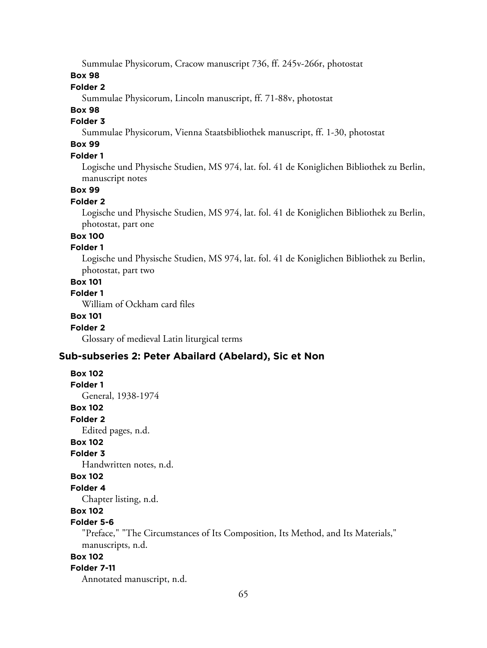Summulae Physicorum, Cracow manuscript 736, ff. 245v-266r, photostat

### **Box 98**

# **Folder 2**

Summulae Physicorum, Lincoln manuscript, ff. 71-88v, photostat

# **Box 98**

## **Folder 3**

Summulae Physicorum, Vienna Staatsbibliothek manuscript, ff. 1-30, photostat

# **Box 99**

### **Folder 1**

Logische und Physische Studien, MS 974, lat. fol. 41 de Koniglichen Bibliothek zu Berlin, manuscript notes

#### **Box 99**

#### **Folder 2**

Logische und Physische Studien, MS 974, lat. fol. 41 de Koniglichen Bibliothek zu Berlin, photostat, part one

# **Box 100**

### **Folder 1**

Logische und Physische Studien, MS 974, lat. fol. 41 de Koniglichen Bibliothek zu Berlin, photostat, part two

# **Box 101**

# **Folder 1**

William of Ockham card files

## **Box 101**

### **Folder 2**

**Box 102**

Glossary of medieval Latin liturgical terms

### **Sub-subseries 2: Peter Abailard (Abelard), Sic et Non**

### **Folder 1** General, 1938-1974 **Box 102 Folder 2** Edited pages, n.d. **Box 102 Folder 3** Handwritten notes, n.d. **Box 102 Folder 4** Chapter listing, n.d. **Box 102**

# **Folder 5-6**

"Preface," "The Circumstances of Its Composition, Its Method, and Its Materials," manuscripts, n.d.

## **Box 102**

### **Folder 7-11**

Annotated manuscript, n.d.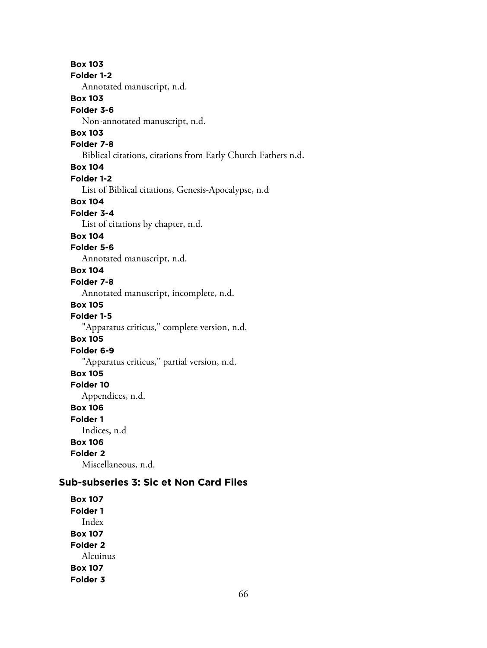**Box 103 Folder 1-2** Annotated manuscript, n.d. **Box 103 Folder 3-6** Non-annotated manuscript, n.d. **Box 103 Folder 7-8** Biblical citations, citations from Early Church Fathers n.d. **Box 104 Folder 1-2** List of Biblical citations, Genesis-Apocalypse, n.d **Box 104 Folder 3-4** List of citations by chapter, n.d. **Box 104 Folder 5-6** Annotated manuscript, n.d. **Box 104 Folder 7-8** Annotated manuscript, incomplete, n.d. **Box 105 Folder 1-5** "Apparatus criticus," complete version, n.d. **Box 105 Folder 6-9** "Apparatus criticus," partial version, n.d. **Box 105 Folder 10** Appendices, n.d. **Box 106 Folder 1** Indices, n.d **Box 106 Folder 2** Miscellaneous, n.d. **Sub-subseries 3: Sic et Non Card Files**

**Box 107 Folder 1** Index **Box 107 Folder 2** Alcuinus **Box 107 Folder 3**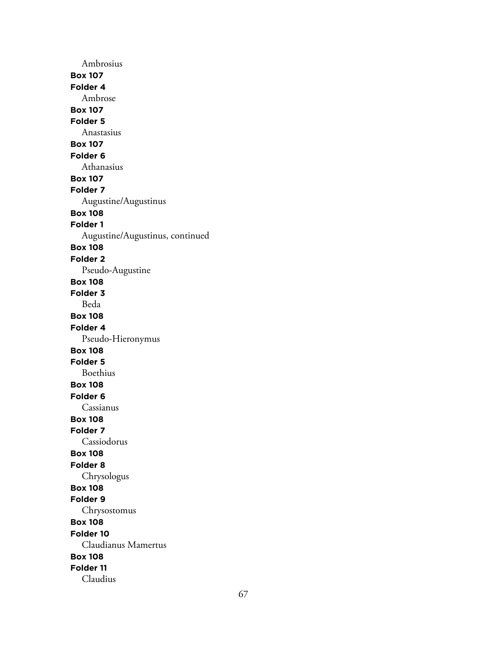Ambrosius **Box 107 Folder 4** Ambrose **Box 107 Folder 5** Anastasius **Box 107 Folder 6** Athanasius **Box 107 Folder 7** Augustine/Augustinus **Box 108 Folder 1** Augustine/Augustinus, continued **Box 108 Folder 2** Pseudo-Augustine **Box 108 Folder 3** Beda **Box 108 Folder 4** Pseudo-Hieronymus **Box 108 Folder 5** Boethius **Box 108 Folder 6** Cassianus **Box 108 Folder 7** Cassiodorus **Box 108 Folder 8** Chrysologus **Box 108 Folder 9** Chrysostomus **Box 108 Folder 10** Claudianus Mamertus **Box 108 Folder 11** Claudius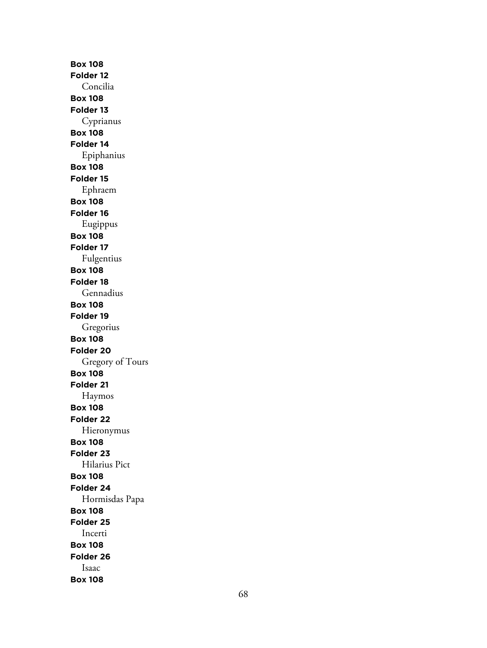**Box 108 Folder 12** Concilia **Box 108 Folder 13** Cyprianus **Box 108 Folder 14** Epiphanius **Box 108 Folder 15** Ephraem **Box 108 Folder 16** Eugippus **Box 108 Folder 17** Fulgentius **Box 108 Folder 18** Gennadius **Box 108 Folder 19** Gregorius **Box 108 Folder 20** Gregory of Tours **Box 108 Folder 21** Haymos **Box 108 Folder 22** Hieronymus **Box 108 Folder 23** Hilarius Pict **Box 108 Folder 24** Hormisdas Papa **Box 108 Folder 25** Incerti **Box 108 Folder 26** Isaac **Box 108**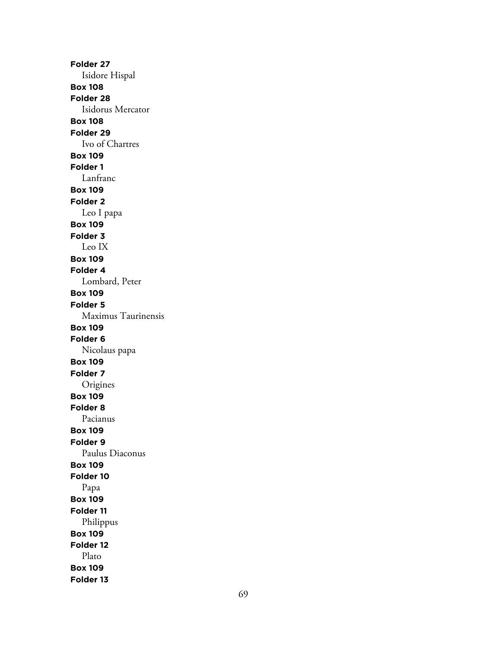**Folder 27** Isidore Hispal **Box 108 Folder 28** Isidorus Mercator **Box 108 Folder 29** Ivo of Chartres **Box 109 Folder 1** Lanfranc **Box 109 Folder 2** Leo I papa **Box 109 Folder 3** Leo IX **Box 109 Folder 4** Lombard, Peter **Box 109 Folder 5** Maximus Taurinensis **Box 109 Folder 6** Nicolaus papa **Box 109 Folder 7** Origines **Box 109 Folder 8** Pacianus **Box 109 Folder 9** Paulus Diaconus **Box 109 Folder 10** Papa **Box 109 Folder 11** Philippus **Box 109 Folder 12** Plato **Box 109 Folder 13**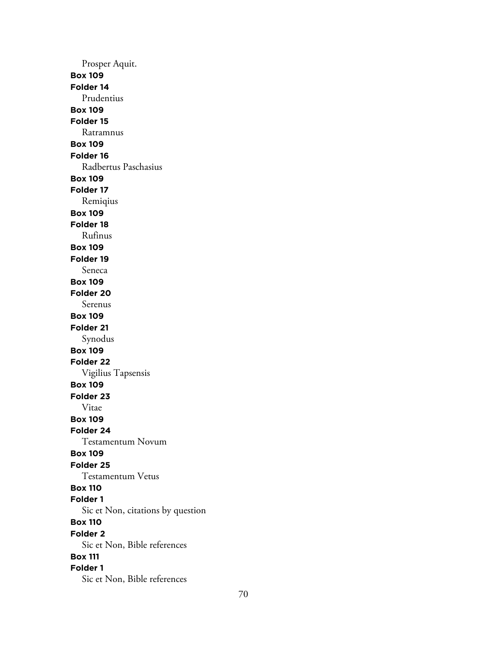Prosper Aquit. **Box 109 Folder 14** Prudentius **Box 109 Folder 15** Ratramnus **Box 109 Folder 16** Radbertus Paschasius **Box 109 Folder 17** Remiqius **Box 109 Folder 18** Rufinus **Box 109 Folder 19** Seneca **Box 109 Folder 20** Serenus **Box 109 Folder 21** Synodus **Box 109 Folder 22** Vigilius Tapsensis **Box 109 Folder 23** Vitae **Box 109 Folder 24** Testamentum Novum **Box 109 Folder 25** Testamentum Vetus **Box 110 Folder 1** Sic et Non, citations by question **Box 110 Folder 2** Sic et Non, Bible references **Box 111 Folder 1** Sic et Non, Bible references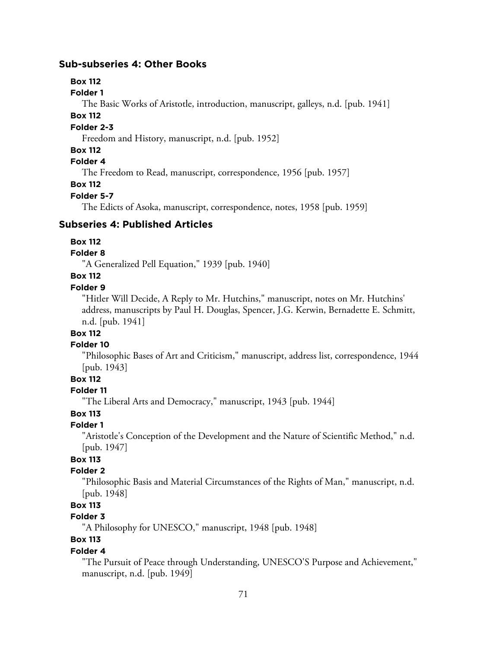### **Sub-subseries 4: Other Books**

### **Box 112**

**Folder 1**

The Basic Works of Aristotle, introduction, manuscript, galleys, n.d. [pub. 1941]

### **Box 112**

### **Folder 2-3**

Freedom and History, manuscript, n.d. [pub. 1952]

### **Box 112**

# **Folder 4**

The Freedom to Read, manuscript, correspondence, 1956 [pub. 1957]

### **Box 112**

### **Folder 5-7**

The Edicts of Asoka, manuscript, correspondence, notes, 1958 [pub. 1959]

### **Subseries 4: Published Articles**

#### **Box 112**

#### **Folder 8**

"A Generalized Pell Equation," 1939 [pub. 1940]

## **Box 112**

## **Folder 9**

"Hitler Will Decide, A Reply to Mr. Hutchins," manuscript, notes on Mr. Hutchins' address, manuscripts by Paul H. Douglas, Spencer, J.G. Kerwin, Bernadette E. Schmitt, n.d. [pub. 1941]

# **Box 112**

#### **Folder 10**

"Philosophic Bases of Art and Criticism," manuscript, address list, correspondence, 1944 [pub. 1943]

# **Box 112**

# **Folder 11**

"The Liberal Arts and Democracy," manuscript, 1943 [pub. 1944]

## **Box 113**

# **Folder 1**

"Aristotle's Conception of the Development and the Nature of Scientific Method," n.d. [pub. 1947]

# **Box 113**

# **Folder 2**

"Philosophic Basis and Material Circumstances of the Rights of Man," manuscript, n.d. [pub. 1948]

# **Box 113**

### **Folder 3**

"A Philosophy for UNESCO," manuscript, 1948 [pub. 1948]

# **Box 113**

### **Folder 4**

"The Pursuit of Peace through Understanding, UNESCO'S Purpose and Achievement," manuscript, n.d. [pub. 1949]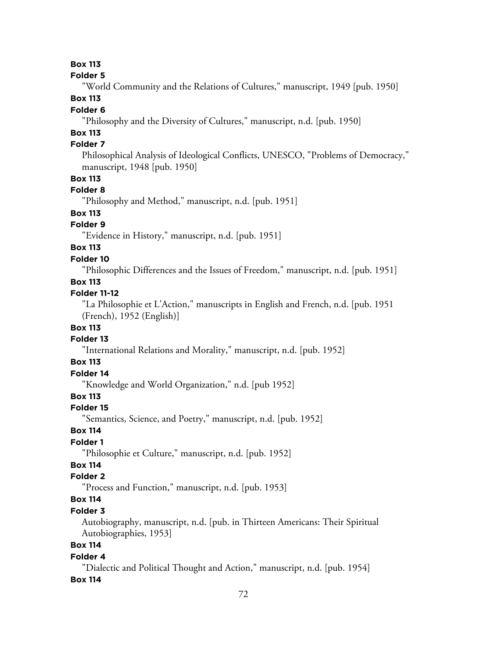### **Box 113**

#### **Folder 5**

"World Community and the Relations of Cultures," manuscript, 1949 [pub. 1950]

### **Box 113**

### **Folder 6**

"Philosophy and the Diversity of Cultures," manuscript, n.d. [pub. 1950]

# **Box 113**

## **Folder 7**

Philosophical Analysis of Ideological Conflicts, UNESCO, "Problems of Democracy," manuscript, 1948 [pub. 1950]

### **Box 113**

### **Folder 8**

"Philosophy and Method," manuscript, n.d. [pub. 1951]

# **Box 113**

### **Folder 9**

"Evidence in History," manuscript, n.d. [pub. 1951]

### **Box 113**

#### **Folder 10**

"Philosophic Differences and the Issues of Freedom," manuscript, n.d. [pub. 1951]

### **Box 113**

### **Folder 11-12**

"La Philosophie et L'Action," manuscripts in English and French, n.d. [pub. 1951 (French), 1952 (English)]

### **Box 113**

#### **Folder 13**

"International Relations and Morality," manuscript, n.d. [pub. 1952]

### **Box 113**

# **Folder 14**

"Knowledge and World Organization," n.d. [pub 1952]

### **Box 113**

#### **Folder 15**

"Semantics, Science, and Poetry," manuscript, n.d. [pub. 1952]

### **Box 114**

### **Folder 1**

"Philosophie et Culture," manuscript, n.d. [pub. 1952]

# **Box 114**

### **Folder 2**

"Process and Function," manuscript, n.d. [pub. 1953]

# **Box 114**

### **Folder 3**

Autobiography, manuscript, n.d. [pub. in Thirteen Americans: Their Spiritual Autobiographies, 1953]

## **Box 114**

#### **Folder 4**

"Dialectic and Political Thought and Action," manuscript, n.d. [pub. 1954]

#### **Box 114**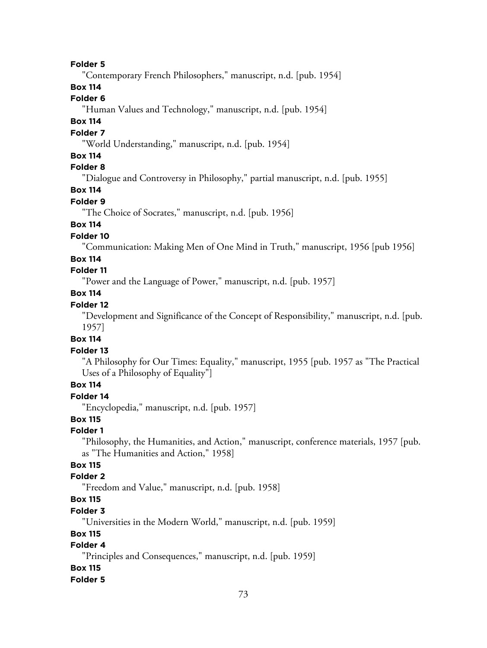#### **Folder 5**

"Contemporary French Philosophers," manuscript, n.d. [pub. 1954]

# **Box 114**

## **Folder 6**

"Human Values and Technology," manuscript, n.d. [pub. 1954]

# **Box 114**

#### **Folder 7**

"World Understanding," manuscript, n.d. [pub. 1954]

### **Box 114**

## **Folder 8**

"Dialogue and Controversy in Philosophy," partial manuscript, n.d. [pub. 1955]

# **Box 114**

#### **Folder 9**

"The Choice of Socrates," manuscript, n.d. [pub. 1956]

# **Box 114**

### **Folder 10**

"Communication: Making Men of One Mind in Truth," manuscript, 1956 [pub 1956]

#### **Box 114**

# **Folder 11**

"Power and the Language of Power," manuscript, n.d. [pub. 1957]

### **Box 114**

## **Folder 12**

"Development and Significance of the Concept of Responsibility," manuscript, n.d. [pub. 1957]

#### **Box 114**

#### **Folder 13**

"A Philosophy for Our Times: Equality," manuscript, 1955 [pub. 1957 as "The Practical Uses of a Philosophy of Equality"]

# **Box 114**

# **Folder 14**

"Encyclopedia," manuscript, n.d. [pub. 1957]

## **Box 115**

#### **Folder 1**

"Philosophy, the Humanities, and Action," manuscript, conference materials, 1957 [pub. as "The Humanities and Action," 1958]

# **Box 115**

### **Folder 2**

"Freedom and Value," manuscript, n.d. [pub. 1958]

# **Box 115**

#### **Folder 3**

"Universities in the Modern World," manuscript, n.d. [pub. 1959]

#### **Box 115**

# **Folder 4**

"Principles and Consequences," manuscript, n.d. [pub. 1959]

#### **Box 115**

#### **Folder 5**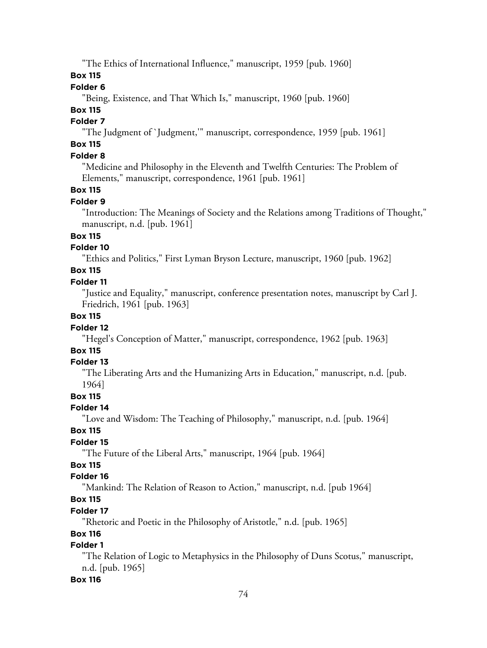"The Ethics of International Influence," manuscript, 1959 [pub. 1960]

**Box 115**

# **Folder 6**

"Being, Existence, and That Which Is," manuscript, 1960 [pub. 1960]

# **Box 115**

# **Folder 7**

"The Judgment of `Judgment,'" manuscript, correspondence, 1959 [pub. 1961]

# **Box 115**

# **Folder 8**

"Medicine and Philosophy in the Eleventh and Twelfth Centuries: The Problem of Elements," manuscript, correspondence, 1961 [pub. 1961]

### **Box 115**

#### **Folder 9**

"Introduction: The Meanings of Society and the Relations among Traditions of Thought," manuscript, n.d. [pub. 1961]

### **Box 115**

### **Folder 10**

"Ethics and Politics," First Lyman Bryson Lecture, manuscript, 1960 [pub. 1962]

# **Box 115**

### **Folder 11**

"Justice and Equality," manuscript, conference presentation notes, manuscript by Carl J. Friedrich, 1961 [pub. 1963]

#### **Box 115**

### **Folder 12**

"Hegel's Conception of Matter," manuscript, correspondence, 1962 [pub. 1963]

# **Box 115**

## **Folder 13**

"The Liberating Arts and the Humanizing Arts in Education," manuscript, n.d. [pub. 1964]

### **Box 115**

### **Folder 14**

"Love and Wisdom: The Teaching of Philosophy," manuscript, n.d. [pub. 1964]

### **Box 115**

# **Folder 15**

"The Future of the Liberal Arts," manuscript, 1964 [pub. 1964]

### **Box 115**

### **Folder 16**

"Mankind: The Relation of Reason to Action," manuscript, n.d. [pub 1964]

# **Box 115**

### **Folder 17**

"Rhetoric and Poetic in the Philosophy of Aristotle," n.d. [pub. 1965]

### **Box 116**

# **Folder 1**

"The Relation of Logic to Metaphysics in the Philosophy of Duns Scotus," manuscript, n.d. [pub. 1965]

### **Box 116**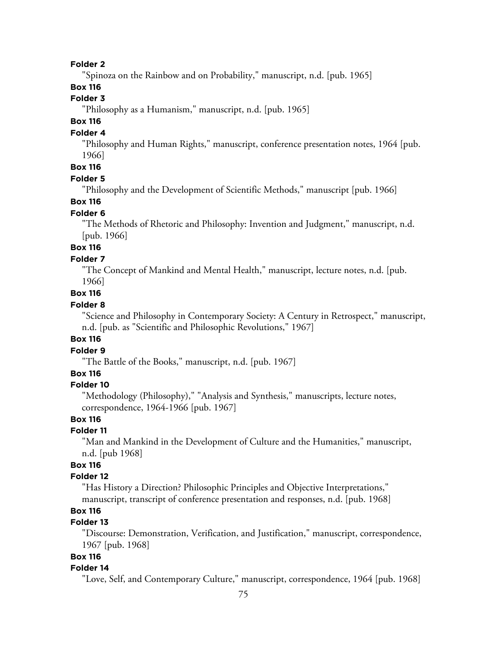#### **Folder 2**

"Spinoza on the Rainbow and on Probability," manuscript, n.d. [pub. 1965]

### **Box 116**

# **Folder 3**

"Philosophy as a Humanism," manuscript, n.d. [pub. 1965]

# **Box 116**

### **Folder 4**

"Philosophy and Human Rights," manuscript, conference presentation notes, 1964 [pub. 1966]

# **Box 116**

#### **Folder 5**

"Philosophy and the Development of Scientific Methods," manuscript [pub. 1966]

#### **Box 116**

#### **Folder 6**

"The Methods of Rhetoric and Philosophy: Invention and Judgment," manuscript, n.d. [pub. 1966]

# **Box 116**

### **Folder 7**

"The Concept of Mankind and Mental Health," manuscript, lecture notes, n.d. [pub. 1966]

## **Box 116**

### **Folder 8**

"Science and Philosophy in Contemporary Society: A Century in Retrospect," manuscript, n.d. [pub. as "Scientific and Philosophic Revolutions," 1967]

#### **Box 116**

#### **Folder 9**

"The Battle of the Books," manuscript, n.d. [pub. 1967]

### **Box 116**

#### **Folder 10**

"Methodology (Philosophy)," "Analysis and Synthesis," manuscripts, lecture notes, correspondence, 1964-1966 [pub. 1967]

## **Box 116**

#### **Folder 11**

"Man and Mankind in the Development of Culture and the Humanities," manuscript, n.d. [pub 1968]

### **Box 116**

#### **Folder 12**

"Has History a Direction? Philosophic Principles and Objective Interpretations," manuscript, transcript of conference presentation and responses, n.d. [pub. 1968]

#### **Box 116**

## **Folder 13**

"Discourse: Demonstration, Verification, and Justification," manuscript, correspondence, 1967 [pub. 1968]

# **Box 116**

#### **Folder 14**

"Love, Self, and Contemporary Culture," manuscript, correspondence, 1964 [pub. 1968]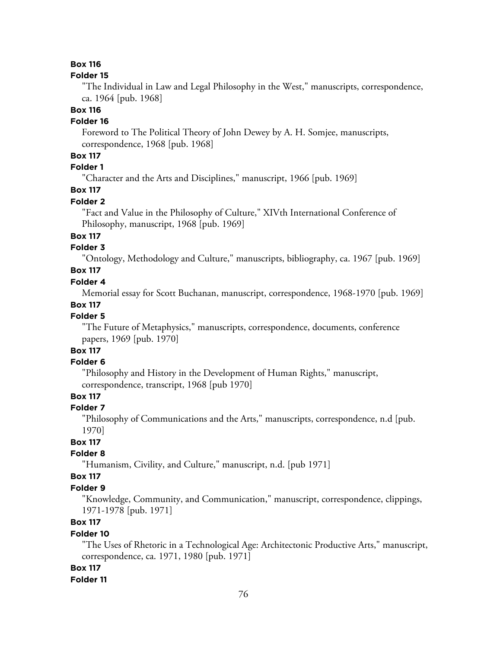### **Box 116**

#### **Folder 15**

"The Individual in Law and Legal Philosophy in the West," manuscripts, correspondence, ca. 1964 [pub. 1968]

## **Box 116**

# **Folder 16**

Foreword to The Political Theory of John Dewey by A. H. Somjee, manuscripts, correspondence, 1968 [pub. 1968]

# **Box 117**

# **Folder 1**

"Character and the Arts and Disciplines," manuscript, 1966 [pub. 1969]

# **Box 117**

#### **Folder 2**

"Fact and Value in the Philosophy of Culture," XIVth International Conference of Philosophy, manuscript, 1968 [pub. 1969]

### **Box 117**

### **Folder 3**

"Ontology, Methodology and Culture," manuscripts, bibliography, ca. 1967 [pub. 1969]

# **Box 117**

### **Folder 4**

Memorial essay for Scott Buchanan, manuscript, correspondence, 1968-1970 [pub. 1969]

#### **Box 117**

#### **Folder 5**

"The Future of Metaphysics," manuscripts, correspondence, documents, conference papers, 1969 [pub. 1970]

# **Box 117**

# **Folder 6**

"Philosophy and History in the Development of Human Rights," manuscript, correspondence, transcript, 1968 [pub 1970]

### **Box 117**

#### **Folder 7**

"Philosophy of Communications and the Arts," manuscripts, correspondence, n.d [pub. 1970]

### **Box 117**

#### **Folder 8**

"Humanism, Civility, and Culture," manuscript, n.d. [pub 1971]

#### **Box 117**

#### **Folder 9**

"Knowledge, Community, and Communication," manuscript, correspondence, clippings, 1971-1978 [pub. 1971]

# **Box 117**

#### **Folder 10**

"The Uses of Rhetoric in a Technological Age: Architectonic Productive Arts," manuscript, correspondence, ca. 1971, 1980 [pub. 1971]

#### **Box 117**

#### **Folder 11**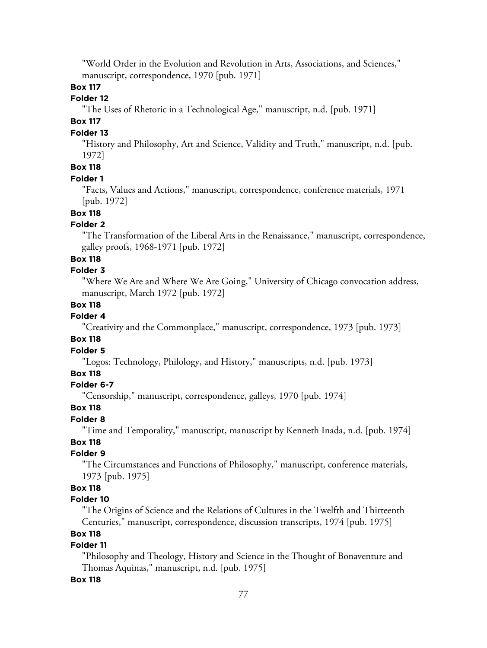"World Order in the Evolution and Revolution in Arts, Associations, and Sciences," manuscript, correspondence, 1970 [pub. 1971]

## **Box 117**

## **Folder 12**

"The Uses of Rhetoric in a Technological Age," manuscript, n.d. [pub. 1971]

# **Box 117**

#### **Folder 13**

"History and Philosophy, Art and Science, Validity and Truth," manuscript, n.d. [pub. 1972]

# **Box 118**

#### **Folder 1**

"Facts, Values and Actions," manuscript, correspondence, conference materials, 1971 [pub. 1972]

# **Box 118**

### **Folder 2**

"The Transformation of the Liberal Arts in the Renaissance," manuscript, correspondence, galley proofs, 1968-1971 [pub. 1972]

### **Box 118**

### **Folder 3**

"Where We Are and Where We Are Going," University of Chicago convocation address, manuscript, March 1972 [pub. 1972]

## **Box 118**

# **Folder 4**

"Creativity and the Commonplace," manuscript, correspondence, 1973 [pub. 1973]

#### **Box 118**

#### **Folder 5**

"Logos: Technology, Philology, and History," manuscripts, n.d. [pub. 1973]

#### **Box 118**

### **Folder 6-7**

"Censorship," manuscript, correspondence, galleys, 1970 [pub. 1974]

#### **Box 118**

#### **Folder 8**

"Time and Temporality," manuscript, manuscript by Kenneth Inada, n.d. [pub. 1974]

### **Box 118**

### **Folder 9**

"The Circumstances and Functions of Philosophy," manuscript, conference materials, 1973 [pub. 1975]

# **Box 118**

## **Folder 10**

"The Origins of Science and the Relations of Cultures in the Twelfth and Thirteenth Centuries," manuscript, correspondence, discussion transcripts, 1974 [pub. 1975]

## **Box 118**

# **Folder 11**

"Philosophy and Theology, History and Science in the Thought of Bonaventure and Thomas Aquinas," manuscript, n.d. [pub. 1975]

#### **Box 118**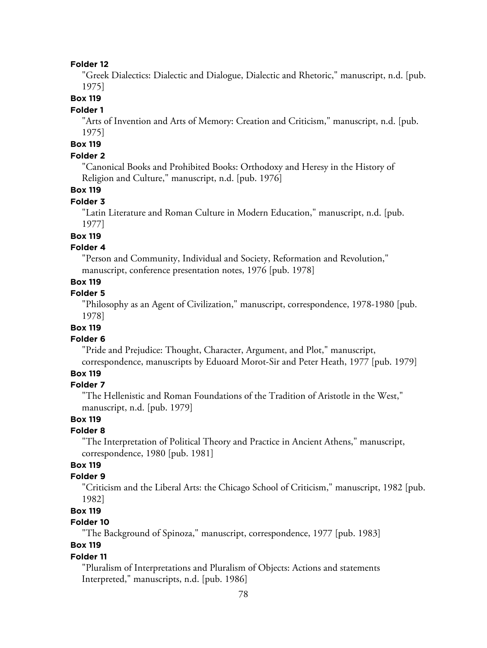#### **Folder 12**

"Greek Dialectics: Dialectic and Dialogue, Dialectic and Rhetoric," manuscript, n.d. [pub. 1975]

**Box 119**

#### **Folder 1**

"Arts of Invention and Arts of Memory: Creation and Criticism," manuscript, n.d. [pub. 1975]

## **Box 119**

### **Folder 2**

"Canonical Books and Prohibited Books: Orthodoxy and Heresy in the History of Religion and Culture," manuscript, n.d. [pub. 1976]

# **Box 119**

#### **Folder 3**

"Latin Literature and Roman Culture in Modern Education," manuscript, n.d. [pub. 1977]

### **Box 119**

### **Folder 4**

"Person and Community, Individual and Society, Reformation and Revolution," manuscript, conference presentation notes, 1976 [pub. 1978]

# **Box 119**

# **Folder 5**

"Philosophy as an Agent of Civilization," manuscript, correspondence, 1978-1980 [pub. 1978]

## **Box 119**

#### **Folder 6**

"Pride and Prejudice: Thought, Character, Argument, and Plot," manuscript, correspondence, manuscripts by Eduoard Morot-Sir and Peter Heath, 1977 [pub. 1979]

## **Box 119**

#### **Folder 7**

"The Hellenistic and Roman Foundations of the Tradition of Aristotle in the West," manuscript, n.d. [pub. 1979]

# **Box 119**

#### **Folder 8**

"The Interpretation of Political Theory and Practice in Ancient Athens," manuscript, correspondence, 1980 [pub. 1981]

### **Box 119**

#### **Folder 9**

"Criticism and the Liberal Arts: the Chicago School of Criticism," manuscript, 1982 [pub. 1982]

# **Box 119**

### **Folder 10**

"The Background of Spinoza," manuscript, correspondence, 1977 [pub. 1983]

# **Box 119**

#### **Folder 11**

"Pluralism of Interpretations and Pluralism of Objects: Actions and statements Interpreted," manuscripts, n.d. [pub. 1986]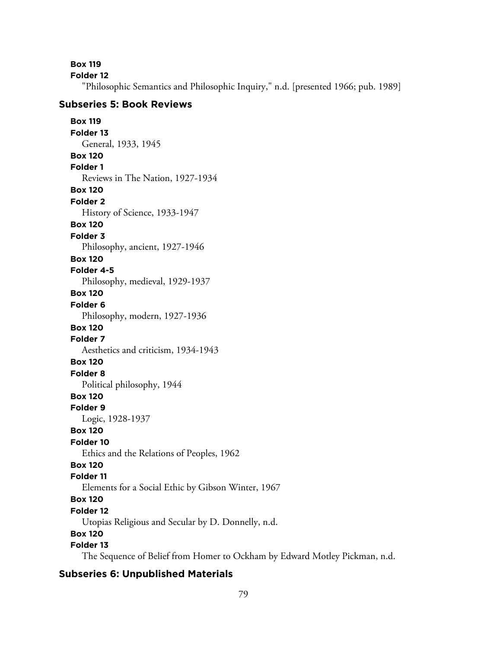**Box 119**

**Folder 12**

"Philosophic Semantics and Philosophic Inquiry," n.d. [presented 1966; pub. 1989]

### **Subseries 5: Book Reviews**

**Box 119 Folder 13** General, 1933, 1945 **Box 120 Folder 1** Reviews in The Nation, 1927-1934 **Box 120 Folder 2** History of Science, 1933-1947 **Box 120 Folder 3** Philosophy, ancient, 1927-1946 **Box 120 Folder 4-5** Philosophy, medieval, 1929-1937 **Box 120 Folder 6** Philosophy, modern, 1927-1936 **Box 120 Folder 7** Aesthetics and criticism, 1934-1943 **Box 120 Folder 8** Political philosophy, 1944 **Box 120 Folder 9** Logic, 1928-1937 **Box 120 Folder 10** Ethics and the Relations of Peoples, 1962 **Box 120 Folder 11** Elements for a Social Ethic by Gibson Winter, 1967 **Box 120 Folder 12** Utopias Religious and Secular by D. Donnelly, n.d. **Box 120 Folder 13**

The Sequence of Belief from Homer to Ockham by Edward Motley Pickman, n.d.

# **Subseries 6: Unpublished Materials**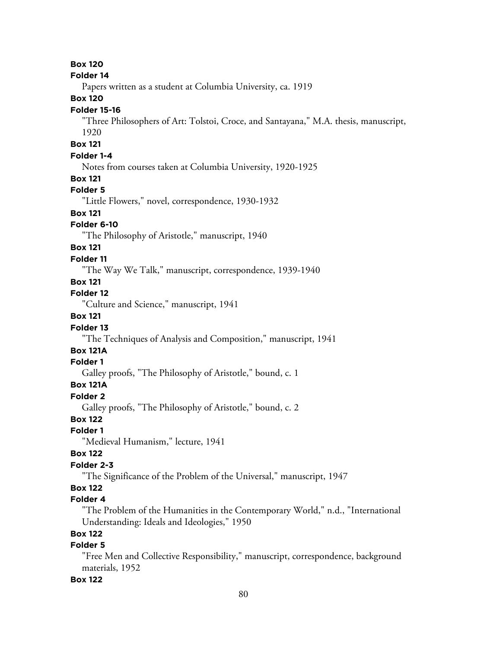### **Box 120**

#### **Folder 14**

Papers written as a student at Columbia University, ca. 1919

#### **Box 120**

#### **Folder 15-16**

"Three Philosophers of Art: Tolstoi, Croce, and Santayana," M.A. thesis, manuscript, 1920

#### **Box 121**

#### **Folder 1-4**

Notes from courses taken at Columbia University, 1920-1925

#### **Box 121**

### **Folder 5**

"Little Flowers," novel, correspondence, 1930-1932

### **Box 121**

#### **Folder 6-10**

"The Philosophy of Aristotle," manuscript, 1940

## **Box 121**

#### **Folder 11**

"The Way We Talk," manuscript, correspondence, 1939-1940

### **Box 121**

# **Folder 12**

"Culture and Science," manuscript, 1941

## **Box 121**

#### **Folder 13**

"The Techniques of Analysis and Composition," manuscript, 1941

# **Box 121A**

### **Folder 1**

Galley proofs, "The Philosophy of Aristotle," bound, c. 1

# **Box 121A**

#### **Folder 2**

Galley proofs, "The Philosophy of Aristotle," bound, c. 2

# **Box 122**

### **Folder 1**

"Medieval Humanism," lecture, 1941

#### **Box 122**

#### **Folder 2-3**

"The Significance of the Problem of the Universal," manuscript, 1947

# **Box 122**

## **Folder 4**

"The Problem of the Humanities in the Contemporary World," n.d., "International Understanding: Ideals and Ideologies," 1950

## **Box 122**

# **Folder 5**

"Free Men and Collective Responsibility," manuscript, correspondence, background materials, 1952

#### **Box 122**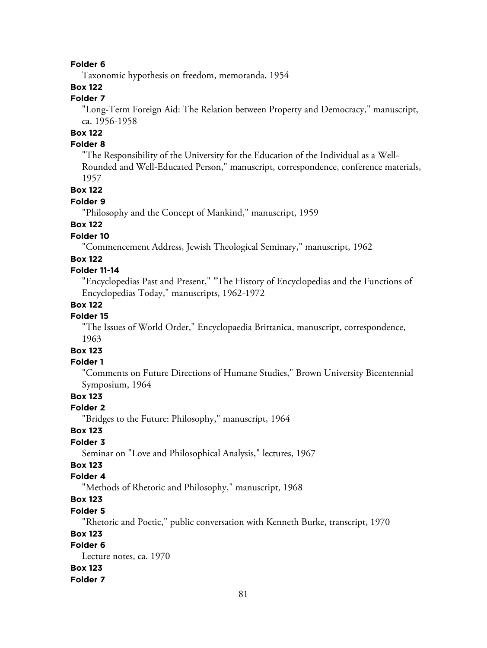#### **Folder 6**

Taxonomic hypothesis on freedom, memoranda, 1954

# **Box 122**

# **Folder 7**

"Long-Term Foreign Aid: The Relation between Property and Democracy," manuscript, ca. 1956-1958

# **Box 122**

## **Folder 8**

"The Responsibility of the University for the Education of the Individual as a Well-Rounded and Well-Educated Person," manuscript, correspondence, conference materials, 1957

#### **Box 122**

#### **Folder 9**

"Philosophy and the Concept of Mankind," manuscript, 1959

# **Box 122**

## **Folder 10**

"Commencement Address, Jewish Theological Seminary," manuscript, 1962

#### **Box 122**

#### **Folder 11-14**

"Encyclopedias Past and Present," "The History of Encyclopedias and the Functions of Encyclopedias Today," manuscripts, 1962-1972

### **Box 122**

### **Folder 15**

"The Issues of World Order," Encyclopaedia Brittanica, manuscript, correspondence, 1963

### **Box 123**

### **Folder 1**

"Comments on Future Directions of Humane Studies," Brown University Bicentennial Symposium, 1964

# **Box 123**

#### **Folder 2**

"Bridges to the Future: Philosophy," manuscript, 1964

#### **Box 123**

#### **Folder 3**

Seminar on "Love and Philosophical Analysis," lectures, 1967

# **Box 123**

### **Folder 4**

"Methods of Rhetoric and Philosophy," manuscript, 1968

# **Box 123**

#### **Folder 5**

"Rhetoric and Poetic," public conversation with Kenneth Burke, transcript, 1970

### **Box 123**

## **Folder 6**

Lecture notes, ca. 1970 **Box 123 Folder 7**

#### 81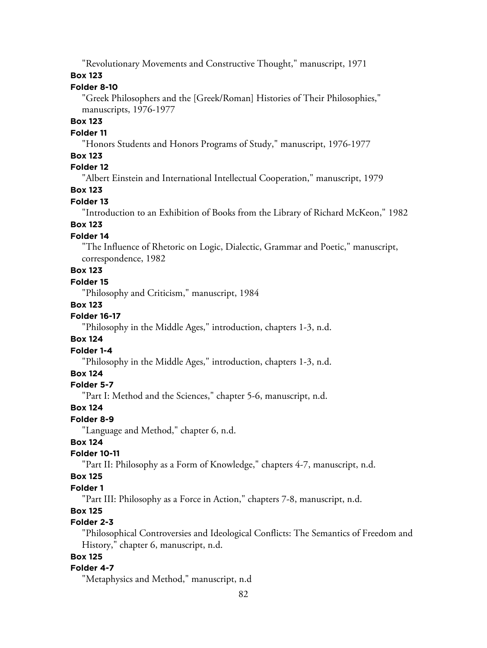"Revolutionary Movements and Constructive Thought," manuscript, 1971

### **Box 123**

# **Folder 8-10**

"Greek Philosophers and the [Greek/Roman] Histories of Their Philosophies," manuscripts, 1976-1977

# **Box 123**

#### **Folder 11**

"Honors Students and Honors Programs of Study," manuscript, 1976-1977

### **Box 123**

# **Folder 12**

"Albert Einstein and International Intellectual Cooperation," manuscript, 1979

# **Box 123**

#### **Folder 13**

"Introduction to an Exhibition of Books from the Library of Richard McKeon," 1982

# **Box 123**

## **Folder 14**

"The Influence of Rhetoric on Logic, Dialectic, Grammar and Poetic," manuscript, correspondence, 1982

# **Box 123**

## **Folder 15**

"Philosophy and Criticism," manuscript, 1984

#### **Box 123**

## **Folder 16-17**

"Philosophy in the Middle Ages," introduction, chapters 1-3, n.d.

#### **Box 124**

#### **Folder 1-4**

"Philosophy in the Middle Ages," introduction, chapters 1-3, n.d.

### **Box 124**

#### **Folder 5-7**

"Part I: Method and the Sciences," chapter 5-6, manuscript, n.d.

#### **Box 124**

#### **Folder 8-9**

"Language and Method," chapter 6, n.d.

### **Box 124**

#### **Folder 10-11**

"Part II: Philosophy as a Form of Knowledge," chapters 4-7, manuscript, n.d.

#### **Box 125**

#### **Folder 1**

"Part III: Philosophy as a Force in Action," chapters 7-8, manuscript, n.d.

### **Box 125**

### **Folder 2-3**

"Philosophical Controversies and Ideological Conflicts: The Semantics of Freedom and History," chapter 6, manuscript, n.d.

# **Box 125**

#### **Folder 4-7**

"Metaphysics and Method," manuscript, n.d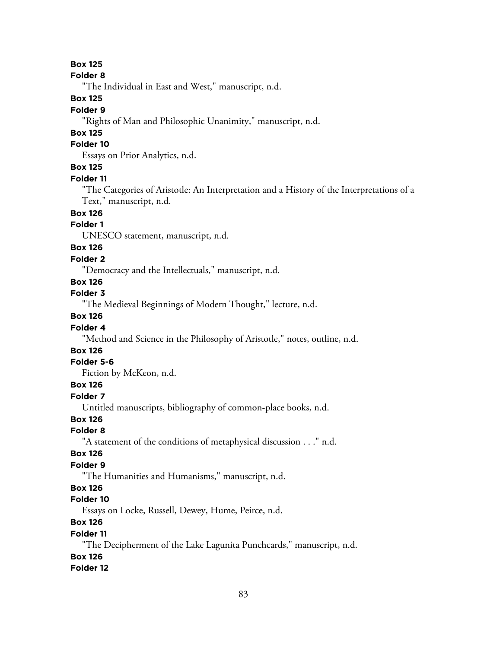# **Box 125**

#### **Folder 8**

"The Individual in East and West," manuscript, n.d.

### **Box 125**

#### **Folder 9**

"Rights of Man and Philosophic Unanimity," manuscript, n.d.

# **Box 125**

# **Folder 10**

Essays on Prior Analytics, n.d.

# **Box 125**

#### **Folder 11**

"The Categories of Aristotle: An Interpretation and a History of the Interpretations of a Text," manuscript, n.d.

# **Box 126**

# **Folder 1**

UNESCO statement, manuscript, n.d.

# **Box 126**

### **Folder 2**

"Democracy and the Intellectuals," manuscript, n.d.

# **Box 126**

**Folder 3**

"The Medieval Beginnings of Modern Thought," lecture, n.d.

## **Box 126**

### **Folder 4**

"Method and Science in the Philosophy of Aristotle," notes, outline, n.d.

# **Box 126**

### **Folder 5-6**

Fiction by McKeon, n.d.

### **Box 126**

#### **Folder 7**

Untitled manuscripts, bibliography of common-place books, n.d.

### **Box 126**

#### **Folder 8**

"A statement of the conditions of metaphysical discussion . . ." n.d.

### **Box 126**

# **Folder 9**

"The Humanities and Humanisms," manuscript, n.d.

### **Box 126**

### **Folder 10**

Essays on Locke, Russell, Dewey, Hume, Peirce, n.d.

# **Box 126**

### **Folder 11**

"The Decipherment of the Lake Lagunita Punchcards," manuscript, n.d. **Box 126**

# **Folder 12**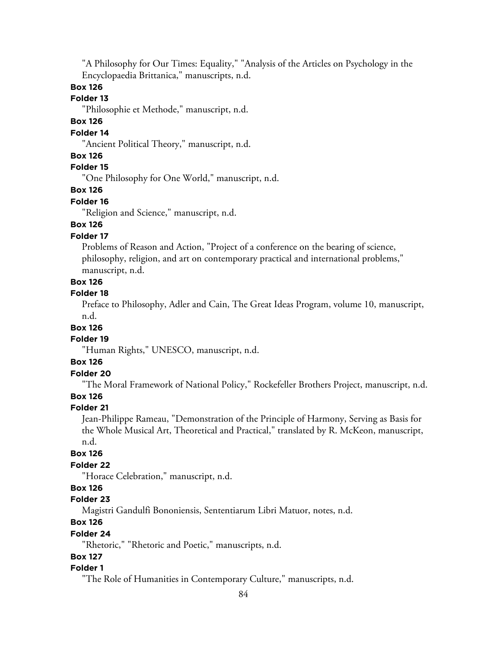"A Philosophy for Our Times: Equality," "Analysis of the Articles on Psychology in the Encyclopaedia Brittanica," manuscripts, n.d.

### **Box 126**

### **Folder 13**

"Philosophie et Methode," manuscript, n.d.

# **Box 126**

### **Folder 14**

"Ancient Political Theory," manuscript, n.d.

# **Box 126**

**Folder 15**

"One Philosophy for One World," manuscript, n.d.

### **Box 126**

#### **Folder 16**

"Religion and Science," manuscript, n.d.

# **Box 126**

# **Folder 17**

Problems of Reason and Action, "Project of a conference on the bearing of science, philosophy, religion, and art on contemporary practical and international problems," manuscript, n.d.

#### **Box 126**

#### **Folder 18**

Preface to Philosophy, Adler and Cain, The Great Ideas Program, volume 10, manuscript, n.d.

#### **Box 126**

#### **Folder 19**

"Human Rights," UNESCO, manuscript, n.d.

#### **Box 126**

## **Folder 20**

"The Moral Framework of National Policy," Rockefeller Brothers Project, manuscript, n.d.

#### **Box 126**

#### **Folder 21**

Jean-Philippe Rameau, "Demonstration of the Principle of Harmony, Serving as Basis for the Whole Musical Art, Theoretical and Practical," translated by R. McKeon, manuscript, n.d.

#### **Box 126**

#### **Folder 22**

"Horace Celebration," manuscript, n.d.

### **Box 126**

### **Folder 23**

Magistri Gandulfi Bononiensis, Sententiarum Libri Matuor, notes, n.d.

## **Box 126**

#### **Folder 24**

"Rhetoric," "Rhetoric and Poetic," manuscripts, n.d.

#### **Box 127**

#### **Folder 1**

"The Role of Humanities in Contemporary Culture," manuscripts, n.d.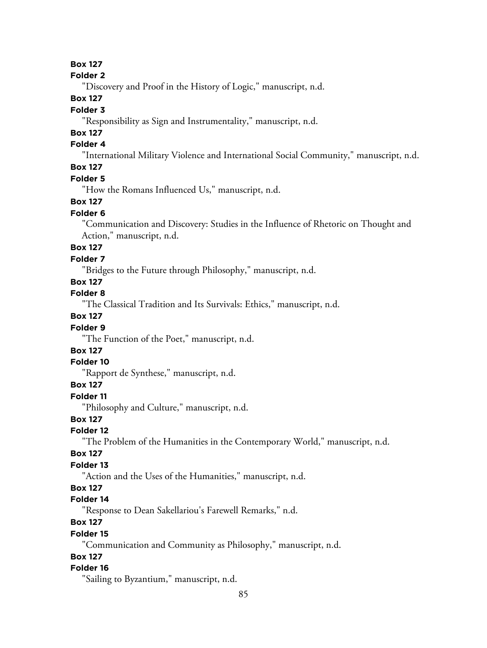# **Box 127**

#### **Folder 2**

"Discovery and Proof in the History of Logic," manuscript, n.d.

### **Box 127**

### **Folder 3**

"Responsibility as Sign and Instrumentality," manuscript, n.d.

# **Box 127**

# **Folder 4**

"International Military Violence and International Social Community," manuscript, n.d.

## **Box 127**

#### **Folder 5**

"How the Romans Influenced Us," manuscript, n.d.

## **Box 127**

#### **Folder 6**

"Communication and Discovery: Studies in the Influence of Rhetoric on Thought and Action," manuscript, n.d.

# **Box 127**

### **Folder 7**

"Bridges to the Future through Philosophy," manuscript, n.d.

# **Box 127**

**Folder 8**

"The Classical Tradition and Its Survivals: Ethics," manuscript, n.d.

## **Box 127**

### **Folder 9**

"The Function of the Poet," manuscript, n.d.

# **Box 127**

# **Folder 10**

"Rapport de Synthese," manuscript, n.d.

### **Box 127**

#### **Folder 11**

"Philosophy and Culture," manuscript, n.d.

### **Box 127**

#### **Folder 12**

"The Problem of the Humanities in the Contemporary World," manuscript, n.d.

#### **Box 127**

### **Folder 13**

"Action and the Uses of the Humanities," manuscript, n.d.

# **Box 127**

### **Folder 14**

"Response to Dean Sakellariou's Farewell Remarks," n.d.

# **Box 127**

#### **Folder 15**

"Communication and Community as Philosophy," manuscript, n.d.

# **Box 127**

#### **Folder 16**

"Sailing to Byzantium," manuscript, n.d.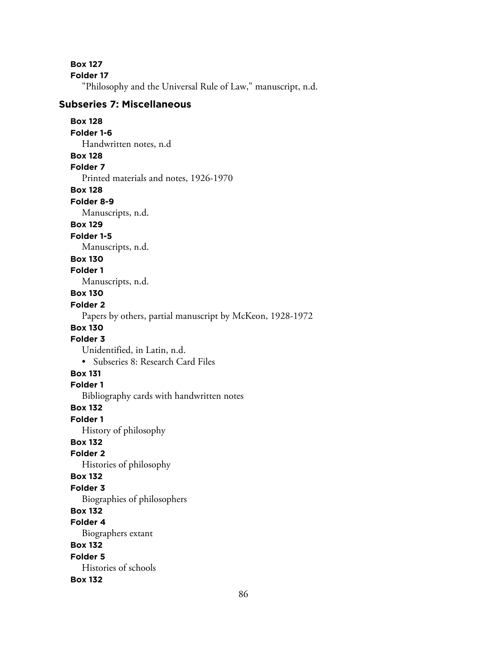**Box 127**

**Folder 17**

"Philosophy and the Universal Rule of Law," manuscript, n.d.

# **Subseries 7: Miscellaneous**

#### **Box 128 Folder 1-6** Handwritten notes, n.d

# **Box 128**

**Folder 7**

Printed materials and notes, 1926-1970

**Box 128**

#### **Folder 8-9**

Manuscripts, n.d.

# **Box 129**

**Folder 1-5**

Manuscripts, n.d.

### **Box 130**

**Folder 1**

Manuscripts, n.d.

# **Box 130**

# **Folder 2**

Papers by others, partial manuscript by McKeon, 1928-1972

# **Box 130**

# **Folder 3**

Unidentified, in Latin, n.d. • Subseries 8: Research Card Files

# **Box 131**

**Folder 1**

Bibliography cards with handwritten notes

# **Box 132**

**Folder 1**

History of philosophy

# **Box 132**

**Folder 2**

Histories of philosophy

# **Box 132**

**Folder 3**

Biographies of philosophers

# **Box 132**

**Folder 4**

Biographers extant

# **Box 132**

**Folder 5**

Histories of schools

# **Box 132**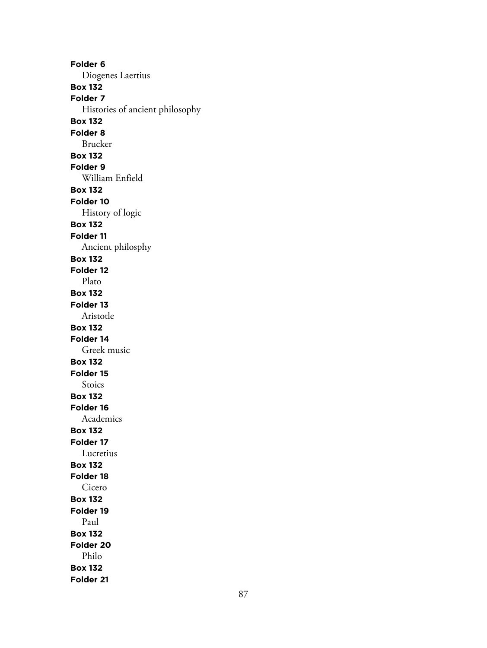**Folder 6** Diogenes Laertius **Box 132 Folder 7** Histories of ancient philosophy **Box 132 Folder 8** Brucker **Box 132 Folder 9** William Enfield **Box 132 Folder 10** History of logic **Box 132 Folder 11** Ancient philosphy **Box 132 Folder 12** Plato **Box 132 Folder 13** Aristotle **Box 132 Folder 14** Greek music **Box 132 Folder 15** Stoics **Box 132 Folder 16** Academics **Box 132 Folder 17** Lucretius **Box 132 Folder 18** Cicero **Box 132 Folder 19** Paul **Box 132 Folder 20** Philo **Box 132 Folder 21**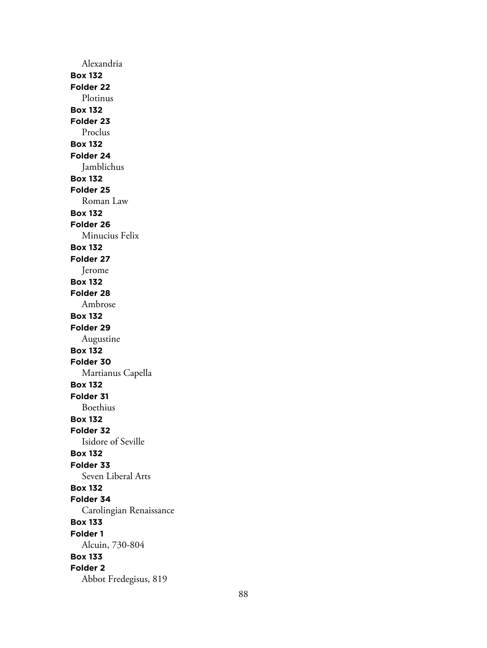Alexandria **Box 132 Folder 22** Plotinus **Box 132 Folder 23** Proclus **Box 132 Folder 24** Jamblichus **Box 132 Folder 25** Roman Law **Box 132 Folder 26** Minucius Felix **Box 132 Folder 27** Jerome **Box 132 Folder 28** Ambrose **Box 132 Folder 29** Augustine **Box 132 Folder 30** Martianus Capella **Box 132 Folder 31** Boethius **Box 132 Folder 32** Isidore of Seville **Box 132 Folder 33** Seven Liberal Arts **Box 132 Folder 34** Carolingian Renaissance **Box 133 Folder 1** Alcuin, 730-804 **Box 133 Folder 2** Abbot Fredegisus, 819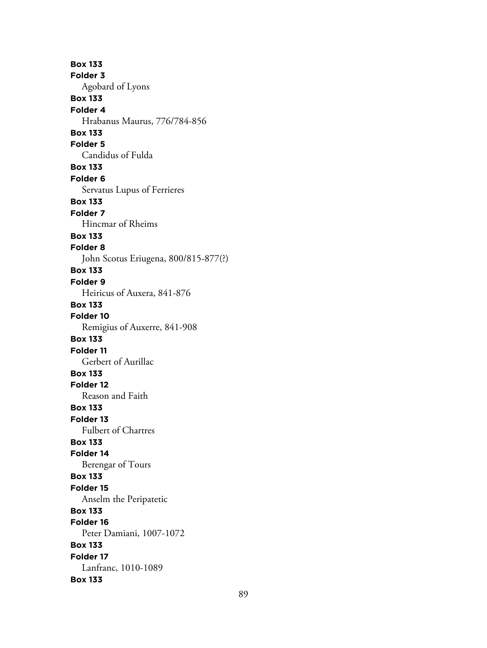**Box 133 Folder 3** Agobard of Lyons **Box 133 Folder 4** Hrabanus Maurus, 776/784-856 **Box 133 Folder 5** Candidus of Fulda **Box 133 Folder 6** Servatus Lupus of Ferrieres **Box 133 Folder 7** Hincmar of Rheims **Box 133 Folder 8** John Scotus Eriugena, 800/815-877(?) **Box 133 Folder 9** Heiricus of Auxera, 841-876 **Box 133 Folder 10** Remigius of Auxerre, 841-908 **Box 133 Folder 11** Gerbert of Aurillac **Box 133 Folder 12** Reason and Faith **Box 133 Folder 13** Fulbert of Chartres **Box 133 Folder 14** Berengar of Tours **Box 133 Folder 15** Anselm the Peripatetic **Box 133 Folder 16** Peter Damiani, 1007-1072 **Box 133 Folder 17** Lanfranc, 1010-1089 **Box 133**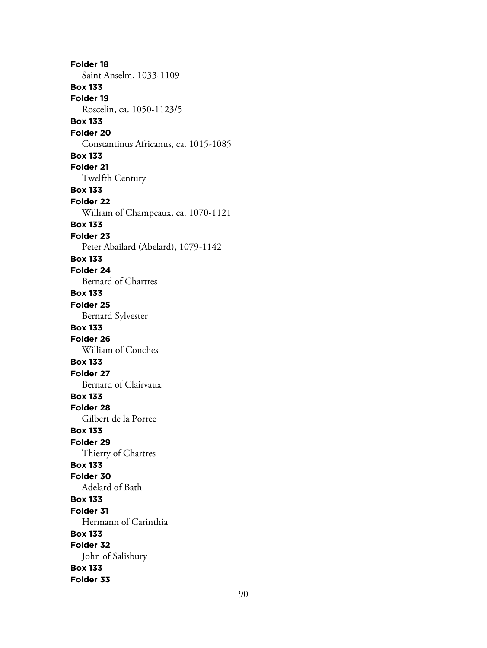**Folder 18** Saint Anselm, 1033-1109 **Box 133 Folder 19** Roscelin, ca. 1050-1123/5 **Box 133 Folder 20** Constantinus Africanus, ca. 1015-1085 **Box 133 Folder 21** Twelfth Century **Box 133 Folder 22** William of Champeaux, ca. 1070-1121 **Box 133 Folder 23** Peter Abailard (Abelard), 1079-1142 **Box 133 Folder 24** Bernard of Chartres **Box 133 Folder 25** Bernard Sylvester **Box 133 Folder 26** William of Conches **Box 133 Folder 27** Bernard of Clairvaux **Box 133 Folder 28** Gilbert de la Porree **Box 133 Folder 29** Thierry of Chartres **Box 133 Folder 30** Adelard of Bath **Box 133 Folder 31** Hermann of Carinthia **Box 133 Folder 32** John of Salisbury **Box 133 Folder 33**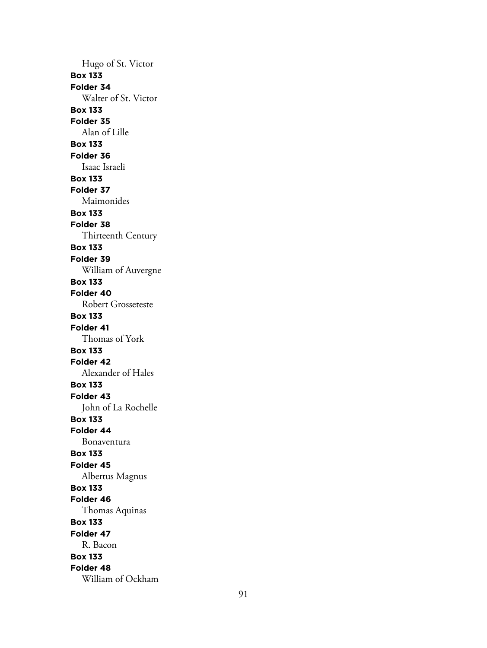Hugo of St. Victor **Box 133 Folder 34** Walter of St. Victor **Box 133 Folder 35** Alan of Lille **Box 133 Folder 36** Isaac Israeli **Box 133 Folder 37** Maimonides **Box 133 Folder 38** Thirteenth Century **Box 133 Folder 39** William of Auvergne **Box 133 Folder 40** Robert Grosseteste **Box 133 Folder 41** Thomas of York **Box 133 Folder 42** Alexander of Hales **Box 133 Folder 43** John of La Rochelle **Box 133 Folder 44** Bonaventura **Box 133 Folder 45** Albertus Magnus **Box 133 Folder 46** Thomas Aquinas **Box 133 Folder 47** R. Bacon **Box 133 Folder 48** William of Ockham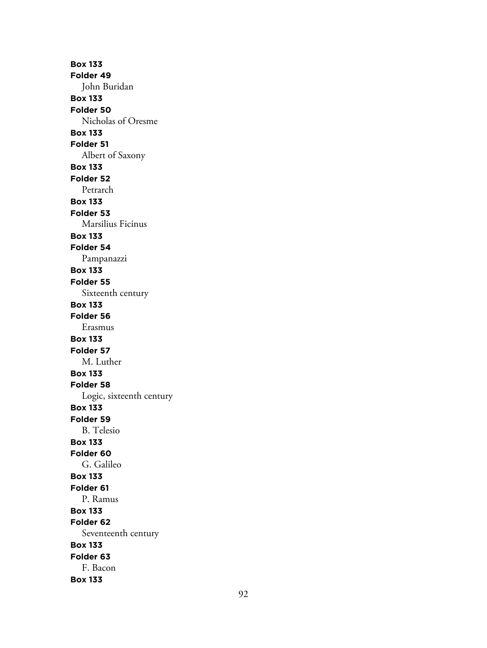**Box 133 Folder 49** John Buridan **Box 133 Folder 50** Nicholas of Oresme **Box 133 Folder 51** Albert of Saxony **Box 133 Folder 52** Petrarch **Box 133 Folder 53** Marsilius Ficinus **Box 133 Folder 54** Pampanazzi **Box 133 Folder 55** Sixteenth century **Box 133 Folder 56** Erasmus **Box 133 Folder 57** M. Luther **Box 133 Folder 58** Logic, sixteenth century **Box 133 Folder 59** B. Telesio **Box 133 Folder 60** G. Galileo **Box 133 Folder 61** P. Ramus **Box 133 Folder 62** Seventeenth century **Box 133 Folder 63** F. Bacon **Box 133**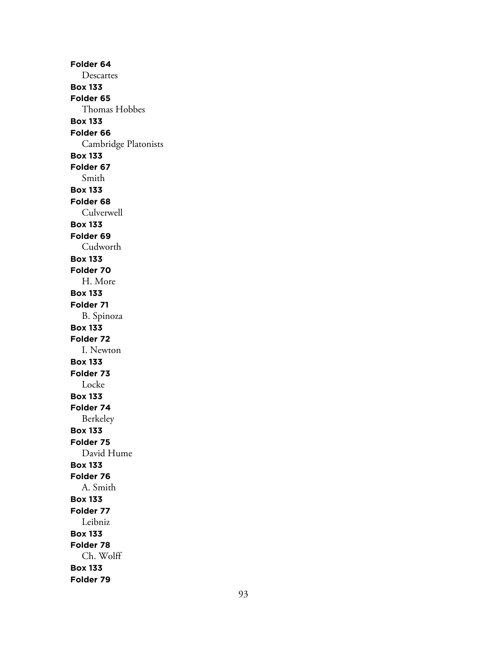**Folder 64** Descartes **Box 133 Folder 65** Thomas Hobbes **Box 133 Folder 66** Cambridge Platonists **Box 133 Folder 67** Smith **Box 133 Folder 68** Culverwell **Box 133 Folder 69** Cudworth **Box 133 Folder 70** H. More **Box 133 Folder 71** B. Spinoza **Box 133 Folder 72** I. Newton **Box 133 Folder 73** Locke **Box 133 Folder 74** Berkeley **Box 133 Folder 75** David Hume **Box 133 Folder 76** A. Smith **Box 133 Folder 77** Leibniz **Box 133 Folder 78** Ch. Wolff **Box 133 Folder 79**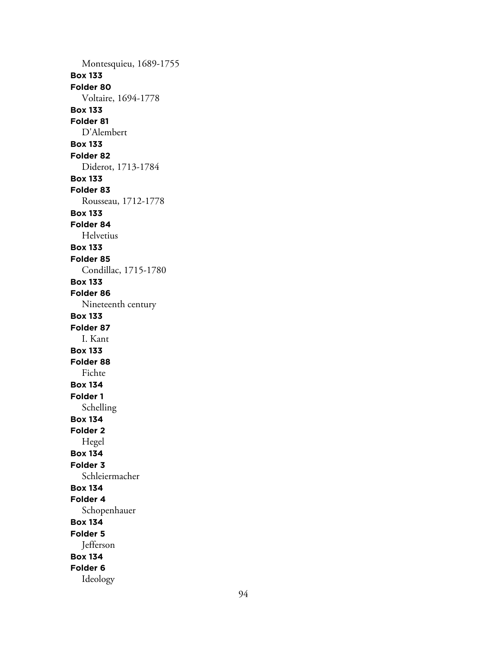Montesquieu, 1689-1755 **Box 133 Folder 80** Voltaire, 1694-1778 **Box 133 Folder 81** D'Alembert **Box 133 Folder 82** Diderot, 1713-1784 **Box 133 Folder 83** Rousseau, 1712-1778 **Box 133 Folder 84** Helvetius **Box 133 Folder 85** Condillac, 1715-1780 **Box 133 Folder 86** Nineteenth century **Box 133 Folder 87** I. Kant **Box 133 Folder 88** Fichte **Box 134 Folder 1** Schelling **Box 134 Folder 2** Hegel **Box 134 Folder 3** Schleiermacher **Box 134 Folder 4** Schopenhauer **Box 134 Folder 5** Jefferson **Box 134 Folder 6** Ideology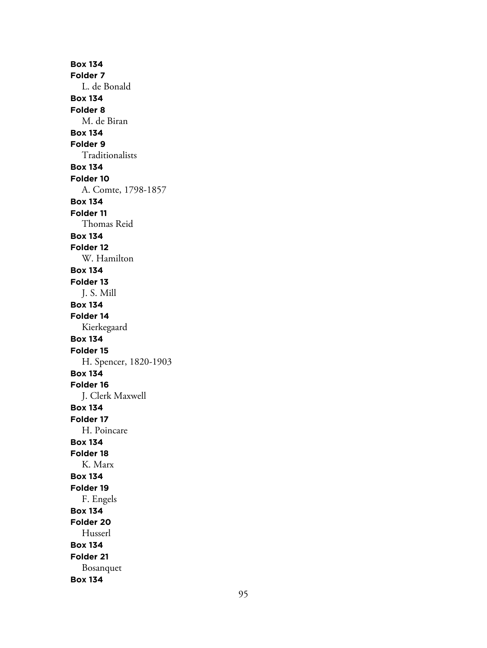**Box 134 Folder 7** L. de Bonald **Box 134 Folder 8** M. de Biran **Box 134 Folder 9** Traditionalists **Box 134 Folder 10** A. Comte, 1798-1857 **Box 134 Folder 11** Thomas Reid **Box 134 Folder 12** W. Hamilton **Box 134 Folder 13** J. S. Mill **Box 134 Folder 14** Kierkegaard **Box 134 Folder 15** H. Spencer, 1820-1903 **Box 134 Folder 16** J. Clerk Maxwell **Box 134 Folder 17** H. Poincare **Box 134 Folder 18** K. Marx **Box 134 Folder 19** F. Engels **Box 134 Folder 20** Husserl **Box 134 Folder 21** Bosanquet **Box 134**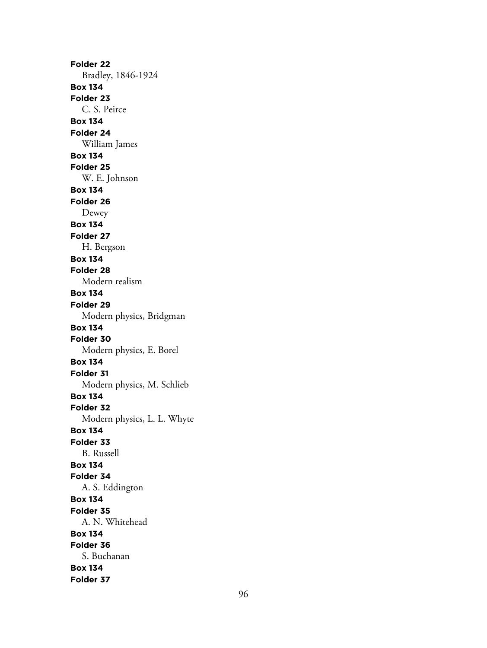**Folder 22** Bradley, 1846-1924 **Box 134 Folder 23** C. S. Peirce **Box 134 Folder 24** William James **Box 134 Folder 25** W. E. Johnson **Box 134 Folder 26** Dewey **Box 134 Folder 27** H. Bergson **Box 134 Folder 28** Modern realism **Box 134 Folder 29** Modern physics, Bridgman **Box 134 Folder 30** Modern physics, E. Borel **Box 134 Folder 31** Modern physics, M. Schlieb **Box 134 Folder 32** Modern physics, L. L. Whyte **Box 134 Folder 33** B. Russell **Box 134 Folder 34** A. S. Eddington **Box 134 Folder 35** A. N. Whitehead **Box 134 Folder 36** S. Buchanan **Box 134 Folder 37**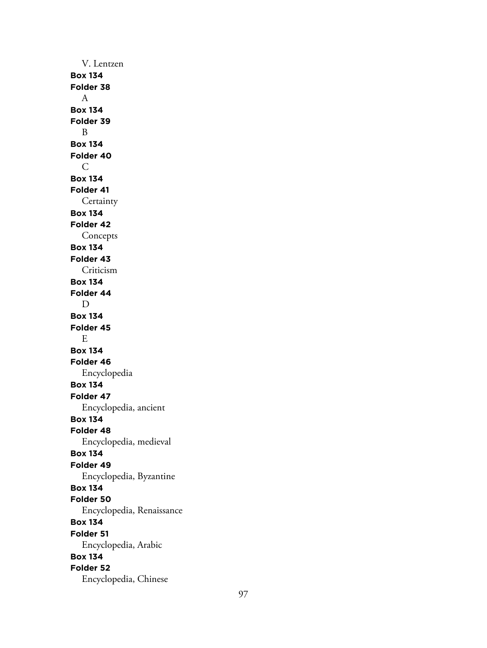V. Lentzen **Box 134 Folder 38** A **Box 134 Folder 39** B **Box 134 Folder 40** C **Box 134 Folder 41 Certainty Box 134 Folder 42** Concepts **Box 134 Folder 43** Criticism **Box 134 Folder 44** D **Box 134 Folder 45** E **Box 134 Folder 46** Encyclopedia **Box 134 Folder 47** Encyclopedia, ancient **Box 134 Folder 48** Encyclopedia, medieval **Box 134 Folder 49** Encyclopedia, Byzantine **Box 134 Folder 50** Encyclopedia, Renaissance **Box 134 Folder 51** Encyclopedia, Arabic **Box 134 Folder 52** Encyclopedia, Chinese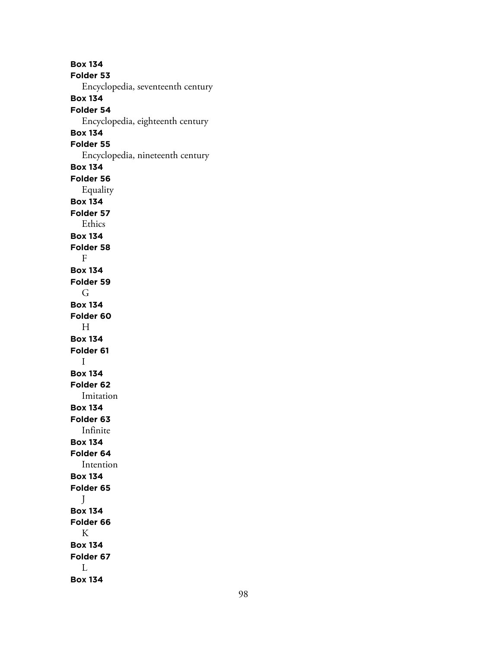**Box 134 Folder 53** Encyclopedia, seventeenth century **Box 134 Folder 54** Encyclopedia, eighteenth century **Box 134 Folder 55** Encyclopedia, nineteenth century **Box 134 Folder 56** Equality **Box 134 Folder 57** Ethics **Box 134 Folder 58** F **Box 134 Folder 59** G **Box 134 Folder 60** H **Box 134 Folder 61** I **Box 134 Folder 62** Imitation **Box 134 Folder 63** Infinite **Box 134 Folder 64** Intention **Box 134 Folder 65** J **Box 134 Folder 66** K **Box 134 Folder 67** L

**Box 134**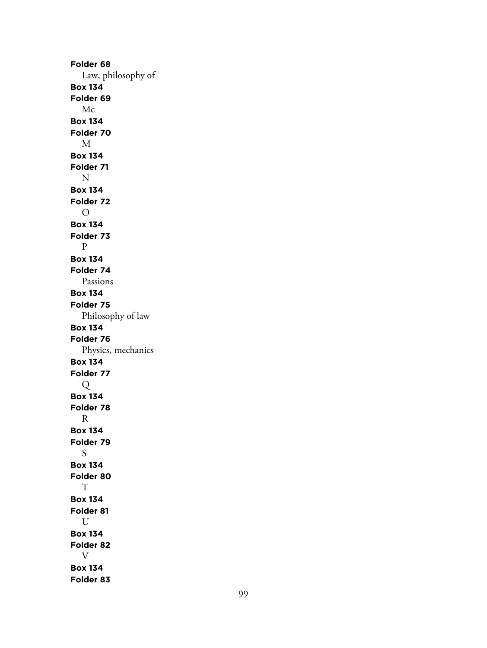**Folder 68** Law, philosophy of **Box 134 Folder 69** Mc **Box 134 Folder 70** M **Box 134 Folder 71** N **Box 134 Folder 72** O **Box 134 Folder 73** P **Box 134 Folder 74** Passions **Box 134 Folder 75** Philosophy of law **Box 134 Folder 76** Physics, mechanics **Box 134 Folder 77** Q **Box 134 Folder 78** R **Box 134 Folder 79** S **Box 134 Folder 80** T **Box 134 Folder 81** U **Box 134 Folder 82** V **Box 134 Folder 83**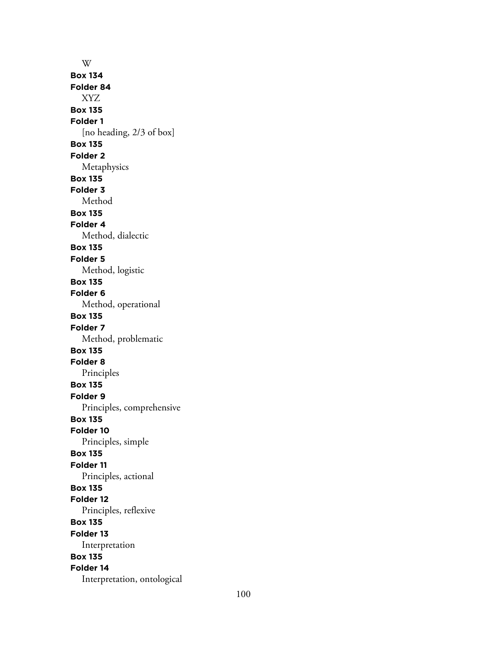W **Box 134 Folder 84** XYZ **Box 135 Folder 1** [no heading, 2/3 of box] **Box 135 Folder 2** Metaphysics **Box 135 Folder 3** Method **Box 135 Folder 4** Method, dialectic **Box 135 Folder 5** Method, logistic **Box 135 Folder 6** Method, operational **Box 135 Folder 7** Method, problematic **Box 135 Folder 8** Principles **Box 135 Folder 9** Principles, comprehensive **Box 135 Folder 10** Principles, simple **Box 135 Folder 11** Principles, actional **Box 135 Folder 12** Principles, reflexive **Box 135 Folder 13** Interpretation **Box 135 Folder 14** Interpretation, ontological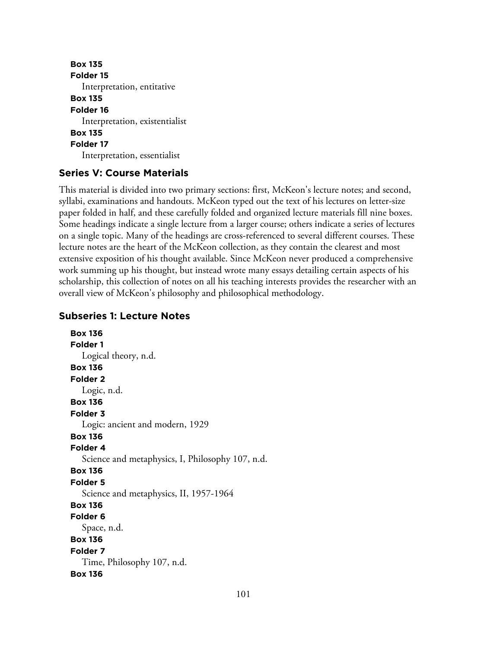```
Box 135
Folder 15
   Interpretation, entitative
Box 135
Folder 16
   Interpretation, existentialist
Box 135
Folder 17
   Interpretation, essentialist
```
### **Series V: Course Materials**

This material is divided into two primary sections: first, McKeon's lecture notes; and second, syllabi, examinations and handouts. McKeon typed out the text of his lectures on letter-size paper folded in half, and these carefully folded and organized lecture materials fill nine boxes. Some headings indicate a single lecture from a larger course; others indicate a series of lectures on a single topic. Many of the headings are cross-referenced to several different courses. These lecture notes are the heart of the McKeon collection, as they contain the clearest and most extensive exposition of his thought available. Since McKeon never produced a comprehensive work summing up his thought, but instead wrote many essays detailing certain aspects of his scholarship, this collection of notes on all his teaching interests provides the researcher with an overall view of McKeon's philosophy and philosophical methodology.

### **Subseries 1: Lecture Notes**

**Box 136 Folder 1** Logical theory, n.d. **Box 136 Folder 2** Logic, n.d. **Box 136 Folder 3** Logic: ancient and modern, 1929 **Box 136 Folder 4** Science and metaphysics, I, Philosophy 107, n.d. **Box 136 Folder 5** Science and metaphysics, II, 1957-1964 **Box 136 Folder 6** Space, n.d. **Box 136 Folder 7** Time, Philosophy 107, n.d. **Box 136**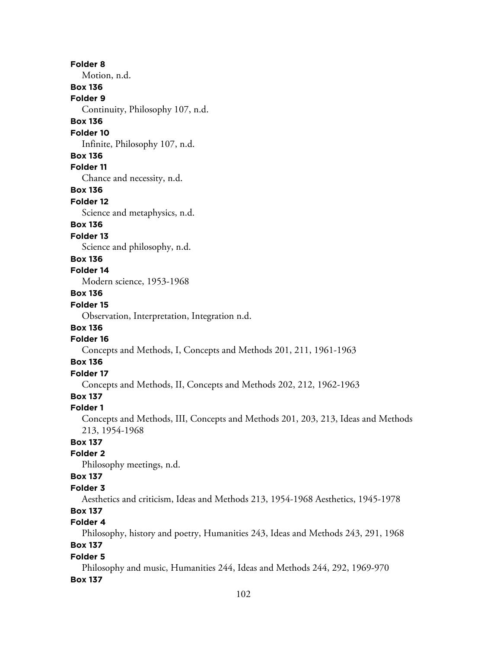**Folder 8** Motion, n.d. **Box 136 Folder 9** Continuity, Philosophy 107, n.d. **Box 136 Folder 10** Infinite, Philosophy 107, n.d. **Box 136 Folder 11** Chance and necessity, n.d. **Box 136 Folder 12** Science and metaphysics, n.d. **Box 136 Folder 13** Science and philosophy, n.d. **Box 136 Folder 14** Modern science, 1953-1968 **Box 136 Folder 15** Observation, Interpretation, Integration n.d. **Box 136 Folder 16** Concepts and Methods, I, Concepts and Methods 201, 211, 1961-1963 **Box 136 Folder 17** Concepts and Methods, II, Concepts and Methods 202, 212, 1962-1963 **Box 137 Folder 1** Concepts and Methods, III, Concepts and Methods 201, 203, 213, Ideas and Methods 213, 1954-1968 **Box 137 Folder 2** Philosophy meetings, n.d. **Box 137 Folder 3** Aesthetics and criticism, Ideas and Methods 213, 1954-1968 Aesthetics, 1945-1978 **Box 137 Folder 4** Philosophy, history and poetry, Humanities 243, Ideas and Methods 243, 291, 1968 **Box 137 Folder 5**

Philosophy and music, Humanities 244, Ideas and Methods 244, 292, 1969-970 **Box 137**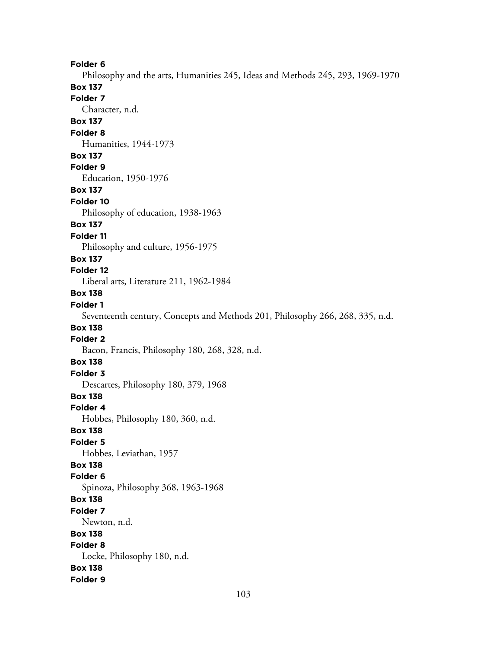**Folder 6**

Philosophy and the arts, Humanities 245, Ideas and Methods 245, 293, 1969-1970 **Box 137**

**Folder 7** Character, n.d. **Box 137 Folder 8** Humanities, 1944-1973 **Box 137 Folder 9** Education, 1950-1976 **Box 137 Folder 10** Philosophy of education, 1938-1963 **Box 137 Folder 11** Philosophy and culture, 1956-1975 **Box 137 Folder 12** Liberal arts, Literature 211, 1962-1984 **Box 138 Folder 1** Seventeenth century, Concepts and Methods 201, Philosophy 266, 268, 335, n.d. **Box 138 Folder 2** Bacon, Francis, Philosophy 180, 268, 328, n.d. **Box 138 Folder 3** Descartes, Philosophy 180, 379, 1968 **Box 138 Folder 4** Hobbes, Philosophy 180, 360, n.d. **Box 138 Folder 5** Hobbes, Leviathan, 1957 **Box 138 Folder 6** Spinoza, Philosophy 368, 1963-1968 **Box 138 Folder 7** Newton, n.d. **Box 138 Folder 8** Locke, Philosophy 180, n.d. **Box 138 Folder 9**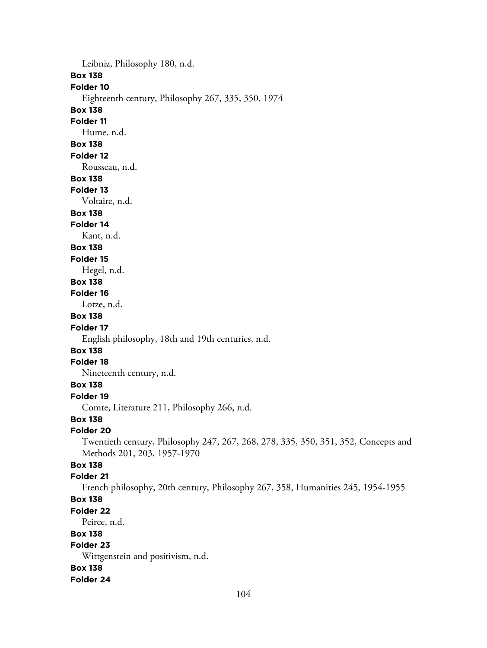Leibniz, Philosophy 180, n.d. **Box 138 Folder 10** Eighteenth century, Philosophy 267, 335, 350, 1974 **Box 138 Folder 11** Hume, n.d. **Box 138 Folder 12** Rousseau, n.d. **Box 138 Folder 13** Voltaire, n.d. **Box 138 Folder 14** Kant, n.d. **Box 138 Folder 15** Hegel, n.d. **Box 138 Folder 16** Lotze, n.d. **Box 138 Folder 17** English philosophy, 18th and 19th centuries, n.d. **Box 138 Folder 18** Nineteenth century, n.d. **Box 138 Folder 19** Comte, Literature 211, Philosophy 266, n.d. **Box 138 Folder 20** Twentieth century, Philosophy 247, 267, 268, 278, 335, 350, 351, 352, Concepts and Methods 201, 203, 1957-1970 **Box 138 Folder 21** French philosophy, 20th century, Philosophy 267, 358, Humanities 245, 1954-1955 **Box 138 Folder 22** Peirce, n.d. **Box 138 Folder 23** Wittgenstein and positivism, n.d. **Box 138 Folder 24**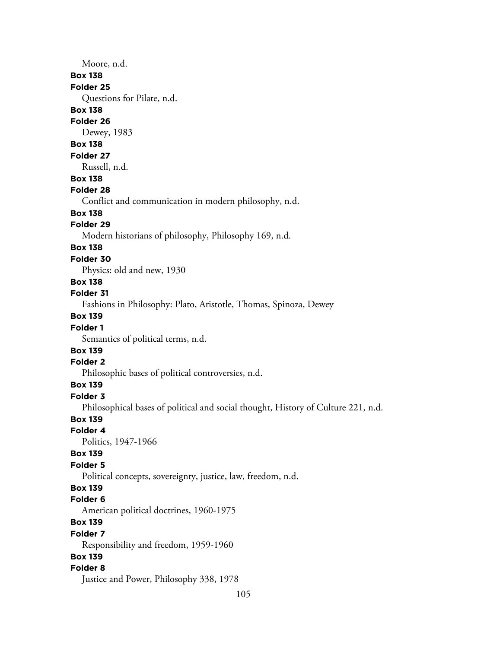## Moore, n.d.

#### **Box 138**

#### **Folder 25**

Questions for Pilate, n.d.

### **Box 138**

### **Folder 26**

Dewey, 1983

# **Box 138**

#### **Folder 27**

Russell, n.d.

# **Box 138**

### **Folder 28**

Conflict and communication in modern philosophy, n.d.

# **Box 138**

### **Folder 29**

Modern historians of philosophy, Philosophy 169, n.d.

# **Box 138**

**Folder 30**

Physics: old and new, 1930

## **Box 138**

#### **Folder 31**

Fashions in Philosophy: Plato, Aristotle, Thomas, Spinoza, Dewey

### **Box 139**

### **Folder 1**

Semantics of political terms, n.d.

# **Box 139**

# **Folder 2**

Philosophic bases of political controversies, n.d.

# **Box 139**

### **Folder 3**

Philosophical bases of political and social thought, History of Culture 221, n.d.

### **Box 139**

#### **Folder 4**

Politics, 1947-1966

### **Box 139**

# **Folder 5**

Political concepts, sovereignty, justice, law, freedom, n.d.

# **Box 139**

#### **Folder 6**

American political doctrines, 1960-1975

## **Box 139**

#### **Folder 7**

Responsibility and freedom, 1959-1960

### **Box 139**

### **Folder 8**

Justice and Power, Philosophy 338, 1978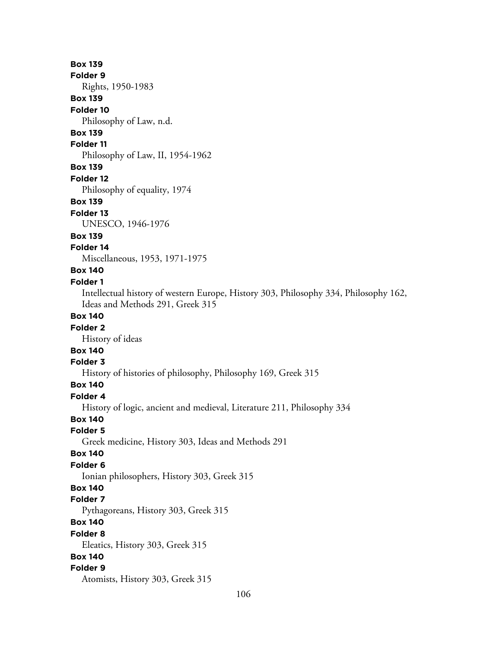**Box 139 Folder 9** Rights, 1950-1983 **Box 139 Folder 10** Philosophy of Law, n.d. **Box 139 Folder 11** Philosophy of Law, II, 1954-1962 **Box 139 Folder 12** Philosophy of equality, 1974 **Box 139 Folder 13** UNESCO, 1946-1976 **Box 139 Folder 14** Miscellaneous, 1953, 1971-1975 **Box 140 Folder 1** Intellectual history of western Europe, History 303, Philosophy 334, Philosophy 162, Ideas and Methods 291, Greek 315 **Box 140 Folder 2** History of ideas **Box 140 Folder 3** History of histories of philosophy, Philosophy 169, Greek 315 **Box 140 Folder 4** History of logic, ancient and medieval, Literature 211, Philosophy 334 **Box 140 Folder 5** Greek medicine, History 303, Ideas and Methods 291 **Box 140 Folder 6** Ionian philosophers, History 303, Greek 315 **Box 140 Folder 7** Pythagoreans, History 303, Greek 315 **Box 140 Folder 8** Eleatics, History 303, Greek 315 **Box 140 Folder 9** Atomists, History 303, Greek 315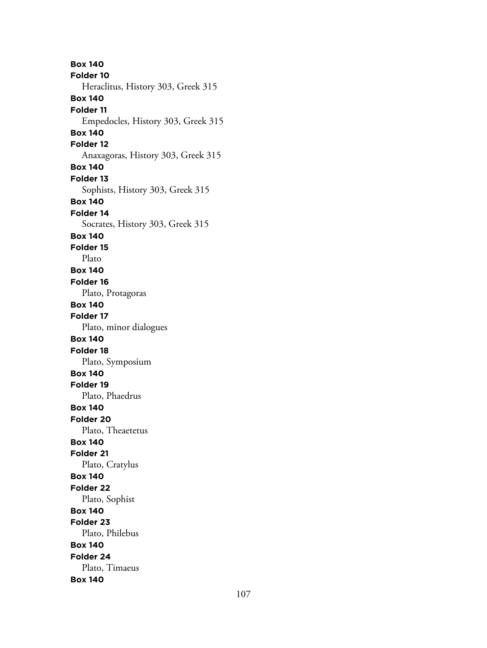**Box 140 Folder 10** Heraclitus, History 303, Greek 315 **Box 140 Folder 11** Empedocles, History 303, Greek 315 **Box 140 Folder 12** Anaxagoras, History 303, Greek 315 **Box 140 Folder 13** Sophists, History 303, Greek 315 **Box 140 Folder 14** Socrates, History 303, Greek 315 **Box 140 Folder 15** Plato **Box 140 Folder 16** Plato, Protagoras **Box 140 Folder 17** Plato, minor dialogues **Box 140 Folder 18** Plato, Symposium **Box 140 Folder 19** Plato, Phaedrus **Box 140 Folder 20** Plato, Theaetetus **Box 140 Folder 21** Plato, Cratylus **Box 140 Folder 22** Plato, Sophist **Box 140 Folder 23** Plato, Philebus **Box 140 Folder 24** Plato, Timaeus **Box 140**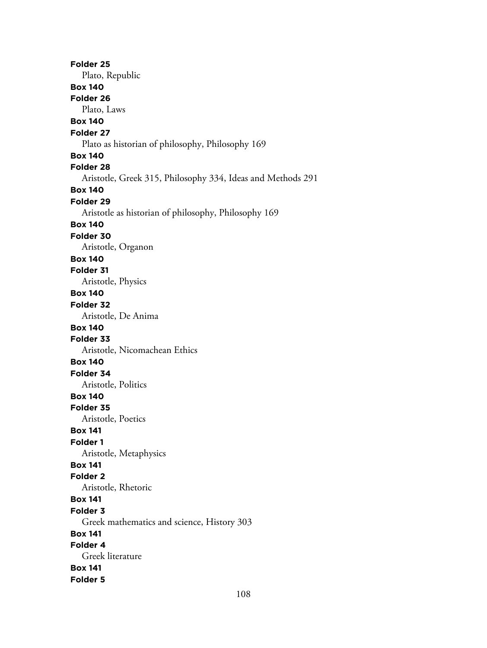**Folder 25** Plato, Republic **Box 140 Folder 26** Plato, Laws **Box 140 Folder 27** Plato as historian of philosophy, Philosophy 169 **Box 140 Folder 28** Aristotle, Greek 315, Philosophy 334, Ideas and Methods 291 **Box 140 Folder 29** Aristotle as historian of philosophy, Philosophy 169 **Box 140 Folder 30** Aristotle, Organon **Box 140 Folder 31** Aristotle, Physics **Box 140 Folder 32** Aristotle, De Anima **Box 140 Folder 33** Aristotle, Nicomachean Ethics **Box 140 Folder 34** Aristotle, Politics **Box 140 Folder 35** Aristotle, Poetics **Box 141 Folder 1** Aristotle, Metaphysics **Box 141 Folder 2** Aristotle, Rhetoric **Box 141 Folder 3** Greek mathematics and science, History 303 **Box 141 Folder 4** Greek literature **Box 141 Folder 5**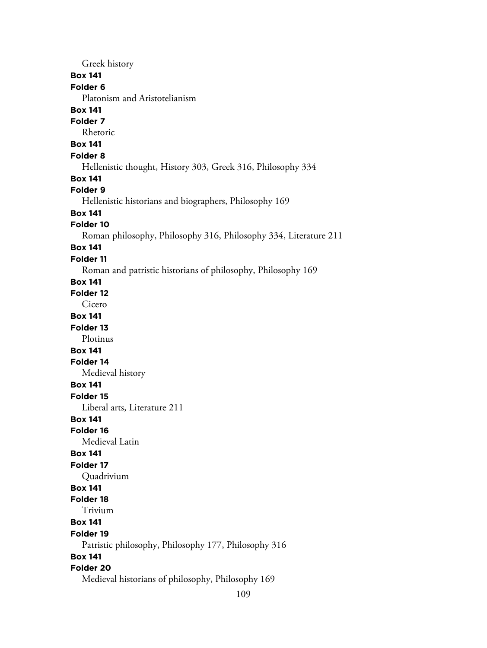Greek history **Box 141 Folder 6** Platonism and Aristotelianism **Box 141 Folder 7** Rhetoric **Box 141 Folder 8** Hellenistic thought, History 303, Greek 316, Philosophy 334 **Box 141 Folder 9** Hellenistic historians and biographers, Philosophy 169 **Box 141 Folder 10** Roman philosophy, Philosophy 316, Philosophy 334, Literature 211 **Box 141 Folder 11** Roman and patristic historians of philosophy, Philosophy 169 **Box 141 Folder 12** Cicero **Box 141 Folder 13** Plotinus **Box 141 Folder 14** Medieval history **Box 141 Folder 15** Liberal arts, Literature 211 **Box 141 Folder 16** Medieval Latin **Box 141 Folder 17** Quadrivium **Box 141 Folder 18** Trivium **Box 141 Folder 19** Patristic philosophy, Philosophy 177, Philosophy 316 **Box 141 Folder 20** Medieval historians of philosophy, Philosophy 169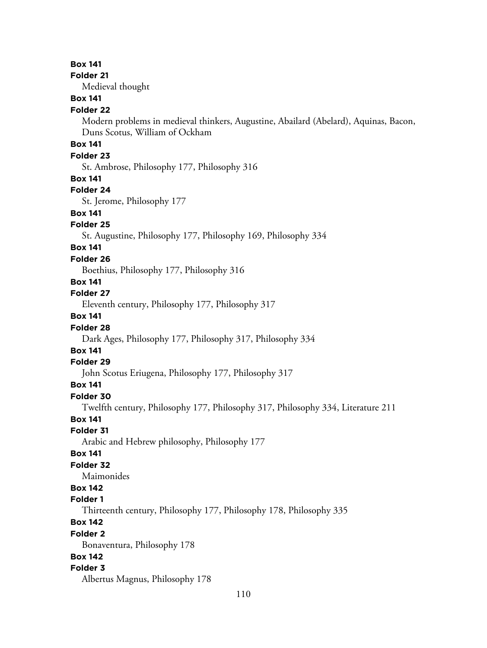### **Box 141**

### **Folder 21**

Medieval thought

## **Box 141**

### **Folder 22**

Modern problems in medieval thinkers, Augustine, Abailard (Abelard), Aquinas, Bacon, Duns Scotus, William of Ockham

## **Box 141**

## **Folder 23**

St. Ambrose, Philosophy 177, Philosophy 316

#### **Box 141**

#### **Folder 24**

St. Jerome, Philosophy 177

## **Box 141**

### **Folder 25**

St. Augustine, Philosophy 177, Philosophy 169, Philosophy 334

## **Box 141**

### **Folder 26**

Boethius, Philosophy 177, Philosophy 316

## **Box 141**

#### **Folder 27**

Eleventh century, Philosophy 177, Philosophy 317

## **Box 141**

#### **Folder 28**

Dark Ages, Philosophy 177, Philosophy 317, Philosophy 334

## **Box 141**

### **Folder 29**

John Scotus Eriugena, Philosophy 177, Philosophy 317

## **Box 141**

## **Folder 30**

Twelfth century, Philosophy 177, Philosophy 317, Philosophy 334, Literature 211

## **Box 141**

### **Folder 31**

Arabic and Hebrew philosophy, Philosophy 177

### **Box 141**

## **Folder 32**

Maimonides

## **Box 142**

## **Folder 1**

Thirteenth century, Philosophy 177, Philosophy 178, Philosophy 335

## **Box 142**

#### **Folder 2**

Bonaventura, Philosophy 178

## **Box 142**

### **Folder 3**

Albertus Magnus, Philosophy 178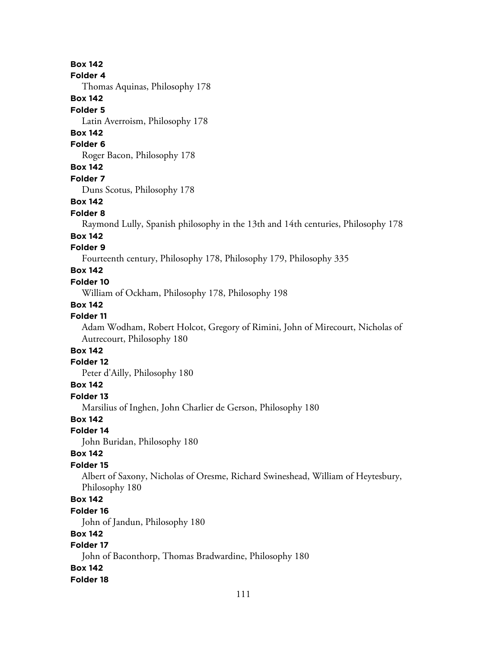## **Box 142**

#### **Folder 4**

Thomas Aquinas, Philosophy 178

## **Box 142**

#### **Folder 5**

Latin Averroism, Philosophy 178

## **Box 142**

**Folder 6**

Roger Bacon, Philosophy 178

## **Box 142**

**Folder 7**

Duns Scotus, Philosophy 178

### **Box 142**

#### **Folder 8**

Raymond Lully, Spanish philosophy in the 13th and 14th centuries, Philosophy 178

### **Box 142**

## **Folder 9**

Fourteenth century, Philosophy 178, Philosophy 179, Philosophy 335

## **Box 142**

### **Folder 10**

William of Ockham, Philosophy 178, Philosophy 198

## **Box 142**

## **Folder 11**

Adam Wodham, Robert Holcot, Gregory of Rimini, John of Mirecourt, Nicholas of Autrecourt, Philosophy 180

## **Box 142**

### **Folder 12**

Peter d'Ailly, Philosophy 180

## **Box 142**

**Folder 13**

Marsilius of Inghen, John Charlier de Gerson, Philosophy 180

## **Box 142**

## **Folder 14**

John Buridan, Philosophy 180

### **Box 142**

### **Folder 15**

Albert of Saxony, Nicholas of Oresme, Richard Swineshead, William of Heytesbury, Philosophy 180

## **Box 142**

#### **Folder 16**

John of Jandun, Philosophy 180

## **Box 142**

## **Folder 17**

John of Baconthorp, Thomas Bradwardine, Philosophy 180

## **Box 142**

### **Folder 18**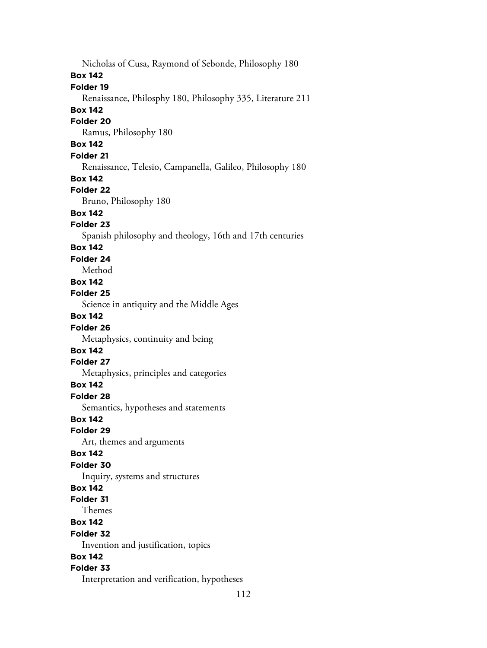Nicholas of Cusa, Raymond of Sebonde, Philosophy 180 **Box 142 Folder 19** Renaissance, Philosphy 180, Philosophy 335, Literature 211 **Box 142 Folder 20** Ramus, Philosophy 180 **Box 142 Folder 21** Renaissance, Telesio, Campanella, Galileo, Philosophy 180 **Box 142 Folder 22** Bruno, Philosophy 180 **Box 142 Folder 23** Spanish philosophy and theology, 16th and 17th centuries **Box 142 Folder 24** Method **Box 142 Folder 25** Science in antiquity and the Middle Ages **Box 142 Folder 26** Metaphysics, continuity and being **Box 142 Folder 27** Metaphysics, principles and categories **Box 142 Folder 28** Semantics, hypotheses and statements **Box 142 Folder 29** Art, themes and arguments **Box 142 Folder 30** Inquiry, systems and structures **Box 142 Folder 31** Themes **Box 142 Folder 32** Invention and justification, topics **Box 142 Folder 33** Interpretation and verification, hypotheses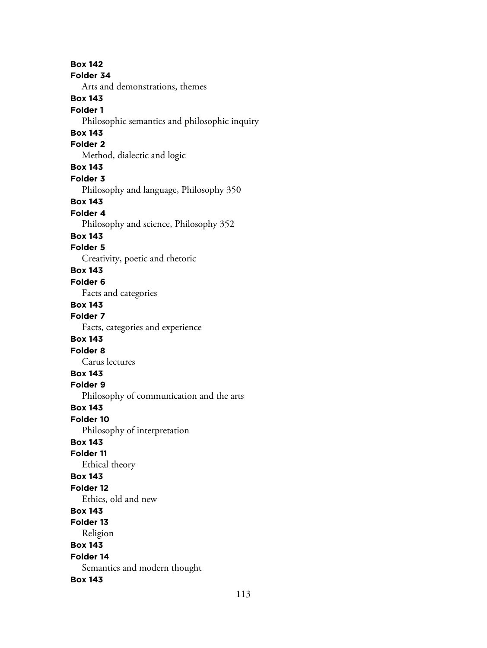**Box 142 Folder 34** Arts and demonstrations, themes **Box 143 Folder 1** Philosophic semantics and philosophic inquiry **Box 143 Folder 2** Method, dialectic and logic **Box 143 Folder 3** Philosophy and language, Philosophy 350 **Box 143 Folder 4** Philosophy and science, Philosophy 352 **Box 143 Folder 5** Creativity, poetic and rhetoric **Box 143 Folder 6** Facts and categories **Box 143 Folder 7** Facts, categories and experience **Box 143 Folder 8** Carus lectures **Box 143 Folder 9** Philosophy of communication and the arts **Box 143 Folder 10** Philosophy of interpretation **Box 143 Folder 11** Ethical theory **Box 143 Folder 12** Ethics, old and new **Box 143 Folder 13** Religion **Box 143 Folder 14** Semantics and modern thought **Box 143**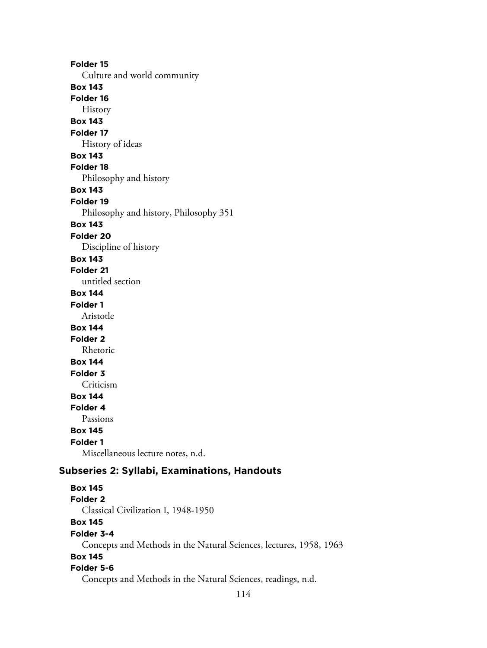**Folder 15** Culture and world community **Box 143 Folder 16** History **Box 143 Folder 17** History of ideas **Box 143 Folder 18** Philosophy and history **Box 143 Folder 19** Philosophy and history, Philosophy 351 **Box 143 Folder 20** Discipline of history **Box 143 Folder 21** untitled section **Box 144 Folder 1** Aristotle **Box 144 Folder 2** Rhetoric **Box 144 Folder 3** Criticism **Box 144 Folder 4** Passions **Box 145 Folder 1** Miscellaneous lecture notes, n.d.

## **Subseries 2: Syllabi, Examinations, Handouts**

**Box 145 Folder 2** Classical Civilization I, 1948-1950 **Box 145 Folder 3-4** Concepts and Methods in the Natural Sciences, lectures, 1958, 1963 **Box 145 Folder 5-6** Concepts and Methods in the Natural Sciences, readings, n.d.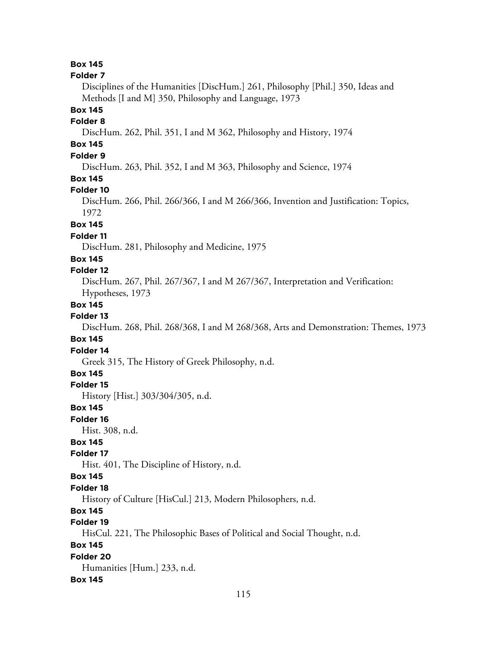**Box 145**

#### **Folder 7**

Disciplines of the Humanities [DiscHum.] 261, Philosophy [Phil.] 350, Ideas and Methods [I and M] 350, Philosophy and Language, 1973

## **Box 145**

### **Folder 8**

DiscHum. 262, Phil. 351, I and M 362, Philosophy and History, 1974

## **Box 145**

## **Folder 9**

DiscHum. 263, Phil. 352, I and M 363, Philosophy and Science, 1974

## **Box 145**

#### **Folder 10**

DiscHum. 266, Phil. 266/366, I and M 266/366, Invention and Justification: Topics, 1972

## **Box 145**

## **Folder 11**

DiscHum. 281, Philosophy and Medicine, 1975

### **Box 145**

## **Folder 12**

DiscHum. 267, Phil. 267/367, I and M 267/367, Interpretation and Verification: Hypotheses, 1973

## **Box 145**

## **Folder 13**

DiscHum. 268, Phil. 268/368, I and M 268/368, Arts and Demonstration: Themes, 1973

## **Box 145**

#### **Folder 14**

Greek 315, The History of Greek Philosophy, n.d.

## **Box 145**

**Folder 15**

History [Hist.] 303/304/305, n.d.

## **Box 145**

**Folder 16**

Hist. 308, n.d.

## **Box 145**

## **Folder 17**

Hist. 401, The Discipline of History, n.d.

### **Box 145**

#### **Folder 18**

History of Culture [HisCul.] 213, Modern Philosophers, n.d.

## **Box 145**

## **Folder 19**

HisCul. 221, The Philosophic Bases of Political and Social Thought, n.d.

## **Box 145**

## **Folder 20**

Humanities [Hum.] 233, n.d.

#### **Box 145**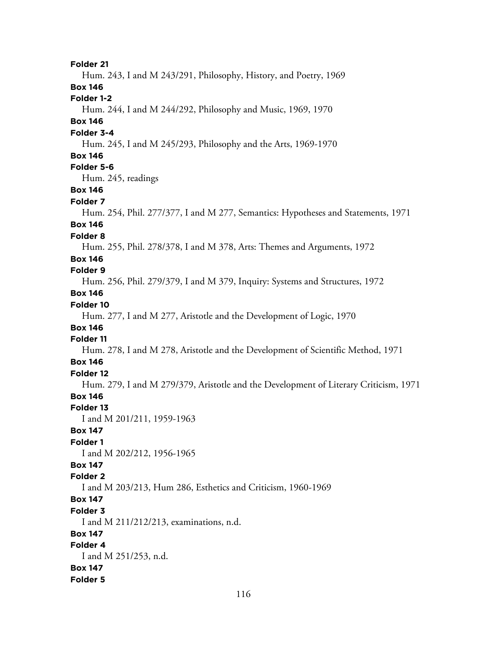**Folder 21** Hum. 243, I and M 243/291, Philosophy, History, and Poetry, 1969 **Box 146 Folder 1-2** Hum. 244, I and M 244/292, Philosophy and Music, 1969, 1970 **Box 146 Folder 3-4** Hum. 245, I and M 245/293, Philosophy and the Arts, 1969-1970 **Box 146 Folder 5-6** Hum. 245, readings **Box 146 Folder 7** Hum. 254, Phil. 277/377, I and M 277, Semantics: Hypotheses and Statements, 1971 **Box 146 Folder 8** Hum. 255, Phil. 278/378, I and M 378, Arts: Themes and Arguments, 1972 **Box 146 Folder 9** Hum. 256, Phil. 279/379, I and M 379, Inquiry: Systems and Structures, 1972 **Box 146 Folder 10** Hum. 277, I and M 277, Aristotle and the Development of Logic, 1970 **Box 146 Folder 11** Hum. 278, I and M 278, Aristotle and the Development of Scientific Method, 1971 **Box 146 Folder 12** Hum. 279, I and M 279/379, Aristotle and the Development of Literary Criticism, 1971 **Box 146 Folder 13** I and M 201/211, 1959-1963 **Box 147 Folder 1** I and M 202/212, 1956-1965 **Box 147 Folder 2** I and M 203/213, Hum 286, Esthetics and Criticism, 1960-1969 **Box 147 Folder 3** I and M 211/212/213, examinations, n.d. **Box 147 Folder 4** I and M 251/253, n.d. **Box 147 Folder 5**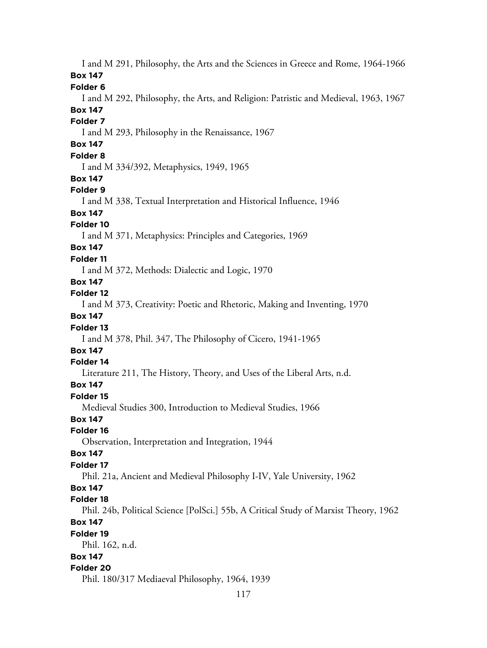I and M 291, Philosophy, the Arts and the Sciences in Greece and Rome, 1964-1966 **Box 147 Folder 6** I and M 292, Philosophy, the Arts, and Religion: Patristic and Medieval, 1963, 1967 **Box 147 Folder 7** I and M 293, Philosophy in the Renaissance, 1967 **Box 147 Folder 8** I and M 334/392, Metaphysics, 1949, 1965 **Box 147 Folder 9** I and M 338, Textual Interpretation and Historical Influence, 1946 **Box 147 Folder 10** I and M 371, Metaphysics: Principles and Categories, 1969 **Box 147 Folder 11** I and M 372, Methods: Dialectic and Logic, 1970 **Box 147 Folder 12** I and M 373, Creativity: Poetic and Rhetoric, Making and Inventing, 1970 **Box 147 Folder 13** I and M 378, Phil. 347, The Philosophy of Cicero, 1941-1965 **Box 147 Folder 14** Literature 211, The History, Theory, and Uses of the Liberal Arts, n.d. **Box 147 Folder 15** Medieval Studies 300, Introduction to Medieval Studies, 1966 **Box 147 Folder 16** Observation, Interpretation and Integration, 1944 **Box 147 Folder 17** Phil. 21a, Ancient and Medieval Philosophy I-IV, Yale University, 1962 **Box 147 Folder 18** Phil. 24b, Political Science [PolSci.] 55b, A Critical Study of Marxist Theory, 1962 **Box 147 Folder 19** Phil. 162, n.d. **Box 147 Folder 20** Phil. 180/317 Mediaeval Philosophy, 1964, 1939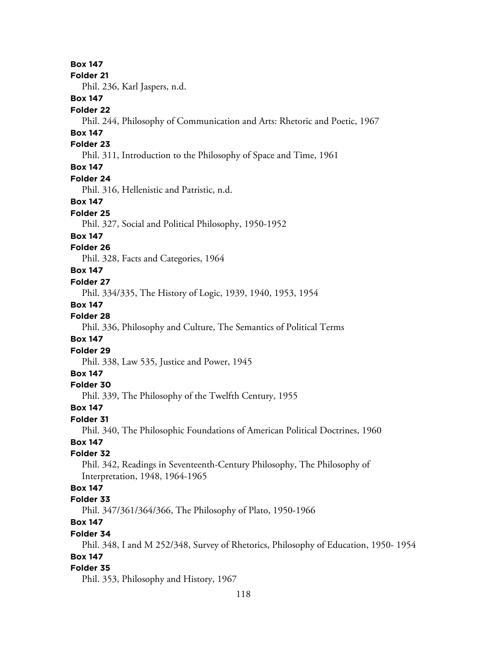**Box 147**

#### **Folder 21**

Phil. 236, Karl Jaspers, n.d.

## **Box 147**

## **Folder 22**

Phil. 244, Philosophy of Communication and Arts: Rhetoric and Poetic, 1967

## **Box 147**

## **Folder 23**

Phil. 311, Introduction to the Philosophy of Space and Time, 1961

## **Box 147**

### **Folder 24**

Phil. 316, Hellenistic and Patristic, n.d.

### **Box 147**

## **Folder 25**

Phil. 327, Social and Political Philosophy, 1950-1952

#### **Box 147**

## **Folder 26**

Phil. 328, Facts and Categories, 1964

## **Box 147**

### **Folder 27**

Phil. 334/335, The History of Logic, 1939, 1940, 1953, 1954

### **Box 147**

## **Folder 28**

Phil. 336, Philosophy and Culture, The Semantics of Political Terms

## **Box 147**

## **Folder 29**

Phil. 338, Law 535, Justice and Power, 1945

## **Box 147**

## **Folder 30**

Phil. 339, The Philosophy of the Twelfth Century, 1955

## **Box 147**

### **Folder 31**

Phil. 340, The Philosophic Foundations of American Political Doctrines, 1960

## **Box 147**

## **Folder 32**

Phil. 342, Readings in Seventeenth-Century Philosophy, The Philosophy of Interpretation, 1948, 1964-1965

## **Box 147**

## **Folder 33**

Phil. 347/361/364/366, The Philosophy of Plato, 1950-1966

## **Box 147**

#### **Folder 34**

Phil. 348, I and M 252/348, Survey of Rhetorics, Philosophy of Education, 1950- 1954 **Box 147**

#### **Folder 35**

Phil. 353, Philosophy and History, 1967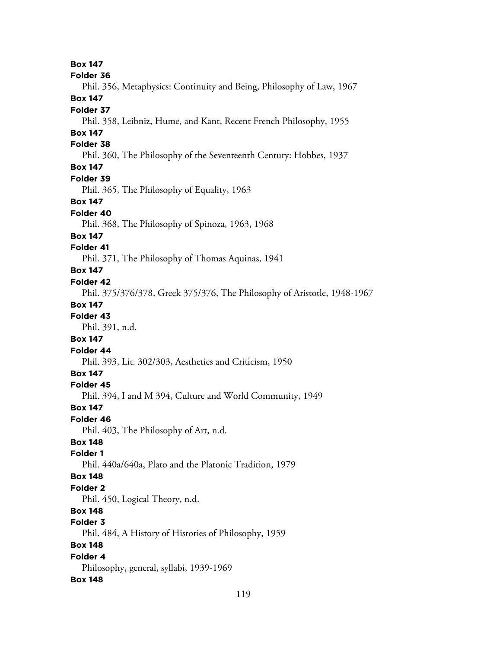**Box 147 Folder 36** Phil. 356, Metaphysics: Continuity and Being, Philosophy of Law, 1967 **Box 147 Folder 37** Phil. 358, Leibniz, Hume, and Kant, Recent French Philosophy, 1955 **Box 147 Folder 38** Phil. 360, The Philosophy of the Seventeenth Century: Hobbes, 1937 **Box 147 Folder 39** Phil. 365, The Philosophy of Equality, 1963 **Box 147 Folder 40** Phil. 368, The Philosophy of Spinoza, 1963, 1968 **Box 147 Folder 41** Phil. 371, The Philosophy of Thomas Aquinas, 1941 **Box 147 Folder 42** Phil. 375/376/378, Greek 375/376, The Philosophy of Aristotle, 1948-1967 **Box 147 Folder 43** Phil. 391, n.d. **Box 147 Folder 44** Phil. 393, Lit. 302/303, Aesthetics and Criticism, 1950 **Box 147 Folder 45** Phil. 394, I and M 394, Culture and World Community, 1949 **Box 147 Folder 46** Phil. 403, The Philosophy of Art, n.d. **Box 148 Folder 1** Phil. 440a/640a, Plato and the Platonic Tradition, 1979 **Box 148 Folder 2** Phil. 450, Logical Theory, n.d. **Box 148 Folder 3** Phil. 484, A History of Histories of Philosophy, 1959 **Box 148 Folder 4** Philosophy, general, syllabi, 1939-1969 **Box 148**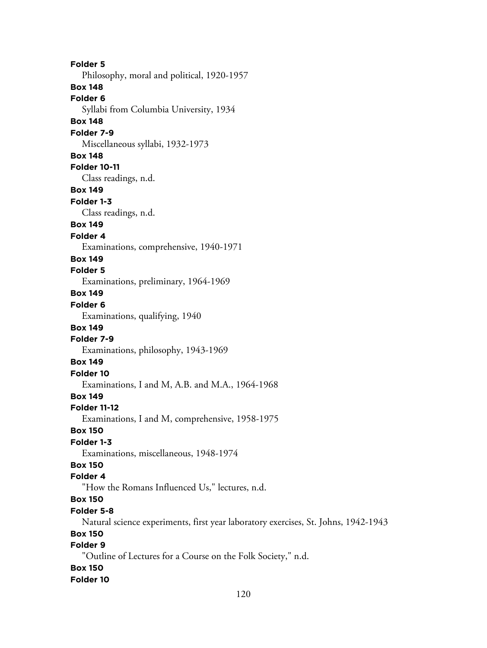**Folder 5** Philosophy, moral and political, 1920-1957 **Box 148 Folder 6** Syllabi from Columbia University, 1934 **Box 148 Folder 7-9** Miscellaneous syllabi, 1932-1973 **Box 148 Folder 10-11** Class readings, n.d. **Box 149 Folder 1-3** Class readings, n.d. **Box 149 Folder 4** Examinations, comprehensive, 1940-1971 **Box 149 Folder 5** Examinations, preliminary, 1964-1969 **Box 149 Folder 6** Examinations, qualifying, 1940 **Box 149 Folder 7-9** Examinations, philosophy, 1943-1969 **Box 149 Folder 10** Examinations, I and M, A.B. and M.A., 1964-1968 **Box 149 Folder 11-12** Examinations, I and M, comprehensive, 1958-1975 **Box 150 Folder 1-3** Examinations, miscellaneous, 1948-1974 **Box 150 Folder 4** "How the Romans Influenced Us," lectures, n.d. **Box 150 Folder 5-8** Natural science experiments, first year laboratory exercises, St. Johns, 1942-1943 **Box 150 Folder 9** "Outline of Lectures for a Course on the Folk Society," n.d. **Box 150 Folder 10**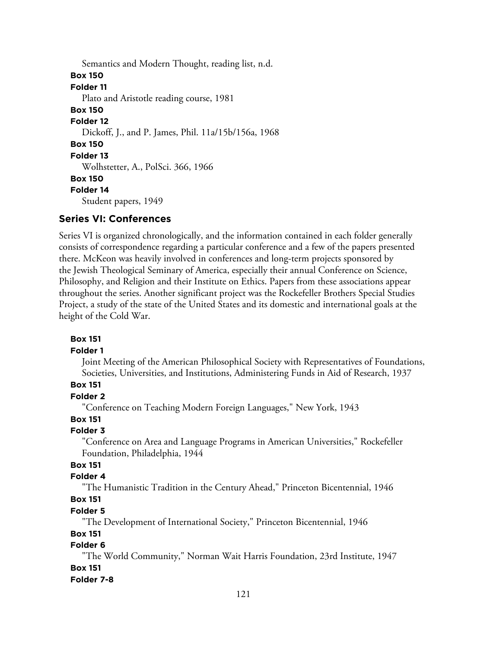Semantics and Modern Thought, reading list, n.d. **Box 150 Folder 11** Plato and Aristotle reading course, 1981 **Box 150 Folder 12** Dickoff, J., and P. James, Phil. 11a/15b/156a, 1968 **Box 150 Folder 13** Wolhstetter, A., PolSci. 366, 1966 **Box 150 Folder 14** Student papers, 1949

## **Series VI: Conferences**

Series VI is organized chronologically, and the information contained in each folder generally consists of correspondence regarding a particular conference and a few of the papers presented there. McKeon was heavily involved in conferences and long-term projects sponsored by the Jewish Theological Seminary of America, especially their annual Conference on Science, Philosophy, and Religion and their Institute on Ethics. Papers from these associations appear throughout the series. Another significant project was the Rockefeller Brothers Special Studies Project, a study of the state of the United States and its domestic and international goals at the height of the Cold War.

#### **Box 151**

#### **Folder 1**

Joint Meeting of the American Philosophical Society with Representatives of Foundations, Societies, Universities, and Institutions, Administering Funds in Aid of Research, 1937

## **Box 151**

## **Folder 2**

"Conference on Teaching Modern Foreign Languages," New York, 1943

## **Box 151**

### **Folder 3**

"Conference on Area and Language Programs in American Universities," Rockefeller Foundation, Philadelphia, 1944

## **Box 151**

### **Folder 4**

"The Humanistic Tradition in the Century Ahead," Princeton Bicentennial, 1946

## **Box 151**

### **Folder 5**

"The Development of International Society," Princeton Bicentennial, 1946

## **Box 151**

## **Folder 6**

"The World Community," Norman Wait Harris Foundation, 23rd Institute, 1947 **Box 151**

#### **Folder 7-8**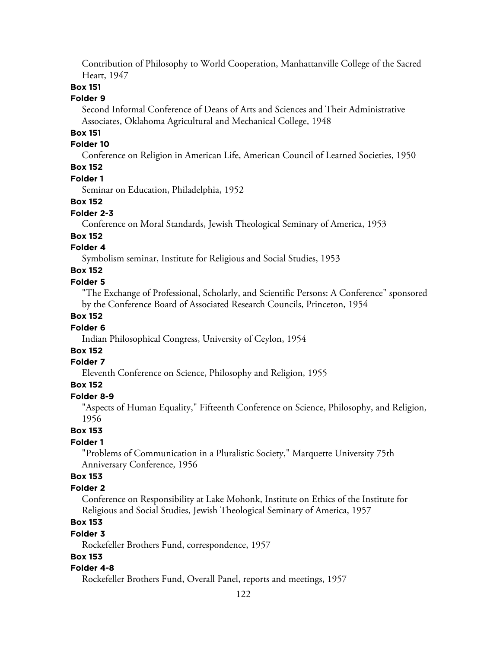Contribution of Philosophy to World Cooperation, Manhattanville College of the Sacred Heart, 1947

### **Box 151**

### **Folder 9**

Second Informal Conference of Deans of Arts and Sciences and Their Administrative Associates, Oklahoma Agricultural and Mechanical College, 1948

## **Box 151**

## **Folder 10**

Conference on Religion in American Life, American Council of Learned Societies, 1950

## **Box 152**

## **Folder 1**

Seminar on Education, Philadelphia, 1952

### **Box 152**

#### **Folder 2-3**

Conference on Moral Standards, Jewish Theological Seminary of America, 1953

### **Box 152**

## **Folder 4**

Symbolism seminar, Institute for Religious and Social Studies, 1953

## **Box 152**

## **Folder 5**

"The Exchange of Professional, Scholarly, and Scientific Persons: A Conference" sponsored by the Conference Board of Associated Research Councils, Princeton, 1954

## **Box 152**

### **Folder 6**

Indian Philosophical Congress, University of Ceylon, 1954

## **Box 152**

## **Folder 7**

Eleventh Conference on Science, Philosophy and Religion, 1955

## **Box 152**

## **Folder 8-9**

"Aspects of Human Equality," Fifteenth Conference on Science, Philosophy, and Religion, 1956

#### **Box 153**

### **Folder 1**

"Problems of Communication in a Pluralistic Society," Marquette University 75th Anniversary Conference, 1956

### **Box 153**

### **Folder 2**

Conference on Responsibility at Lake Mohonk, Institute on Ethics of the Institute for Religious and Social Studies, Jewish Theological Seminary of America, 1957

## **Box 153**

### **Folder 3**

Rockefeller Brothers Fund, correspondence, 1957

### **Box 153**

### **Folder 4-8**

Rockefeller Brothers Fund, Overall Panel, reports and meetings, 1957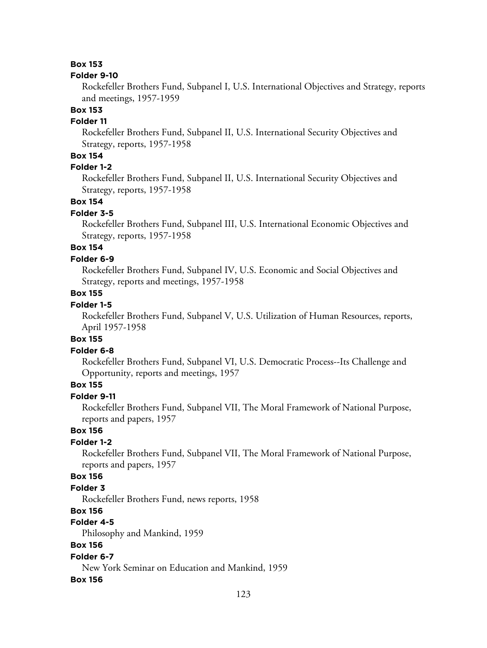## **Box 153**

#### **Folder 9-10**

Rockefeller Brothers Fund, Subpanel I, U.S. International Objectives and Strategy, reports and meetings, 1957-1959

## **Box 153**

## **Folder 11**

Rockefeller Brothers Fund, Subpanel II, U.S. International Security Objectives and Strategy, reports, 1957-1958

## **Box 154**

## **Folder 1-2**

Rockefeller Brothers Fund, Subpanel II, U.S. International Security Objectives and Strategy, reports, 1957-1958

## **Box 154**

#### **Folder 3-5**

Rockefeller Brothers Fund, Subpanel III, U.S. International Economic Objectives and Strategy, reports, 1957-1958

## **Box 154**

### **Folder 6-9**

Rockefeller Brothers Fund, Subpanel IV, U.S. Economic and Social Objectives and Strategy, reports and meetings, 1957-1958

## **Box 155**

## **Folder 1-5**

Rockefeller Brothers Fund, Subpanel V, U.S. Utilization of Human Resources, reports, April 1957-1958

## **Box 155**

### **Folder 6-8**

Rockefeller Brothers Fund, Subpanel VI, U.S. Democratic Process--Its Challenge and Opportunity, reports and meetings, 1957

## **Box 155**

## **Folder 9-11**

Rockefeller Brothers Fund, Subpanel VII, The Moral Framework of National Purpose, reports and papers, 1957

## **Box 156**

#### **Folder 1-2**

Rockefeller Brothers Fund, Subpanel VII, The Moral Framework of National Purpose, reports and papers, 1957

## **Box 156**

## **Folder 3**

Rockefeller Brothers Fund, news reports, 1958

### **Box 156**

#### **Folder 4-5**

Philosophy and Mankind, 1959

### **Box 156**

### **Folder 6-7**

New York Seminar on Education and Mankind, 1959

#### **Box 156**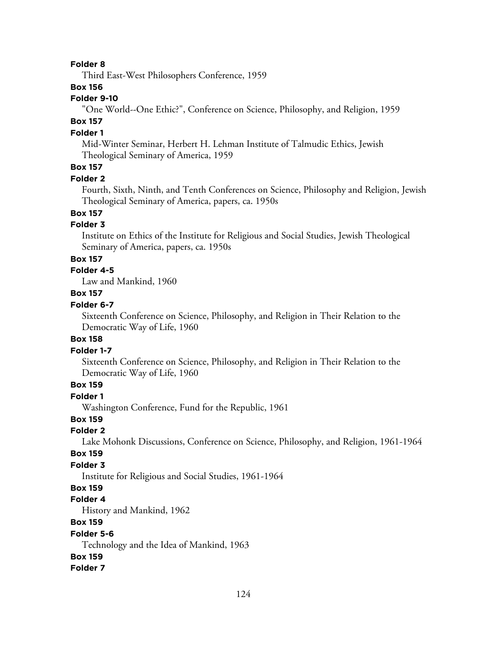#### **Folder 8**

Third East-West Philosophers Conference, 1959

### **Box 156**

## **Folder 9-10**

"One World--One Ethic?", Conference on Science, Philosophy, and Religion, 1959

## **Box 157**

## **Folder 1**

Mid-Winter Seminar, Herbert H. Lehman Institute of Talmudic Ethics, Jewish Theological Seminary of America, 1959

## **Box 157**

#### **Folder 2**

Fourth, Sixth, Ninth, and Tenth Conferences on Science, Philosophy and Religion, Jewish Theological Seminary of America, papers, ca. 1950s

## **Box 157**

## **Folder 3**

Institute on Ethics of the Institute for Religious and Social Studies, Jewish Theological Seminary of America, papers, ca. 1950s

### **Box 157**

## **Folder 4-5**

Law and Mankind, 1960

## **Box 157**

## **Folder 6-7**

Sixteenth Conference on Science, Philosophy, and Religion in Their Relation to the Democratic Way of Life, 1960

### **Box 158**

### **Folder 1-7**

Sixteenth Conference on Science, Philosophy, and Religion in Their Relation to the Democratic Way of Life, 1960

## **Box 159**

**Folder 1**

Washington Conference, Fund for the Republic, 1961

## **Box 159**

## **Folder 2**

Lake Mohonk Discussions, Conference on Science, Philosophy, and Religion, 1961-1964

#### **Box 159**

### **Folder 3**

Institute for Religious and Social Studies, 1961-1964

### **Box 159**

#### **Folder 4**

History and Mankind, 1962

## **Box 159**

#### **Folder 5-6**

Technology and the Idea of Mankind, 1963

#### **Box 159**

**Folder 7**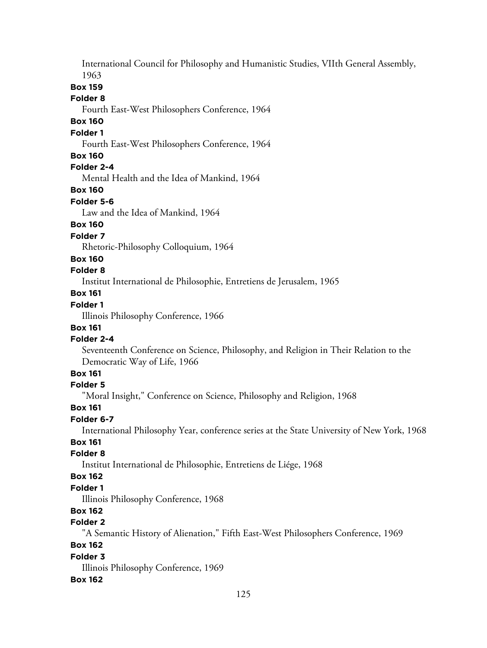International Council for Philosophy and Humanistic Studies, VIIth General Assembly, 1963

### **Box 159**

#### **Folder 8**

Fourth East-West Philosophers Conference, 1964

## **Box 160**

### **Folder 1**

Fourth East-West Philosophers Conference, 1964

## **Box 160**

## **Folder 2-4**

Mental Health and the Idea of Mankind, 1964

## **Box 160**

#### **Folder 5-6**

Law and the Idea of Mankind, 1964

## **Box 160**

#### **Folder 7**

Rhetoric-Philosophy Colloquium, 1964

#### **Box 160**

## **Folder 8**

Institut International de Philosophie, Entretiens de Jerusalem, 1965

## **Box 161**

## **Folder 1**

Illinois Philosophy Conference, 1966

### **Box 161**

### **Folder 2-4**

Seventeenth Conference on Science, Philosophy, and Religion in Their Relation to the Democratic Way of Life, 1966

## **Box 161**

### **Folder 5**

"Moral Insight," Conference on Science, Philosophy and Religion, 1968

#### **Box 161**

### **Folder 6-7**

International Philosophy Year, conference series at the State University of New York, 1968

## **Box 161**

## **Folder 8**

Institut International de Philosophie, Entretiens de Liége, 1968

## **Box 162**

## **Folder 1**

Illinois Philosophy Conference, 1968

## **Box 162**

## **Folder 2**

"A Semantic History of Alienation," Fifth East-West Philosophers Conference, 1969

## **Box 162**

### **Folder 3**

Illinois Philosophy Conference, 1969

### **Box 162**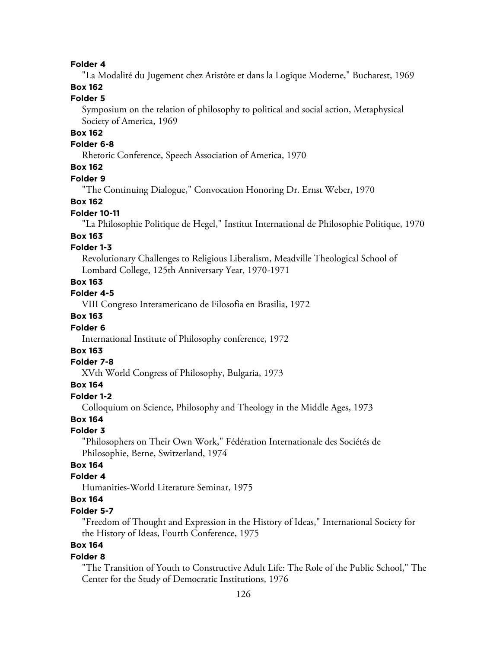## **Folder 4**

"La Modalité du Jugement chez Aristôte et dans la Logique Moderne," Bucharest, 1969

## **Box 162**

## **Folder 5**

Symposium on the relation of philosophy to political and social action, Metaphysical Society of America, 1969

## **Box 162**

### **Folder 6-8**

Rhetoric Conference, Speech Association of America, 1970

## **Box 162**

### **Folder 9**

"The Continuing Dialogue," Convocation Honoring Dr. Ernst Weber, 1970

### **Box 162**

#### **Folder 10-11**

"La Philosophie Politique de Hegel," Institut International de Philosophie Politique, 1970

#### **Box 163**

## **Folder 1-3**

Revolutionary Challenges to Religious Liberalism, Meadville Theological School of Lombard College, 125th Anniversary Year, 1970-1971

### **Box 163**

**Folder 4-5**

VIII Congreso Interamericano de Filosofia en Brasilia, 1972

## **Box 163**

### **Folder 6**

International Institute of Philosophy conference, 1972

## **Box 163**

#### **Folder 7-8**

XVth World Congress of Philosophy, Bulgaria, 1973

## **Box 164**

## **Folder 1-2**

Colloquium on Science, Philosophy and Theology in the Middle Ages, 1973

## **Box 164**

#### **Folder 3**

"Philosophers on Their Own Work," Fédération Internationale des Sociétés de Philosophie, Berne, Switzerland, 1974

## **Box 164**

## **Folder 4**

Humanities-World Literature Seminar, 1975

## **Box 164**

## **Folder 5-7**

"Freedom of Thought and Expression in the History of Ideas," International Society for the History of Ideas, Fourth Conference, 1975

## **Box 164**

#### **Folder 8**

"The Transition of Youth to Constructive Adult Life: The Role of the Public School," The Center for the Study of Democratic Institutions, 1976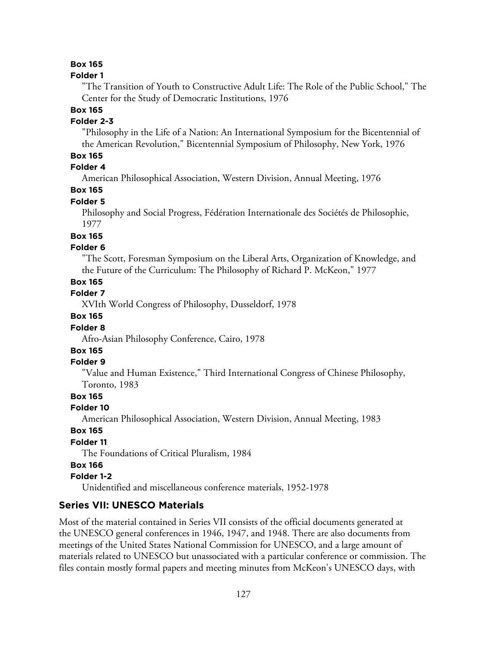## **Box 165**

### **Folder 1**

"The Transition of Youth to Constructive Adult Life: The Role of the Public School," The Center for the Study of Democratic Institutions, 1976

#### **Box 165**

### **Folder 2-3**

"Philosophy in the Life of a Nation: An International Symposium for the Bicentennial of the American Revolution," Bicentennial Symposium of Philosophy, New York, 1976

## **Box 165**

## **Folder 4**

American Philosophical Association, Western Division, Annual Meeting, 1976

## **Box 165**

## **Folder 5**

Philosophy and Social Progress, Fédération Internationale des Sociétés de Philosophie, 1977

### **Box 165**

## **Folder 6**

"The Scott, Foresman Symposium on the Liberal Arts, Organization of Knowledge, and the Future of the Curriculum: The Philosophy of Richard P. McKeon," 1977

## **Box 165**

**Folder 7**

XVIth World Congress of Philosophy, Dusseldorf, 1978

### **Box 165**

#### **Folder 8**

Afro-Asian Philosophy Conference, Cairo, 1978

## **Box 165**

## **Folder 9**

"Value and Human Existence," Third International Congress of Chinese Philosophy, Toronto, 1983

## **Box 165**

#### **Folder 10**

American Philosophical Association, Western Division, Annual Meeting, 1983

## **Box 165**

## **Folder 11**

The Foundations of Critical Pluralism, 1984

## **Box 166**

### **Folder 1-2**

Unidentified and miscellaneous conference materials, 1952-1978

## **Series VII: UNESCO Materials**

Most of the material contained in Series VII consists of the official documents generated at the UNESCO general conferences in 1946, 1947, and 1948. There are also documents from meetings of the United States National Commission for UNESCO, and a large amount of materials related to UNESCO but unassociated with a particular conference or commission. The files contain mostly formal papers and meeting minutes from McKeon's UNESCO days, with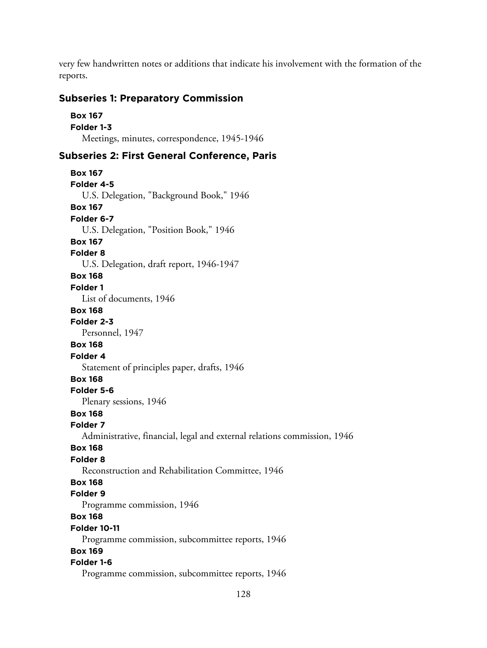very few handwritten notes or additions that indicate his involvement with the formation of the reports.

## **Subseries 1: Preparatory Commission**

```
Box 167
Folder 1-3
  Meetings, minutes, correspondence, 1945-1946
```
## **Subseries 2: First General Conference, Paris**

```
Box 167
Folder 4-5
  U.S. Delegation, "Background Book," 1946
Box 167
Folder 6-7
  U.S. Delegation, "Position Book," 1946
Box 167
Folder 8
  U.S. Delegation, draft report, 1946-1947
Box 168
Folder 1
  List of documents, 1946
Box 168
Folder 2-3
  Personnel, 1947
Box 168
Folder 4
  Statement of principles paper, drafts, 1946
Box 168
Folder 5-6
  Plenary sessions, 1946
Box 168
Folder 7
  Administrative, financial, legal and external relations commission, 1946
Box 168
Folder 8
  Reconstruction and Rehabilitation Committee, 1946
Box 168
Folder 9
  Programme commission, 1946
Box 168
Folder 10-11
  Programme commission, subcommittee reports, 1946
Box 169
Folder 1-6
  Programme commission, subcommittee reports, 1946
```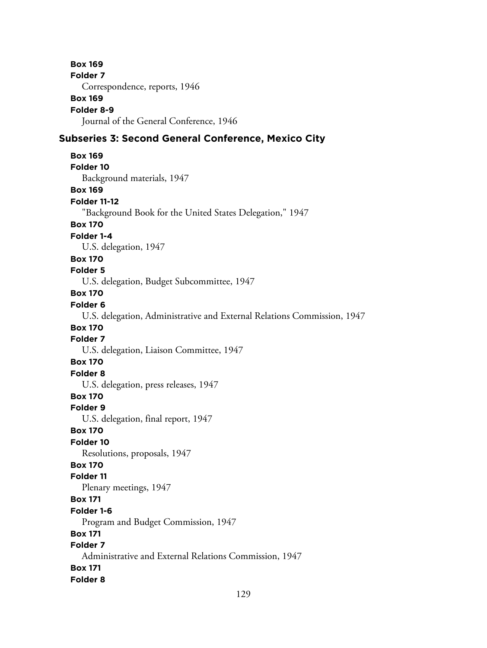**Box 169 Folder 7** Correspondence, reports, 1946 **Box 169 Folder 8-9** Journal of the General Conference, 1946 **Subseries 3: Second General Conference, Mexico City Box 169 Folder 10** Background materials, 1947 **Box 169 Folder 11-12** "Background Book for the United States Delegation," 1947 **Box 170 Folder 1-4** U.S. delegation, 1947 **Box 170 Folder 5** U.S. delegation, Budget Subcommittee, 1947 **Box 170 Folder 6** U.S. delegation, Administrative and External Relations Commission, 1947 **Box 170 Folder 7** U.S. delegation, Liaison Committee, 1947 **Box 170 Folder 8** U.S. delegation, press releases, 1947 **Box 170 Folder 9** U.S. delegation, final report, 1947 **Box 170 Folder 10** Resolutions, proposals, 1947 **Box 170 Folder 11** Plenary meetings, 1947 **Box 171 Folder 1-6** Program and Budget Commission, 1947 **Box 171 Folder 7** Administrative and External Relations Commission, 1947 **Box 171 Folder 8**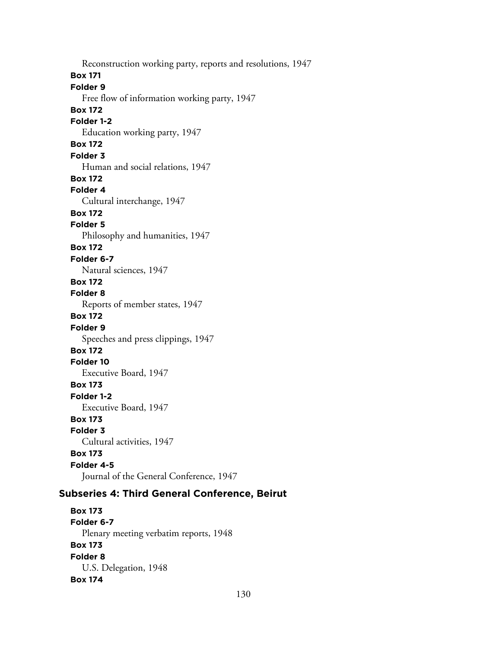Reconstruction working party, reports and resolutions, 1947 **Box 171 Folder 9** Free flow of information working party, 1947 **Box 172 Folder 1-2** Education working party, 1947 **Box 172 Folder 3** Human and social relations, 1947 **Box 172 Folder 4** Cultural interchange, 1947 **Box 172 Folder 5** Philosophy and humanities, 1947 **Box 172 Folder 6-7** Natural sciences, 1947 **Box 172 Folder 8** Reports of member states, 1947 **Box 172 Folder 9** Speeches and press clippings, 1947 **Box 172 Folder 10** Executive Board, 1947 **Box 173 Folder 1-2** Executive Board, 1947 **Box 173 Folder 3** Cultural activities, 1947 **Box 173 Folder 4-5** Journal of the General Conference, 1947 **Subseries 4: Third General Conference, Beirut**

**Box 173 Folder 6-7** Plenary meeting verbatim reports, 1948 **Box 173 Folder 8** U.S. Delegation, 1948 **Box 174**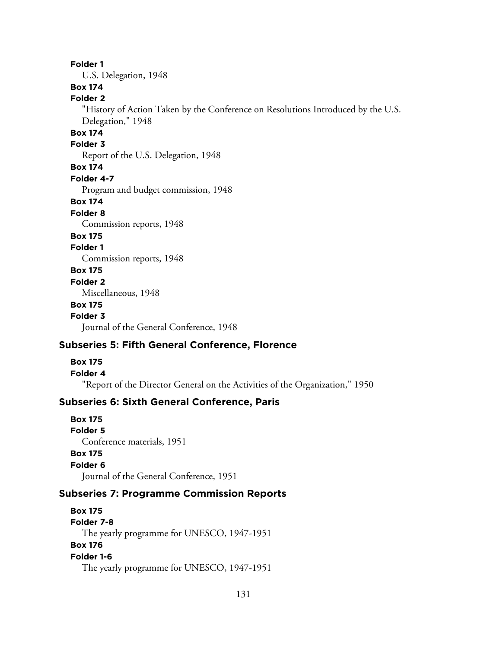#### **Folder 1**

U.S. Delegation, 1948

## **Box 174**

## **Folder 2**

"History of Action Taken by the Conference on Resolutions Introduced by the U.S. Delegation," 1948

## **Box 174**

### **Folder 3**

Report of the U.S. Delegation, 1948

#### **Box 174**

**Folder 4-7**

Program and budget commission, 1948

### **Box 174**

#### **Folder 8**

Commission reports, 1948

### **Box 175**

**Folder 1**

Commission reports, 1948

## **Box 175**

#### **Folder 2**

Miscellaneous, 1948

#### **Box 175**

**Folder 3**

Journal of the General Conference, 1948

## **Subseries 5: Fifth General Conference, Florence**

#### **Box 175**

#### **Folder 4**

"Report of the Director General on the Activities of the Organization," 1950

## **Subseries 6: Sixth General Conference, Paris**

**Box 175 Folder 5** Conference materials, 1951 **Box 175 Folder 6** Journal of the General Conference, 1951

### **Subseries 7: Programme Commission Reports**

**Box 175 Folder 7-8** The yearly programme for UNESCO, 1947-1951 **Box 176 Folder 1-6** The yearly programme for UNESCO, 1947-1951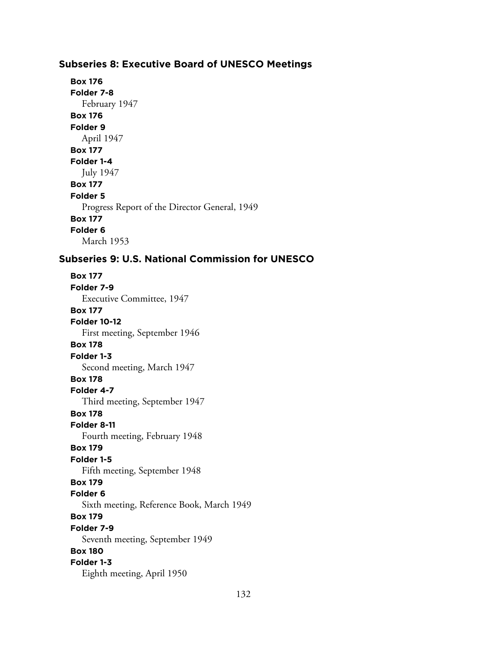## **Subseries 8: Executive Board of UNESCO Meetings**

```
Box 176
Folder 7-8
  February 1947
Box 176
Folder 9
  April 1947
Box 177
Folder 1-4
  July 1947
Box 177
Folder 5
  Progress Report of the Director General, 1949
Box 177
Folder 6
  March 1953
```
## **Subseries 9: U.S. National Commission for UNESCO**

**Box 177 Folder 7-9** Executive Committee, 1947 **Box 177 Folder 10-12** First meeting, September 1946 **Box 178 Folder 1-3** Second meeting, March 1947 **Box 178 Folder 4-7** Third meeting, September 1947 **Box 178 Folder 8-11** Fourth meeting, February 1948 **Box 179 Folder 1-5** Fifth meeting, September 1948 **Box 179 Folder 6** Sixth meeting, Reference Book, March 1949 **Box 179 Folder 7-9** Seventh meeting, September 1949 **Box 180 Folder 1-3** Eighth meeting, April 1950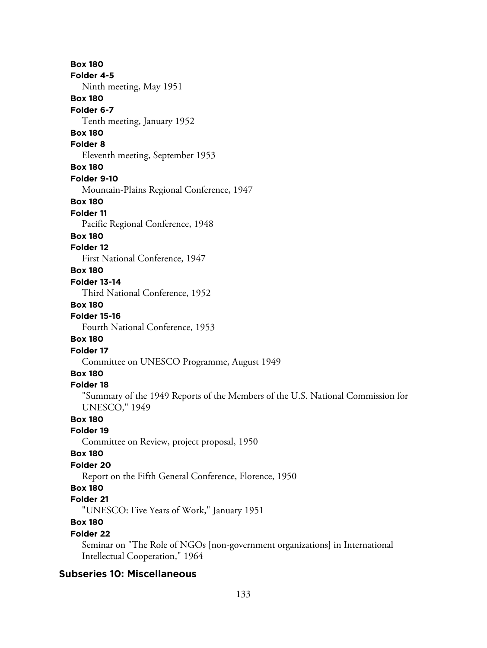**Box 180 Folder 4-5** Ninth meeting, May 1951 **Box 180 Folder 6-7** Tenth meeting, January 1952 **Box 180 Folder 8** Eleventh meeting, September 1953 **Box 180 Folder 9-10** Mountain-Plains Regional Conference, 1947 **Box 180 Folder 11** Pacific Regional Conference, 1948 **Box 180 Folder 12** First National Conference, 1947 **Box 180 Folder 13-14** Third National Conference, 1952 **Box 180 Folder 15-16** Fourth National Conference, 1953 **Box 180 Folder 17** Committee on UNESCO Programme, August 1949 **Box 180 Folder 18** "Summary of the 1949 Reports of the Members of the U.S. National Commission for UNESCO," 1949 **Box 180 Folder 19** Committee on Review, project proposal, 1950 **Box 180 Folder 20** Report on the Fifth General Conference, Florence, 1950 **Box 180 Folder 21** "UNESCO: Five Years of Work," January 1951 **Box 180 Folder 22** Seminar on "The Role of NGOs [non-government organizations] in International Intellectual Cooperation," 1964

## **Subseries 10: Miscellaneous**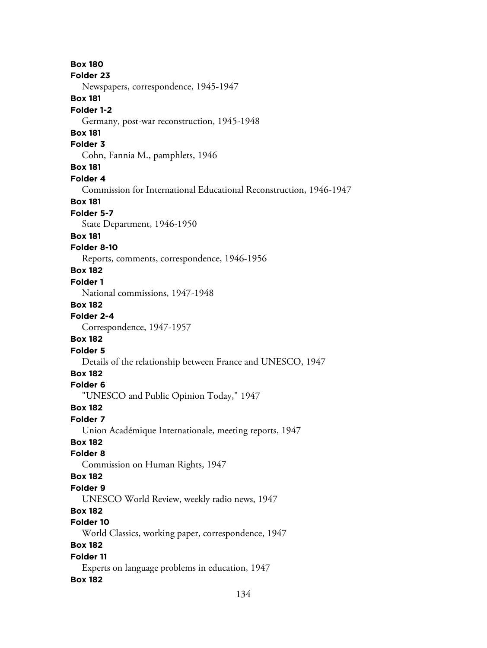**Box 180 Folder 23** Newspapers, correspondence, 1945-1947 **Box 181 Folder 1-2** Germany, post-war reconstruction, 1945-1948 **Box 181 Folder 3** Cohn, Fannia M., pamphlets, 1946 **Box 181 Folder 4** Commission for International Educational Reconstruction, 1946-1947 **Box 181 Folder 5-7** State Department, 1946-1950 **Box 181 Folder 8-10** Reports, comments, correspondence, 1946-1956 **Box 182 Folder 1** National commissions, 1947-1948 **Box 182 Folder 2-4** Correspondence, 1947-1957 **Box 182 Folder 5** Details of the relationship between France and UNESCO, 1947 **Box 182 Folder 6** "UNESCO and Public Opinion Today," 1947 **Box 182 Folder 7** Union Académique Internationale, meeting reports, 1947 **Box 182 Folder 8** Commission on Human Rights, 1947 **Box 182 Folder 9** UNESCO World Review, weekly radio news, 1947 **Box 182 Folder 10** World Classics, working paper, correspondence, 1947 **Box 182 Folder 11** Experts on language problems in education, 1947 **Box 182**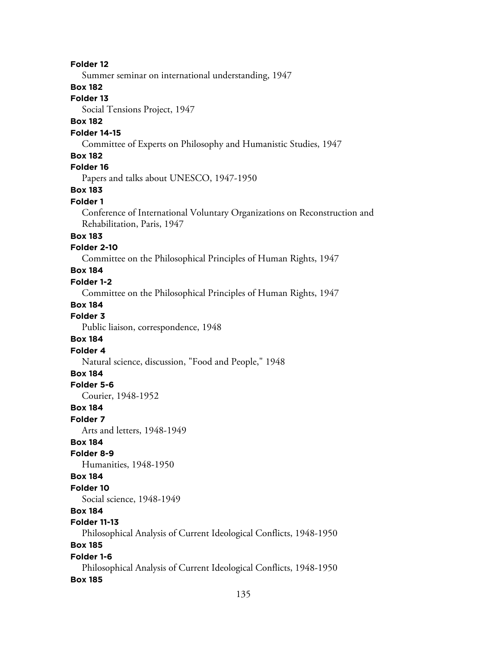### **Folder 12**

Summer seminar on international understanding, 1947

### **Box 182**

## **Folder 13**

Social Tensions Project, 1947

### **Box 182**

#### **Folder 14-15**

Committee of Experts on Philosophy and Humanistic Studies, 1947

#### **Box 182**

## **Folder 16**

Papers and talks about UNESCO, 1947-1950

## **Box 183**

#### **Folder 1**

Conference of International Voluntary Organizations on Reconstruction and Rehabilitation, Paris, 1947

## **Box 183**

## **Folder 2-10**

Committee on the Philosophical Principles of Human Rights, 1947

## **Box 184**

### **Folder 1-2**

Committee on the Philosophical Principles of Human Rights, 1947

#### **Box 184**

#### **Folder 3**

Public liaison, correspondence, 1948

### **Box 184**

#### **Folder 4**

Natural science, discussion, "Food and People," 1948

### **Box 184**

### **Folder 5-6**

Courier, 1948-1952

#### **Box 184**

#### **Folder 7**

Arts and letters, 1948-1949

### **Box 184**

#### **Folder 8-9**

Humanities, 1948-1950

#### **Box 184**

#### **Folder 10**

Social science, 1948-1949

## **Box 184**

### **Folder 11-13**

Philosophical Analysis of Current Ideological Conflicts, 1948-1950

### **Box 185**

## **Folder 1-6**

Philosophical Analysis of Current Ideological Conflicts, 1948-1950 **Box 185**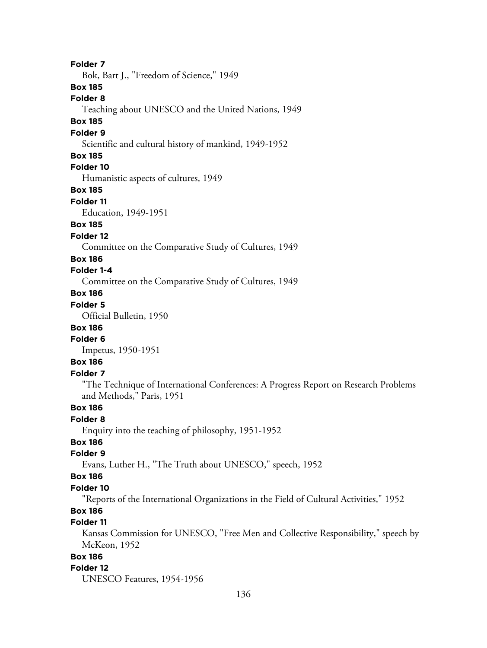**Folder 7** Bok, Bart J., "Freedom of Science," 1949 **Box 185 Folder 8** Teaching about UNESCO and the United Nations, 1949 **Box 185 Folder 9** Scientific and cultural history of mankind, 1949-1952 **Box 185 Folder 10** Humanistic aspects of cultures, 1949 **Box 185 Folder 11** Education, 1949-1951 **Box 185 Folder 12** Committee on the Comparative Study of Cultures, 1949 **Box 186 Folder 1-4** Committee on the Comparative Study of Cultures, 1949 **Box 186 Folder 5** Official Bulletin, 1950 **Box 186 Folder 6** Impetus, 1950-1951 **Box 186 Folder 7** "The Technique of International Conferences: A Progress Report on Research Problems and Methods," Paris, 1951 **Box 186 Folder 8** Enquiry into the teaching of philosophy, 1951-1952 **Box 186 Folder 9** Evans, Luther H., "The Truth about UNESCO," speech, 1952 **Box 186 Folder 10** "Reports of the International Organizations in the Field of Cultural Activities," 1952 **Box 186 Folder 11** Kansas Commission for UNESCO, "Free Men and Collective Responsibility," speech by McKeon, 1952 **Box 186 Folder 12** UNESCO Features, 1954-1956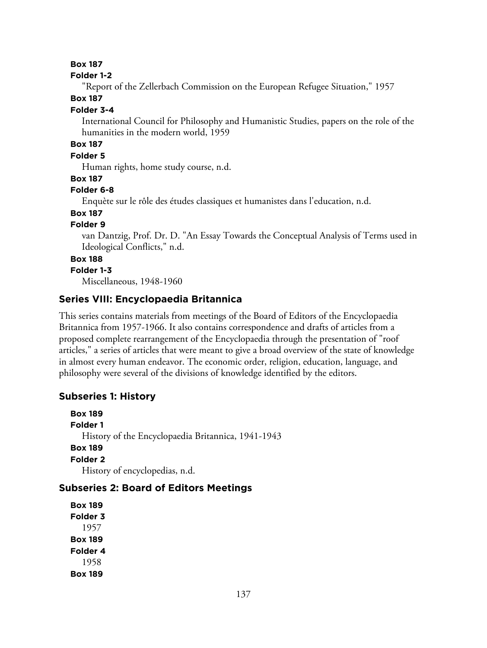## **Box 187**

### **Folder 1-2**

"Report of the Zellerbach Commission on the European Refugee Situation," 1957

## **Box 187**

#### **Folder 3-4**

International Council for Philosophy and Humanistic Studies, papers on the role of the humanities in the modern world, 1959

## **Box 187**

## **Folder 5**

Human rights, home study course, n.d.

### **Box 187**

## **Folder 6-8**

Enquète sur le rôle des études classiques et humanistes dans l'education, n.d.

## **Box 187**

## **Folder 9**

van Dantzig, Prof. Dr. D. "An Essay Towards the Conceptual Analysis of Terms used in Ideological Conflicts," n.d.

## **Box 188**

## **Folder 1-3**

Miscellaneous, 1948-1960

## **Series VIII: Encyclopaedia Britannica**

This series contains materials from meetings of the Board of Editors of the Encyclopaedia Britannica from 1957-1966. It also contains correspondence and drafts of articles from a proposed complete rearrangement of the Encyclopaedia through the presentation of "roof articles," a series of articles that were meant to give a broad overview of the state of knowledge in almost every human endeavor. The economic order, religion, education, language, and philosophy were several of the divisions of knowledge identified by the editors.

## **Subseries 1: History**

**Box 189 Folder 1** History of the Encyclopaedia Britannica, 1941-1943 **Box 189 Folder 2** History of encyclopedias, n.d.

## **Subseries 2: Board of Editors Meetings**

**Box 189 Folder 3** 1957 **Box 189 Folder 4** 1958 **Box 189**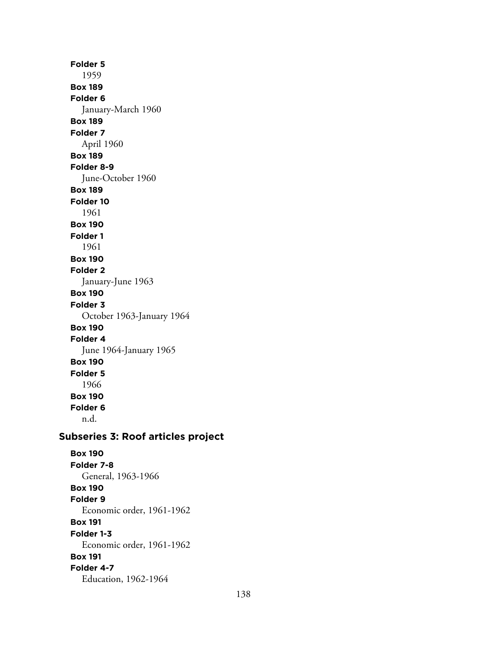**Folder 5** 1959 **Box 189 Folder 6** January-March 1960 **Box 189 Folder 7** April 1960 **Box 189 Folder 8-9** June-October 1960 **Box 189 Folder 10** 1961 **Box 190 Folder 1** 1961 **Box 190 Folder 2** January-June 1963 **Box 190 Folder 3** October 1963-January 1964 **Box 190 Folder 4** June 1964-January 1965 **Box 190 Folder 5** 1966 **Box 190 Folder 6** n.d. **Subseries 3: Roof articles project Box 190**

**Folder 7-8** General, 1963-1966 **Box 190 Folder 9** Economic order, 1961-1962 **Box 191 Folder 1-3** Economic order, 1961-1962 **Box 191 Folder 4-7** Education, 1962-1964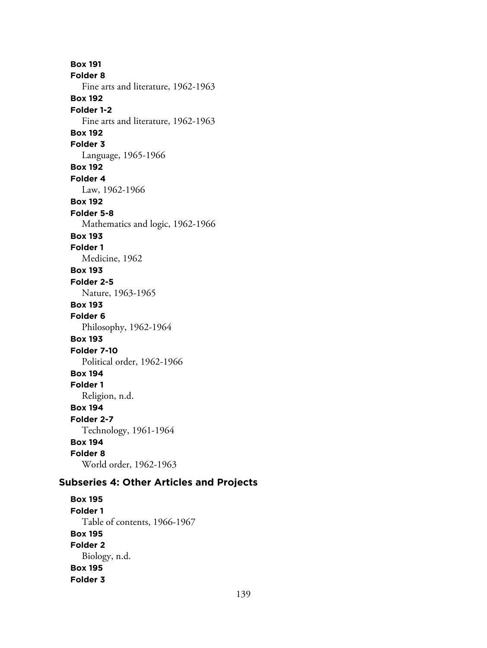**Box 191 Folder 8** Fine arts and literature, 1962-1963 **Box 192 Folder 1-2** Fine arts and literature, 1962-1963 **Box 192 Folder 3** Language, 1965-1966 **Box 192 Folder 4** Law, 1962-1966 **Box 192 Folder 5-8** Mathematics and logic, 1962-1966 **Box 193 Folder 1** Medicine, 1962 **Box 193 Folder 2-5** Nature, 1963-1965 **Box 193 Folder 6** Philosophy, 1962-1964 **Box 193 Folder 7-10** Political order, 1962-1966 **Box 194 Folder 1** Religion, n.d. **Box 194 Folder 2-7** Technology, 1961-1964 **Box 194 Folder 8** World order, 1962-1963

## **Subseries 4: Other Articles and Projects**

**Box 195 Folder 1** Table of contents, 1966-1967 **Box 195 Folder 2** Biology, n.d. **Box 195 Folder 3**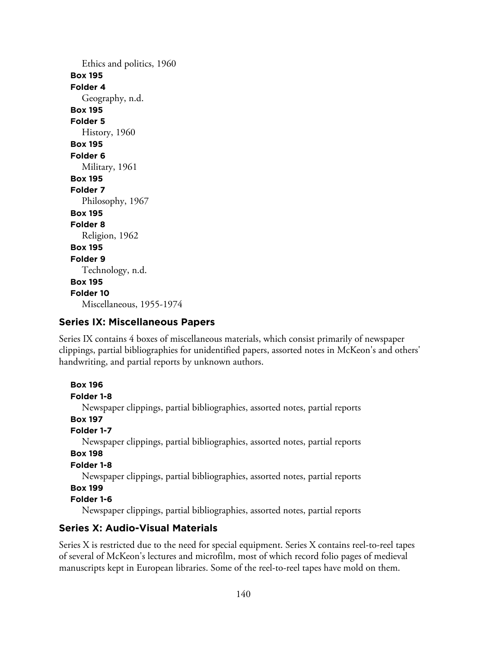Ethics and politics, 1960 **Box 195 Folder 4** Geography, n.d. **Box 195 Folder 5** History, 1960 **Box 195 Folder 6** Military, 1961 **Box 195 Folder 7** Philosophy, 1967 **Box 195 Folder 8** Religion, 1962 **Box 195 Folder 9** Technology, n.d. **Box 195 Folder 10** Miscellaneous, 1955-1974

## **Series IX: Miscellaneous Papers**

Series IX contains 4 boxes of miscellaneous materials, which consist primarily of newspaper clippings, partial bibliographies for unidentified papers, assorted notes in McKeon's and others' handwriting, and partial reports by unknown authors.

```
Box 196
Folder 1-8
   Newspaper clippings, partial bibliographies, assorted notes, partial reports
Box 197
Folder 1-7
  Newspaper clippings, partial bibliographies, assorted notes, partial reports
Box 198
Folder 1-8
  Newspaper clippings, partial bibliographies, assorted notes, partial reports
Box 199
Folder 1-6
```
Newspaper clippings, partial bibliographies, assorted notes, partial reports

## **Series X: Audio-Visual Materials**

Series X is restricted due to the need for special equipment. Series X contains reel-to-reel tapes of several of McKeon's lectures and microfilm, most of which record folio pages of medieval manuscripts kept in European libraries. Some of the reel-to-reel tapes have mold on them.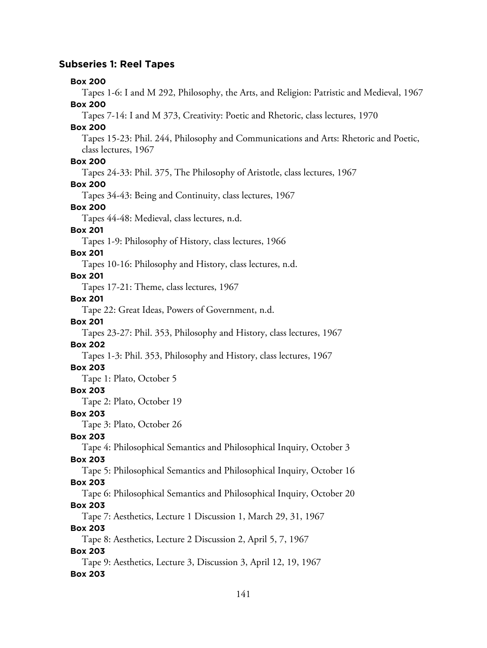## **Subseries 1: Reel Tapes**

#### **Box 200**

Tapes 1-6: I and M 292, Philosophy, the Arts, and Religion: Patristic and Medieval, 1967 **Box 200**

Tapes 7-14: I and M 373, Creativity: Poetic and Rhetoric, class lectures, 1970

## **Box 200**

Tapes 15-23: Phil. 244, Philosophy and Communications and Arts: Rhetoric and Poetic, class lectures, 1967

## **Box 200**

Tapes 24-33: Phil. 375, The Philosophy of Aristotle, class lectures, 1967

## **Box 200**

Tapes 34-43: Being and Continuity, class lectures, 1967

#### **Box 200**

Tapes 44-48: Medieval, class lectures, n.d.

## **Box 201**

Tapes 1-9: Philosophy of History, class lectures, 1966

#### **Box 201**

Tapes 10-16: Philosophy and History, class lectures, n.d.

#### **Box 201**

Tapes 17-21: Theme, class lectures, 1967

#### **Box 201**

Tape 22: Great Ideas, Powers of Government, n.d.

# **Box 201**

Tapes 23-27: Phil. 353, Philosophy and History, class lectures, 1967

## **Box 202**

Tapes 1-3: Phil. 353, Philosophy and History, class lectures, 1967

## **Box 203**

Tape 1: Plato, October 5

#### **Box 203**

Tape 2: Plato, October 19

## **Box 203**

Tape 3: Plato, October 26

### **Box 203**

Tape 4: Philosophical Semantics and Philosophical Inquiry, October 3

## **Box 203**

Tape 5: Philosophical Semantics and Philosophical Inquiry, October 16 **Box 203**

Tape 6: Philosophical Semantics and Philosophical Inquiry, October 20

## **Box 203**

Tape 7: Aesthetics, Lecture 1 Discussion 1, March 29, 31, 1967

## **Box 203**

Tape 8: Aesthetics, Lecture 2 Discussion 2, April 5, 7, 1967

### **Box 203**

Tape 9: Aesthetics, Lecture 3, Discussion 3, April 12, 19, 1967 **Box 203**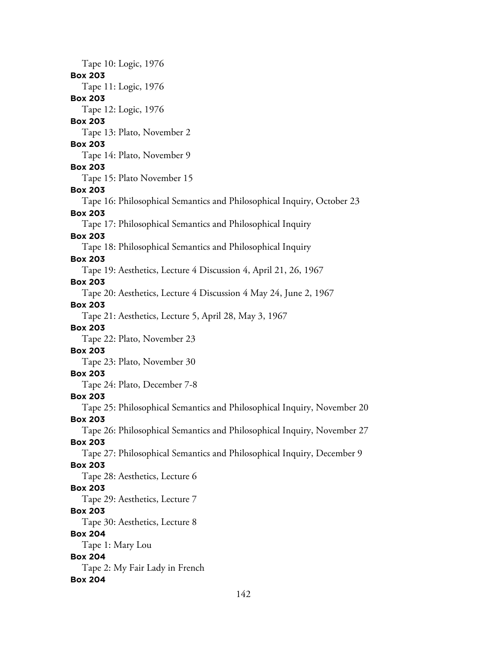Tape 10: Logic, 1976 **Box 203** Tape 11: Logic, 1976 **Box 203** Tape 12: Logic, 1976 **Box 203** Tape 13: Plato, November 2 **Box 203** Tape 14: Plato, November 9 **Box 203** Tape 15: Plato November 15 **Box 203** Tape 16: Philosophical Semantics and Philosophical Inquiry, October 23 **Box 203** Tape 17: Philosophical Semantics and Philosophical Inquiry **Box 203** Tape 18: Philosophical Semantics and Philosophical Inquiry **Box 203** Tape 19: Aesthetics, Lecture 4 Discussion 4, April 21, 26, 1967 **Box 203** Tape 20: Aesthetics, Lecture 4 Discussion 4 May 24, June 2, 1967 **Box 203** Tape 21: Aesthetics, Lecture 5, April 28, May 3, 1967 **Box 203** Tape 22: Plato, November 23 **Box 203** Tape 23: Plato, November 30 **Box 203** Tape 24: Plato, December 7-8 **Box 203** Tape 25: Philosophical Semantics and Philosophical Inquiry, November 20 **Box 203** Tape 26: Philosophical Semantics and Philosophical Inquiry, November 27 **Box 203** Tape 27: Philosophical Semantics and Philosophical Inquiry, December 9 **Box 203** Tape 28: Aesthetics, Lecture 6 **Box 203** Tape 29: Aesthetics, Lecture 7 **Box 203** Tape 30: Aesthetics, Lecture 8 **Box 204** Tape 1: Mary Lou **Box 204** Tape 2: My Fair Lady in French **Box 204**

142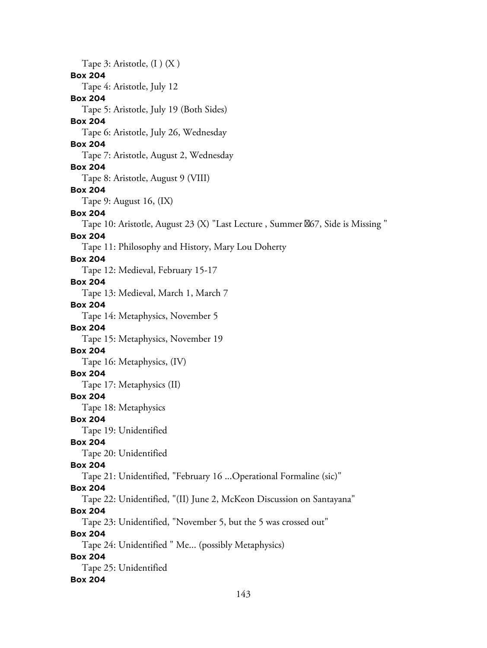Tape 3: Aristotle, (I ) (X ) **Box 204** Tape 4: Aristotle, July 12 **Box 204** Tape 5: Aristotle, July 19 (Both Sides) **Box 204** Tape 6: Aristotle, July 26, Wednesday **Box 204** Tape 7: Aristotle, August 2, Wednesday **Box 204** Tape 8: Aristotle, August 9 (VIII) **Box 204** Tape 9: August 16, (IX) **Box 204** Tape 10: Aristotle, August 23 (X) "Last Lecture, Summer  $\%$ 67, Side is Missing " **Box 204** Tape 11: Philosophy and History, Mary Lou Doherty **Box 204** Tape 12: Medieval, February 15-17 **Box 204** Tape 13: Medieval, March 1, March 7 **Box 204** Tape 14: Metaphysics, November 5 **Box 204** Tape 15: Metaphysics, November 19 **Box 204** Tape 16: Metaphysics, (IV) **Box 204** Tape 17: Metaphysics (II) **Box 204** Tape 18: Metaphysics **Box 204** Tape 19: Unidentified **Box 204** Tape 20: Unidentified **Box 204** Tape 21: Unidentified, "February 16 ...Operational Formaline (sic)" **Box 204** Tape 22: Unidentified, "(II) June 2, McKeon Discussion on Santayana" **Box 204** Tape 23: Unidentified, "November 5, but the 5 was crossed out" **Box 204** Tape 24: Unidentified " Me... (possibly Metaphysics) **Box 204** Tape 25: Unidentified **Box 204**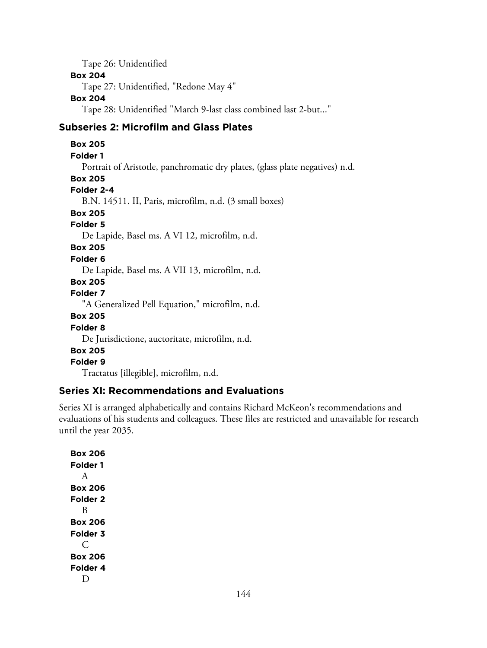Tape 26: Unidentified **Box 204** Tape 27: Unidentified, "Redone May 4" **Box 204** Tape 28: Unidentified "March 9-last class combined last 2-but..."

## **Subseries 2: Microfilm and Glass Plates**

**Box 205 Folder 1** Portrait of Aristotle, panchromatic dry plates, (glass plate negatives) n.d. **Box 205 Folder 2-4** B.N. 14511. II, Paris, microfilm, n.d. (3 small boxes) **Box 205 Folder 5** De Lapide, Basel ms. A VI 12, microfilm, n.d. **Box 205 Folder 6** De Lapide, Basel ms. A VII 13, microfilm, n.d. **Box 205 Folder 7** "A Generalized Pell Equation," microfilm, n.d. **Box 205 Folder 8** De Jurisdictione, auctoritate, microfilm, n.d. **Box 205 Folder 9** Tractatus [illegible], microfilm, n.d.

## **Series XI: Recommendations and Evaluations**

Series XI is arranged alphabetically and contains Richard McKeon's recommendations and evaluations of his students and colleagues. These files are restricted and unavailable for research until the year 2035.

**Box 206 Folder 1** A **Box 206 Folder 2** B **Box 206 Folder 3** C **Box 206 Folder 4** D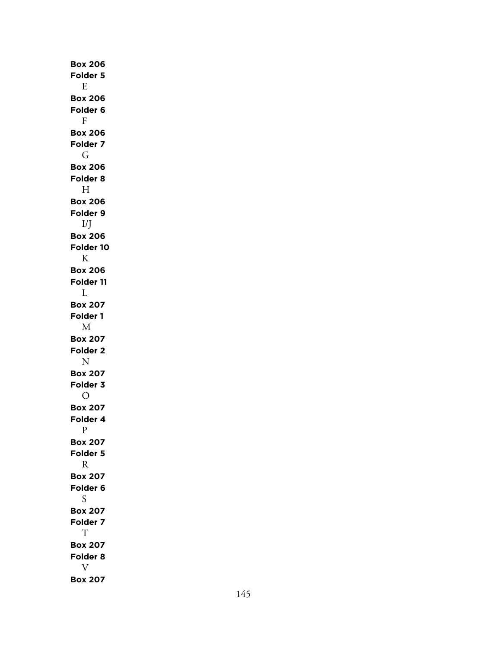**Box 206 Folder 5** E **Box 206 Folder 6** F **Box 206 Folder 7** G **Box 206 Folder 8** H **Box 206 Folder 9** I/J **Box 206 Folder 10** K **Box 206 Folder 11** L **Box 207 Folder 1** M **Box 207 Folder 2** N **Box 207 Folder 3** O **Box 207 Folder 4** P **Box 207 Folder 5** R **Box 207 Folder 6** S **Box 207 Folder 7** T **Box 207 Folder 8** V **Box 207**